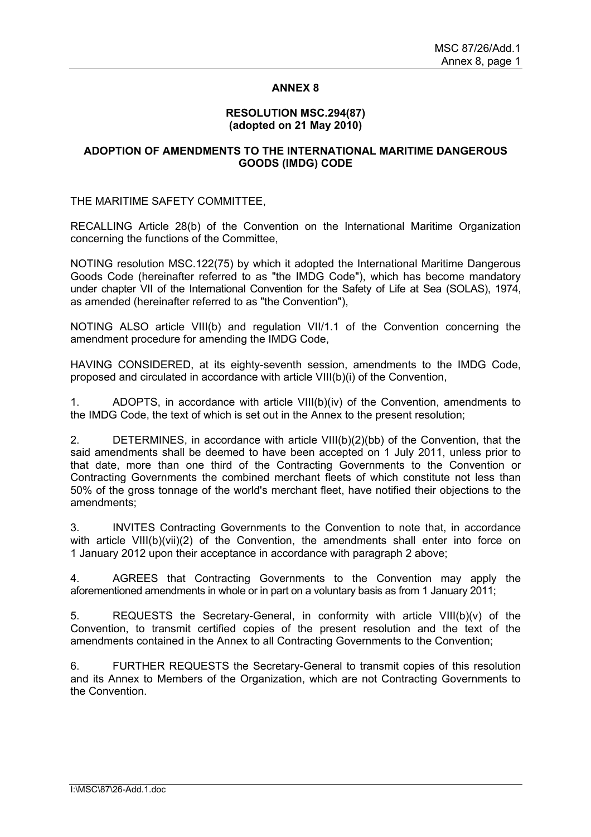## **ANNEX 8**

### **RESOLUTION MSC.294(87) (adopted on 21 May 2010)**

## **ADOPTION OF AMENDMENTS TO THE INTERNATIONAL MARITIME DANGEROUS GOODS (IMDG) CODE**

THE MARITIME SAFETY COMMITTEE,

RECALLING Article 28(b) of the Convention on the International Maritime Organization concerning the functions of the Committee,

NOTING resolution MSC.122(75) by which it adopted the International Maritime Dangerous Goods Code (hereinafter referred to as "the IMDG Code"), which has become mandatory under chapter VII of the International Convention for the Safety of Life at Sea (SOLAS), 1974, as amended (hereinafter referred to as "the Convention"),

NOTING ALSO article VIII(b) and regulation VII/1.1 of the Convention concerning the amendment procedure for amending the IMDG Code,

HAVING CONSIDERED, at its eighty-seventh session, amendments to the IMDG Code, proposed and circulated in accordance with article VIII(b)(i) of the Convention,

1. ADOPTS, in accordance with article VIII(b)(iv) of the Convention, amendments to the IMDG Code, the text of which is set out in the Annex to the present resolution;

2. DETERMINES, in accordance with article VIII(b)(2)(bb) of the Convention, that the said amendments shall be deemed to have been accepted on 1 July 2011, unless prior to that date, more than one third of the Contracting Governments to the Convention or Contracting Governments the combined merchant fleets of which constitute not less than 50% of the gross tonnage of the world's merchant fleet, have notified their objections to the amendments;

3. INVITES Contracting Governments to the Convention to note that, in accordance with article VIII(b)(vii)(2) of the Convention, the amendments shall enter into force on 1 January 2012 upon their acceptance in accordance with paragraph 2 above;

4. AGREES that Contracting Governments to the Convention may apply the aforementioned amendments in whole or in part on a voluntary basis as from 1 January 2011;

5. REQUESTS the Secretary-General, in conformity with article VIII(b)(v) of the Convention, to transmit certified copies of the present resolution and the text of the amendments contained in the Annex to all Contracting Governments to the Convention;

6. FURTHER REQUESTS the Secretary-General to transmit copies of this resolution and its Annex to Members of the Organization, which are not Contracting Governments to the Convention.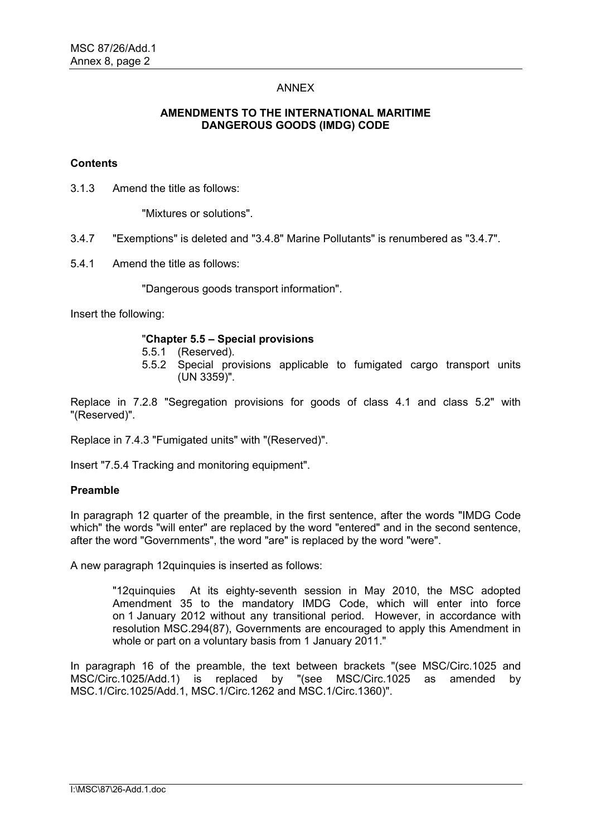## ANNEX

## **AMENDMENTS TO THE INTERNATIONAL MARITIME DANGEROUS GOODS (IMDG) CODE**

## **Contents**

3.1.3 Amend the title as follows:

"Mixtures or solutions".

- 3.4.7 "Exemptions" is deleted and "3.4.8" Marine Pollutants" is renumbered as "3.4.7".
- 5.4.1 Amend the title as follows:

"Dangerous goods transport information".

Insert the following:

## "**Chapter 5.5 – Special provisions**

- 5.5.1 (Reserved).
- 5.5.2 Special provisions applicable to fumigated cargo transport units (UN 3359)".

Replace in 7.2.8 "Segregation provisions for goods of class 4.1 and class 5.2" with "(Reserved)".

Replace in 7.4.3 "Fumigated units" with "(Reserved)".

Insert "7.5.4 Tracking and monitoring equipment".

#### **Preamble**

In paragraph 12 quarter of the preamble, in the first sentence, after the words "IMDG Code which" the words "will enter" are replaced by the word "entered" and in the second sentence, after the word "Governments", the word "are" is replaced by the word "were".

A new paragraph 12quinquies is inserted as follows:

"12quinquies At its eighty-seventh session in May 2010, the MSC adopted Amendment 35 to the mandatory IMDG Code, which will enter into force on 1 January 2012 without any transitional period. However, in accordance with resolution MSC.294(87), Governments are encouraged to apply this Amendment in whole or part on a voluntary basis from 1 January 2011."

In paragraph 16 of the preamble, the text between brackets "(see MSC/Circ.1025 and MSC/Circ.1025/Add.1) is replaced by "(see MSC/Circ.1025 as amended by MSC.1/Circ.1025/Add.1, MSC.1/Circ.1262 and MSC.1/Circ.1360)".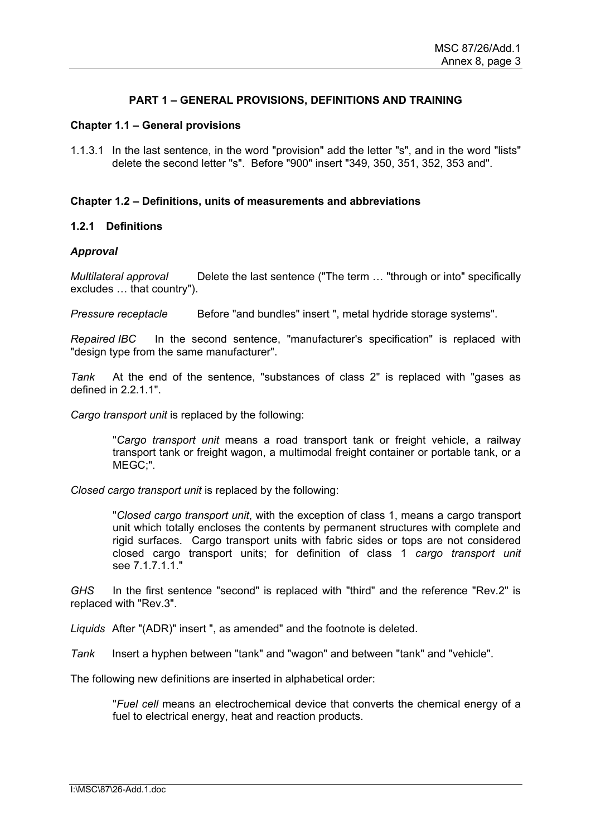## **PART 1 – GENERAL PROVISIONS, DEFINITIONS AND TRAINING**

## **Chapter 1.1 – General provisions**

1.1.3.1 In the last sentence, in the word "provision" add the letter "s", and in the word "lists" delete the second letter "s". Before "900" insert "349, 350, 351, 352, 353 and".

## **Chapter 1.2 – Definitions, units of measurements and abbreviations**

## **1.2.1 Definitions**

## *Approval*

*Multilateral approval* Delete the last sentence ("The term … "through or into" specifically excludes … that country").

*Pressure receptacle* Before "and bundles" insert ", metal hydride storage systems".

*Repaired IBC* In the second sentence, "manufacturer's specification" is replaced with "design type from the same manufacturer".

*Tank* At the end of the sentence, "substances of class 2" is replaced with "gases as defined in 2.2.1.1".

*Cargo transport unit* is replaced by the following:

"*Cargo transport unit* means a road transport tank or freight vehicle, a railway transport tank or freight wagon, a multimodal freight container or portable tank, or a MEGC;".

*Closed cargo transport unit* is replaced by the following:

"*Closed cargo transport unit*, with the exception of class 1, means a cargo transport unit which totally encloses the contents by permanent structures with complete and rigid surfaces. Cargo transport units with fabric sides or tops are not considered closed cargo transport units; for definition of class 1 *cargo transport unit* see 7.1.7.1.1."

*GHS* In the first sentence "second" is replaced with "third" and the reference "Rev.2" is replaced with "Rev.3".

*Liquids* After "(ADR)" insert ", as amended" and the footnote is deleted.

*Tank* Insert a hyphen between "tank" and "wagon" and between "tank" and "vehicle".

The following new definitions are inserted in alphabetical order:

"*Fuel cell* means an electrochemical device that converts the chemical energy of a fuel to electrical energy, heat and reaction products.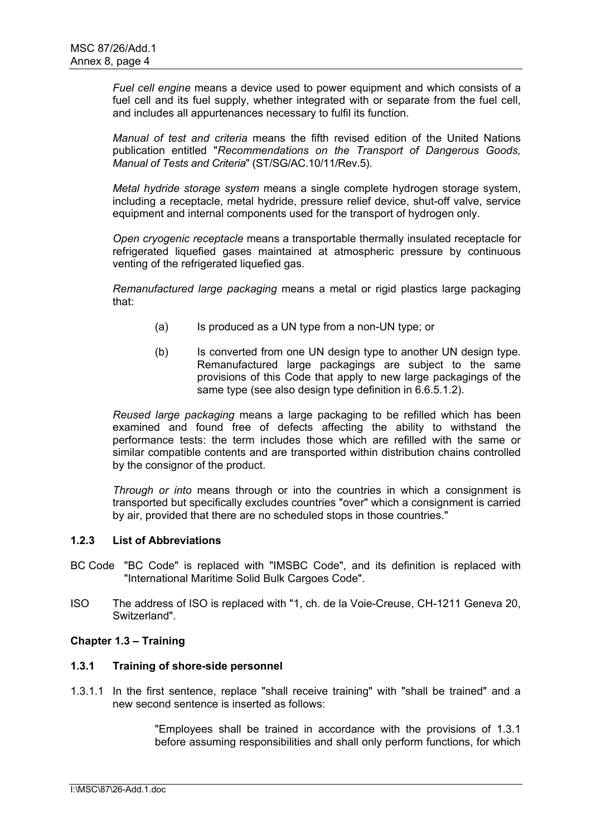*Fuel cell engine* means a device used to power equipment and which consists of a fuel cell and its fuel supply, whether integrated with or separate from the fuel cell, and includes all appurtenances necessary to fulfil its function.

*Manual of test and criteria* means the fifth revised edition of the United Nations publication entitled "*Recommendations on the Transport of Dangerous Goods, Manual of Tests and Criteria*" (ST/SG/AC.10/11/Rev.5).

*Metal hydride storage system* means a single complete hydrogen storage system, including a receptacle, metal hydride, pressure relief device, shut-off valve, service equipment and internal components used for the transport of hydrogen only.

*Open cryogenic receptacle* means a transportable thermally insulated receptacle for refrigerated liquefied gases maintained at atmospheric pressure by continuous venting of the refrigerated liquefied gas.

*Remanufactured large packaging* means a metal or rigid plastics large packaging that:

- (a) Is produced as a UN type from a non-UN type; or
- (b) Is converted from one UN design type to another UN design type. Remanufactured large packagings are subject to the same provisions of this Code that apply to new large packagings of the same type (see also design type definition in 6.6.5.1.2).

*Reused large packaging* means a large packaging to be refilled which has been examined and found free of defects affecting the ability to withstand the performance tests: the term includes those which are refilled with the same or similar compatible contents and are transported within distribution chains controlled by the consignor of the product.

*Through or into* means through or into the countries in which a consignment is transported but specifically excludes countries "over" which a consignment is carried by air, provided that there are no scheduled stops in those countries."

## **1.2.3 List of Abbreviations**

- BC Code "BC Code" is replaced with "IMSBC Code", and its definition is replaced with "International Maritime Solid Bulk Cargoes Code".
- ISO The address of ISO is replaced with "1, ch. de la Voie-Creuse, CH-1211 Geneva 20, Switzerland".

## **Chapter 1.3 – Training**

## **1.3.1 Training of shore-side personnel**

1.3.1.1 In the first sentence, replace "shall receive training" with "shall be trained" and a new second sentence is inserted as follows:

> "Employees shall be trained in accordance with the provisions of 1.3.1 before assuming responsibilities and shall only perform functions, for which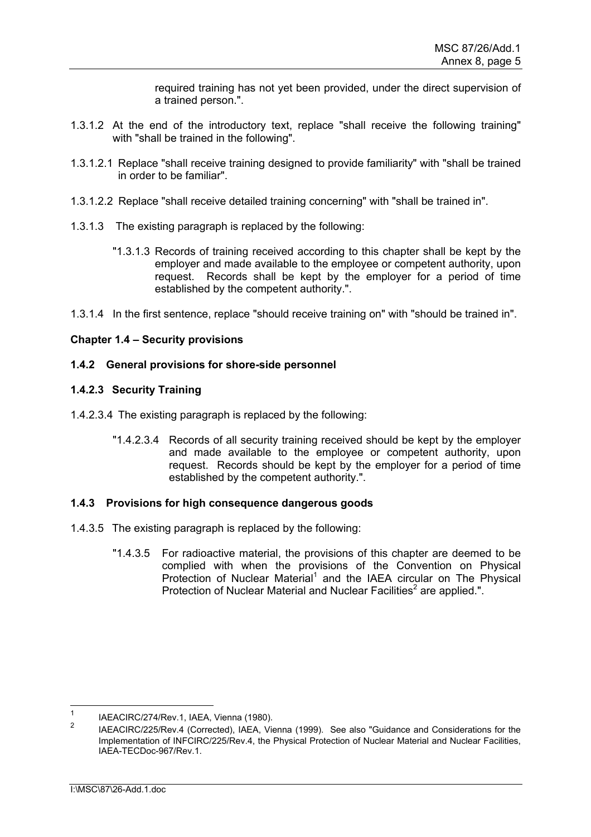required training has not yet been provided, under the direct supervision of a trained person.".

- 1.3.1.2 At the end of the introductory text, replace "shall receive the following training" with "shall be trained in the following".
- 1.3.1.2.1 Replace "shall receive training designed to provide familiarity" with "shall be trained in order to be familiar".
- 1.3.1.2.2 Replace "shall receive detailed training concerning" with "shall be trained in".
- 1.3.1.3 The existing paragraph is replaced by the following:
	- "1.3.1.3 Records of training received according to this chapter shall be kept by the employer and made available to the employee or competent authority, upon request. Records shall be kept by the employer for a period of time established by the competent authority.".
- 1.3.1.4 In the first sentence, replace "should receive training on" with "should be trained in".

## **Chapter 1.4 – Security provisions**

## **1.4.2 General provisions for shore-side personnel**

## **1.4.2.3 Security Training**

- 1.4.2.3.4 The existing paragraph is replaced by the following:
	- "1.4.2.3.4 Records of all security training received should be kept by the employer and made available to the employee or competent authority, upon request. Records should be kept by the employer for a period of time established by the competent authority.".

#### **1.4.3 Provisions for high consequence dangerous goods**

- 1.4.3.5 The existing paragraph is replaced by the following:
	- "1.4.3.5 For radioactive material, the provisions of this chapter are deemed to be complied with when the provisions of the Convention on Physical Protection of Nuclear Material<sup>1</sup> and the IAEA circular on The Physical Protection of Nuclear Material and Nuclear Facilities<sup>2</sup> are applied.".

 $\frac{1}{1}$ <sup>1</sup> IAEACIRC/274/Rev.1, IAEA, Vienna (1980).

IAEACIRC/225/Rev.4 (Corrected), IAEA, Vienna (1999). See also "Guidance and Considerations for the Implementation of INFCIRC/225/Rev.4, the Physical Protection of Nuclear Material and Nuclear Facilities, IAEA-TECDoc-967/Rev.1.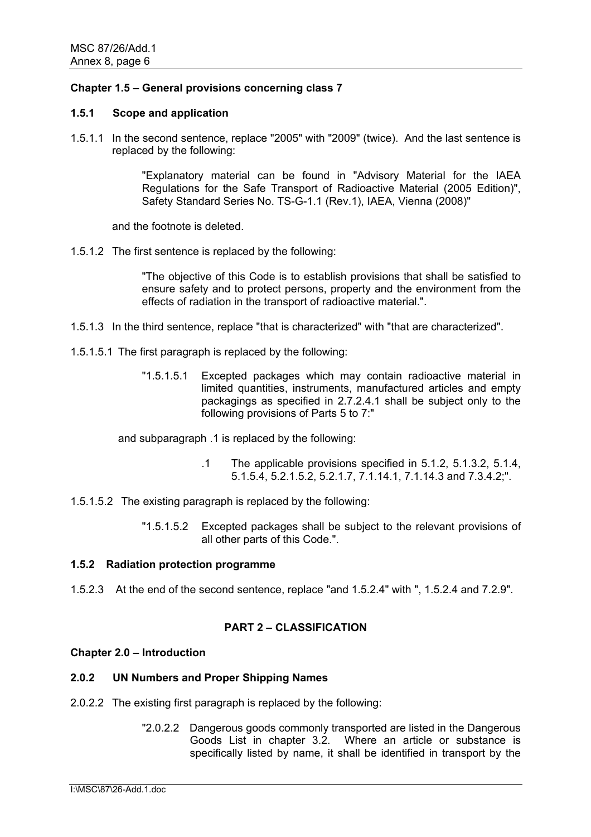## **Chapter 1.5 – General provisions concerning class 7**

### **1.5.1 Scope and application**

1.5.1.1 In the second sentence, replace "2005" with "2009" (twice). And the last sentence is replaced by the following:

> "Explanatory material can be found in "Advisory Material for the IAEA Regulations for the Safe Transport of Radioactive Material (2005 Edition)", Safety Standard Series No. TS-G-1.1 (Rev.1), IAEA, Vienna (2008)"

and the footnote is deleted.

1.5.1.2 The first sentence is replaced by the following:

"The objective of this Code is to establish provisions that shall be satisfied to ensure safety and to protect persons, property and the environment from the effects of radiation in the transport of radioactive material.".

- 1.5.1.3 In the third sentence, replace "that is characterized" with "that are characterized".
- 1.5.1.5.1 The first paragraph is replaced by the following:
	- "1.5.1.5.1 Excepted packages which may contain radioactive material in limited quantities, instruments, manufactured articles and empty packagings as specified in 2.7.2.4.1 shall be subject only to the following provisions of Parts 5 to 7:"

and subparagraph .1 is replaced by the following:

- .1 The applicable provisions specified in 5.1.2, 5.1.3.2, 5.1.4, 5.1.5.4, 5.2.1.5.2, 5.2.1.7, 7.1.14.1, 7.1.14.3 and 7.3.4.2;".
- 1.5.1.5.2 The existing paragraph is replaced by the following:
	- "1.5.1.5.2 Excepted packages shall be subject to the relevant provisions of all other parts of this Code.".

## **1.5.2 Radiation protection programme**

1.5.2.3 At the end of the second sentence, replace "and 1.5.2.4" with ", 1.5.2.4 and 7.2.9".

# **PART 2 – CLASSIFICATION**

#### **Chapter 2.0 – Introduction**

## **2.0.2 UN Numbers and Proper Shipping Names**

- 2.0.2.2 The existing first paragraph is replaced by the following:
	- "2.0.2.2 Dangerous goods commonly transported are listed in the Dangerous Goods List in chapter 3.2. Where an article or substance is specifically listed by name, it shall be identified in transport by the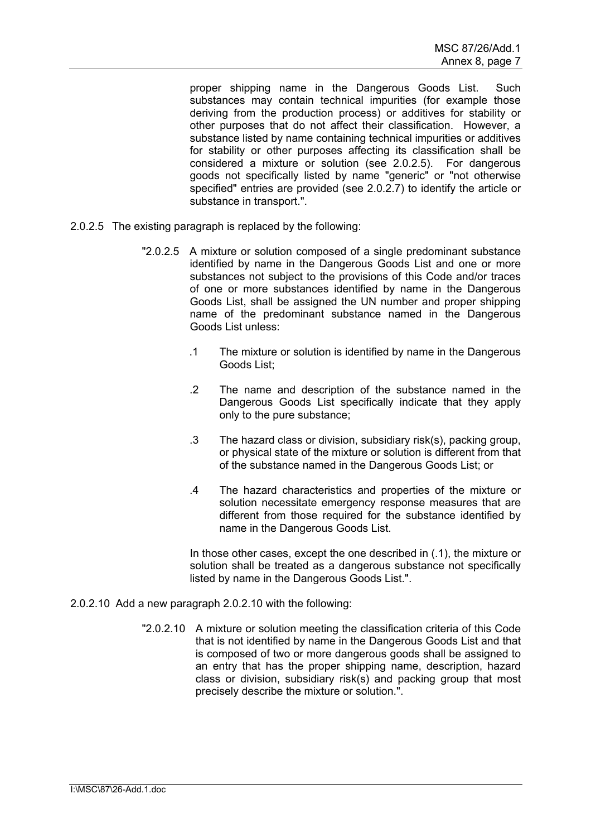proper shipping name in the Dangerous Goods List. Such substances may contain technical impurities (for example those deriving from the production process) or additives for stability or other purposes that do not affect their classification. However, a substance listed by name containing technical impurities or additives for stability or other purposes affecting its classification shall be considered a mixture or solution (see 2.0.2.5). For dangerous goods not specifically listed by name "generic" or "not otherwise specified" entries are provided (see 2.0.2.7) to identify the article or substance in transport.".

- 2.0.2.5 The existing paragraph is replaced by the following:
	- "2.0.2.5 A mixture or solution composed of a single predominant substance identified by name in the Dangerous Goods List and one or more substances not subject to the provisions of this Code and/or traces of one or more substances identified by name in the Dangerous Goods List, shall be assigned the UN number and proper shipping name of the predominant substance named in the Dangerous Goods List unless:
		- .1 The mixture or solution is identified by name in the Dangerous Goods List;
		- .2 The name and description of the substance named in the Dangerous Goods List specifically indicate that they apply only to the pure substance;
		- .3 The hazard class or division, subsidiary risk(s), packing group, or physical state of the mixture or solution is different from that of the substance named in the Dangerous Goods List; or
		- .4 The hazard characteristics and properties of the mixture or solution necessitate emergency response measures that are different from those required for the substance identified by name in the Dangerous Goods List.

In those other cases, except the one described in (.1), the mixture or solution shall be treated as a dangerous substance not specifically listed by name in the Dangerous Goods List.".

- 2.0.2.10 Add a new paragraph 2.0.2.10 with the following:
	- "2.0.2.10 A mixture or solution meeting the classification criteria of this Code that is not identified by name in the Dangerous Goods List and that is composed of two or more dangerous goods shall be assigned to an entry that has the proper shipping name, description, hazard class or division, subsidiary risk(s) and packing group that most precisely describe the mixture or solution.".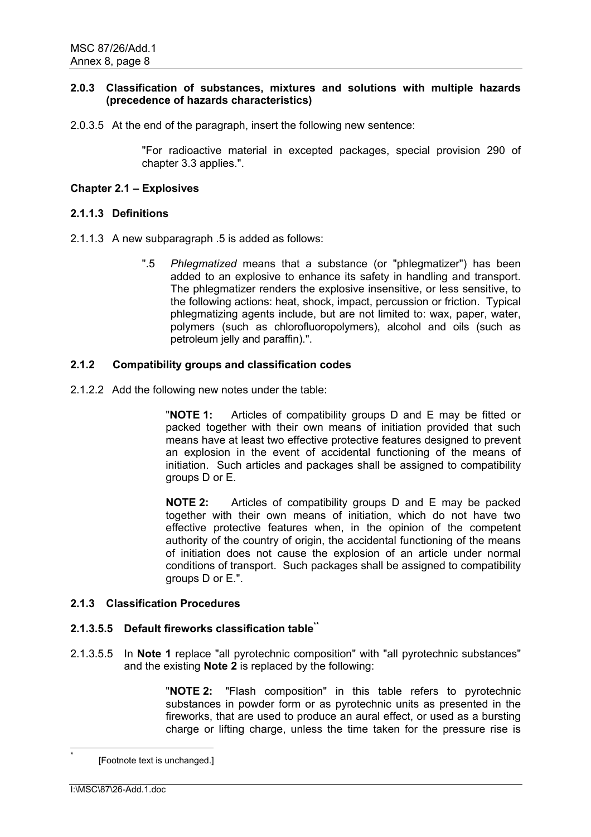## **2.0.3 Classification of substances, mixtures and solutions with multiple hazards (precedence of hazards characteristics)**

2.0.3.5 At the end of the paragraph, insert the following new sentence:

"For radioactive material in excepted packages, special provision 290 of chapter 3.3 applies.".

## **Chapter 2.1 – Explosives**

## **2.1.1.3 Definitions**

- 2.1.1.3 A new subparagraph .5 is added as follows:
	- ".5 *Phlegmatized* means that a substance (or "phlegmatizer") has been added to an explosive to enhance its safety in handling and transport. The phlegmatizer renders the explosive insensitive, or less sensitive, to the following actions: heat, shock, impact, percussion or friction. Typical phlegmatizing agents include, but are not limited to: wax, paper, water, polymers (such as chlorofluoropolymers), alcohol and oils (such as petroleum jelly and paraffin).".

## **2.1.2 Compatibility groups and classification codes**

2.1.2.2 Add the following new notes under the table:

"**NOTE 1:** Articles of compatibility groups D and E may be fitted or packed together with their own means of initiation provided that such means have at least two effective protective features designed to prevent an explosion in the event of accidental functioning of the means of initiation. Such articles and packages shall be assigned to compatibility groups D or E.

**NOTE 2:** Articles of compatibility groups D and E may be packed together with their own means of initiation, which do not have two effective protective features when, in the opinion of the competent authority of the country of origin, the accidental functioning of the means of initiation does not cause the explosion of an article under normal conditions of transport. Such packages shall be assigned to compatibility groups D or E.".

## **2.1.3 Classification Procedures**

#### **2.1.3.5.5 Default fireworks classification table\*\***

2.1.3.5.5 In **Note 1** replace "all pyrotechnic composition" with "all pyrotechnic substances" and the existing **Note 2** is replaced by the following:

> "**NOTE 2:** "Flash composition" in this table refers to pyrotechnic substances in powder form or as pyrotechnic units as presented in the fireworks, that are used to produce an aural effect, or used as a bursting charge or lifting charge, unless the time taken for the pressure rise is

<sup>[</sup>Footnote text is unchanged.]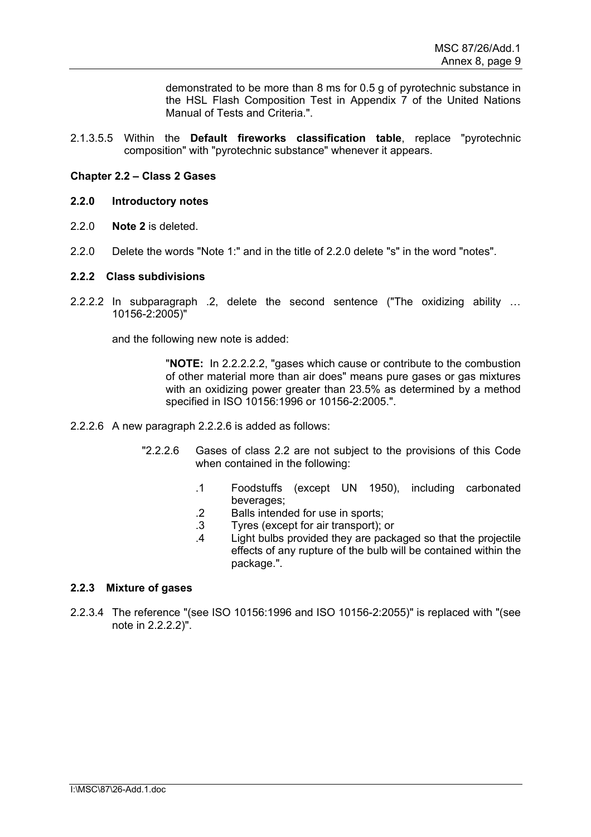demonstrated to be more than 8 ms for 0.5 g of pyrotechnic substance in the HSL Flash Composition Test in Appendix 7 of the United Nations Manual of Tests and Criteria.".

2.1.3.5.5 Within the **Default fireworks classification table**, replace "pyrotechnic composition" with "pyrotechnic substance" whenever it appears.

## **Chapter 2.2 – Class 2 Gases**

## **2.2.0 Introductory notes**

- 2.2.0 **Note 2** is deleted.
- 2.2.0 Delete the words "Note 1:" and in the title of 2.2.0 delete "s" in the word "notes".

#### **2.2.2 Class subdivisions**

2.2.2.2 In subparagraph .2, delete the second sentence ("The oxidizing ability … 10156-2:2005)"

and the following new note is added:

"**NOTE:** In 2.2.2.2.2, "gases which cause or contribute to the combustion of other material more than air does" means pure gases or gas mixtures with an oxidizing power greater than 23.5% as determined by a method specified in ISO 10156:1996 or 10156-2:2005.".

- 2.2.2.6 A new paragraph 2.2.2.6 is added as follows:
	- "2.2.2.6 Gases of class 2.2 are not subject to the provisions of this Code when contained in the following:
		- .1 Foodstuffs (except UN 1950), including carbonated beverages;
		- .2 Balls intended for use in sports;
		- .3 Tyres (except for air transport); or
		- .4 Light bulbs provided they are packaged so that the projectile effects of any rupture of the bulb will be contained within the package.".

## **2.2.3 Mixture of gases**

2.2.3.4 The reference "(see ISO 10156:1996 and ISO 10156-2:2055)" is replaced with "(see note in 2.2.2.2)".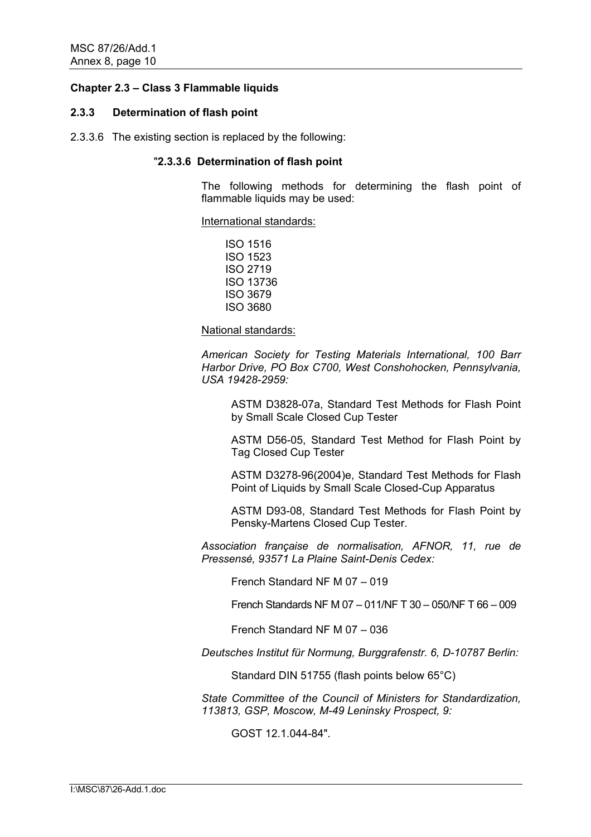## **Chapter 2.3 – Class 3 Flammable liquids**

#### **2.3.3 Determination of flash point**

2.3.3.6 The existing section is replaced by the following:

### "**2.3.3.6 Determination of flash point**

The following methods for determining the flash point of flammable liquids may be used:

International standards:

ISO 1516 ISO 1523 ISO 2719 ISO 13736 ISO 3679 ISO 3680

National standards:

*American Society for Testing Materials International, 100 Barr Harbor Drive, PO Box C700, West Conshohocken, Pennsylvania, USA 19428-2959:* 

ASTM D3828-07a, Standard Test Methods for Flash Point by Small Scale Closed Cup Tester

ASTM D56-05, Standard Test Method for Flash Point by Tag Closed Cup Tester

ASTM D3278-96(2004)e, Standard Test Methods for Flash Point of Liquids by Small Scale Closed-Cup Apparatus

ASTM D93-08, Standard Test Methods for Flash Point by Pensky-Martens Closed Cup Tester.

*Association française de normalisation, AFNOR, 11, rue de Pressensé, 93571 La Plaine Saint-Denis Cedex:* 

French Standard NF M 07 – 019

French Standards NF M 07 – 011/NF T 30 – 050/NF T 66 – 009

French Standard NF M 07 – 036

*Deutsches Institut für Normung, Burggrafenstr. 6, D-10787 Berlin:* 

Standard DIN 51755 (flash points below 65°C)

*State Committee of the Council of Ministers for Standardization, 113813, GSP, Moscow, M-49 Leninsky Prospect, 9:* 

GOST 12.1.044-84".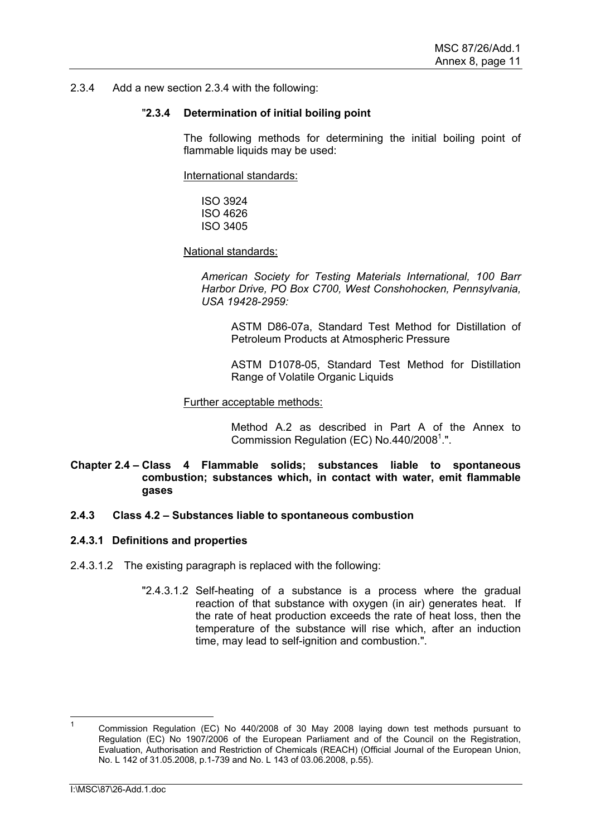### 2.3.4 Add a new section 2.3.4 with the following:

### "**2.3.4 Determination of initial boiling point**

The following methods for determining the initial boiling point of flammable liquids may be used:

International standards:

ISO 3924 ISO 4626 ISO 3405

National standards:

*American Society for Testing Materials International, 100 Barr Harbor Drive, PO Box C700, West Conshohocken, Pennsylvania, USA 19428-2959:* 

ASTM D86-07a, Standard Test Method for Distillation of Petroleum Products at Atmospheric Pressure

ASTM D1078-05, Standard Test Method for Distillation Range of Volatile Organic Liquids

#### Further acceptable methods:

Method A.2 as described in Part A of the Annex to Commission Regulation (EC) No.440/2008 $1$ .".

## **Chapter 2.4 – Class 4 Flammable solids; substances liable to spontaneous combustion; substances which, in contact with water, emit flammable gases**

#### **2.4.3 Class 4.2 – Substances liable to spontaneous combustion**

#### **2.4.3.1 Definitions and properties**

- 2.4.3.1.2 The existing paragraph is replaced with the following:
	- "2.4.3.1.2 Self-heating of a substance is a process where the gradual reaction of that substance with oxygen (in air) generates heat. If the rate of heat production exceeds the rate of heat loss, then the temperature of the substance will rise which, after an induction time, may lead to self-ignition and combustion.".

 $\frac{1}{1}$  Commission Regulation (EC) No 440/2008 of 30 May 2008 laying down test methods pursuant to Regulation (EC) No 1907/2006 of the European Parliament and of the Council on the Registration, Evaluation, Authorisation and Restriction of Chemicals (REACH) (Official Journal of the European Union, No. L 142 of 31.05.2008, p.1-739 and No. L 143 of 03.06.2008, p.55).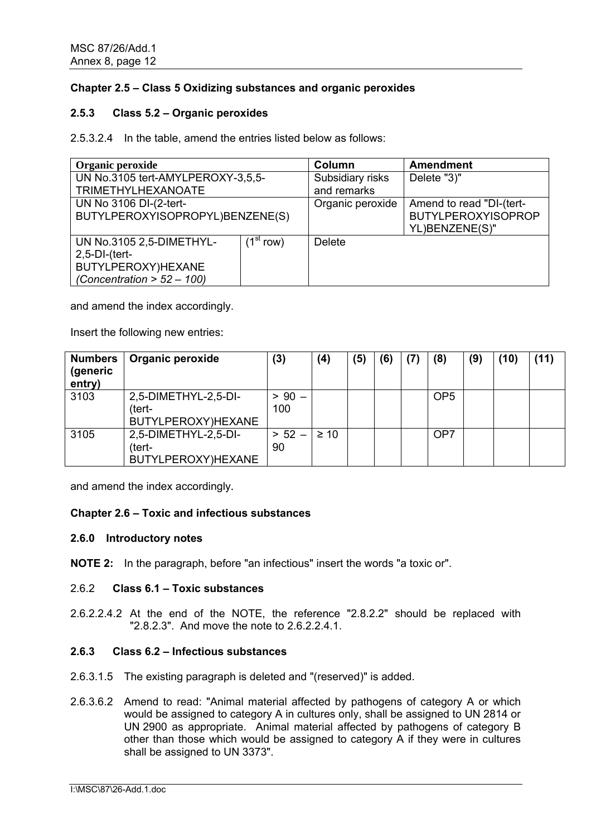## **Chapter 2.5 – Class 5 Oxidizing substances and organic peroxides**

## **2.5.3 Class 5.2 – Organic peroxides**

2.5.3.2.4 In the table, amend the entries listed below as follows:

| Organic peroxide                                                                                                                      |                                 | Column           | <b>Amendment</b>                                                        |  |  |  |
|---------------------------------------------------------------------------------------------------------------------------------------|---------------------------------|------------------|-------------------------------------------------------------------------|--|--|--|
| UN No.3105 tert-AMYLPEROXY-3.5.5-                                                                                                     | Subsidiary risks<br>Delete "3)" |                  |                                                                         |  |  |  |
| <b>TRIMETHYLHEXANOATE</b>                                                                                                             |                                 | and remarks      |                                                                         |  |  |  |
| UN No 3106 DI-(2-tert-<br>BUTYLPEROXYISOPROPYL)BENZENE(S)                                                                             |                                 | Organic peroxide | Amend to read "DI-(tert-<br><b>BUTYLPEROXYISOPROP</b><br>YL)BENZENE(S)" |  |  |  |
| $\overline{1}^{\text{st}}$ row)<br>UN No.3105 2,5-DIMETHYL-<br>$2,5-DI-(tert-$<br>BUTYLPEROXY)HEXANE<br>(Concentration $> 52 - 100$ ) |                                 | <b>Delete</b>    |                                                                         |  |  |  |

and amend the index accordingly.

Insert the following new entries:

| <b>Numbers</b><br>(generic<br>entry) | Organic peroxide                                     | (3)             | (4)       | (5) | (6) | (7) | (8)             | (9) | (10) | (11 |
|--------------------------------------|------------------------------------------------------|-----------------|-----------|-----|-----|-----|-----------------|-----|------|-----|
| 3103                                 | 2,5-DIMETHYL-2,5-DI-<br>(tert-<br>BUTYLPEROXY)HEXANE | $> 90 -$<br>100 |           |     |     |     | OP <sub>5</sub> |     |      |     |
| 3105                                 | 2,5-DIMETHYL-2,5-DI-<br>(tert-<br>BUTYLPEROXY)HEXANE | $> 52 -$<br>90  | $\geq 10$ |     |     |     | OP <sub>7</sub> |     |      |     |

and amend the index accordingly.

## **Chapter 2.6 – Toxic and infectious substances**

#### **2.6.0 Introductory notes**

**NOTE 2:** In the paragraph, before "an infectious" insert the words "a toxic or".

#### 2.6.2 **Class 6.1 – Toxic substances**

2.6.2.2.4.2 At the end of the NOTE, the reference "2.8.2.2" should be replaced with "2.8.2.3". And move the note to 2.6.2.2.4.1.

## **2.6.3 Class 6.2 – Infectious substances**

- 2.6.3.1.5 The existing paragraph is deleted and "(reserved)" is added.
- 2.6.3.6.2 Amend to read: "Animal material affected by pathogens of category A or which would be assigned to category A in cultures only, shall be assigned to UN 2814 or UN 2900 as appropriate. Animal material affected by pathogens of category B other than those which would be assigned to category A if they were in cultures shall be assigned to UN 3373".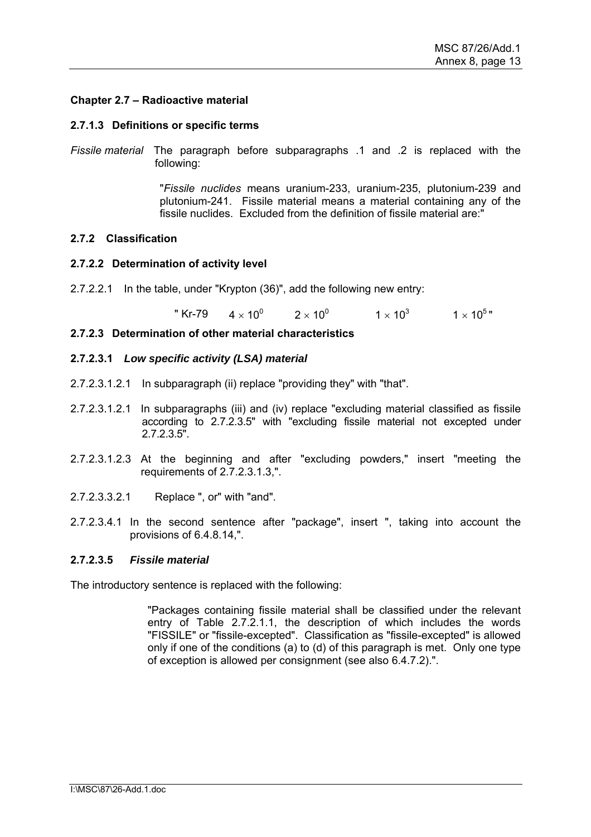## **Chapter 2.7 – Radioactive material**

#### **2.7.1.3 Definitions or specific terms**

*Fissile material* The paragraph before subparagraphs .1 and .2 is replaced with the following:

> "*Fissile nuclides* means uranium-233, uranium-235, plutonium-239 and plutonium-241. Fissile material means a material containing any of the fissile nuclides. Excluded from the definition of fissile material are:"

## **2.7.2 Classification**

#### **2.7.2.2 Determination of activity level**

2.7.2.2.1 In the table, under "Krypton (36)", add the following new entry:

" Kr-79  $4 \times 10^{0}$  $2 \times 10^{0}$  $1 \times 10^3$   $1 \times 10^5$ "

#### **2.7.2.3 Determination of other material characteristics**

#### **2.7.2.3.1** *Low specific activity (LSA) material*

- 2.7.2.3.1.2.1 In subparagraph (ii) replace "providing they" with "that".
- 2.7.2.3.1.2.1 In subparagraphs (iii) and (iv) replace "excluding material classified as fissile according to 2.7.2.3.5" with "excluding fissile material not excepted under 2.7.2.3.5".
- 2.7.2.3.1.2.3 At the beginning and after "excluding powders," insert "meeting the requirements of 2.7.2.3.1.3,".
- 2.7.2.3.3.2.1 Replace ", or" with "and".
- 2.7.2.3.4.1 In the second sentence after "package", insert ", taking into account the provisions of 6.4.8.14,".

#### **2.7.2.3.5** *Fissile material*

The introductory sentence is replaced with the following:

"Packages containing fissile material shall be classified under the relevant entry of Table 2.7.2.1.1, the description of which includes the words "FISSILE" or "fissile-excepted". Classification as "fissile-excepted" is allowed only if one of the conditions (a) to (d) of this paragraph is met. Only one type of exception is allowed per consignment (see also 6.4.7.2).".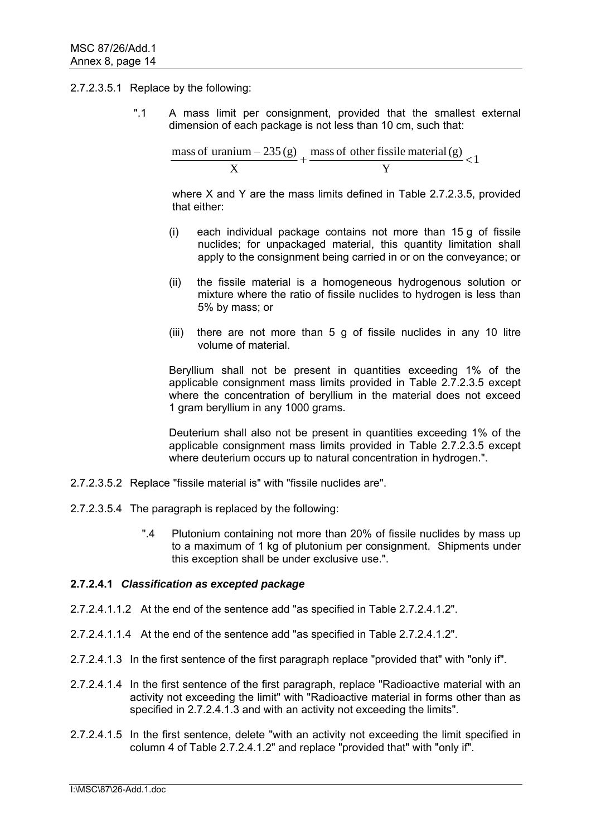### 2.7.2.3.5.1 Replace by the following:

 ".1 A mass limit per consignment, provided that the smallest external dimension of each package is not less than 10 cm, such that:

 $\frac{\text{mass of uranium} - 235(g)}{\text{mass of other fissile material (g)}} < 1$ Y X

> where X and Y are the mass limits defined in Table 2.7.2.3.5, provided that either:

- (i) each individual package contains not more than 15 g of fissile nuclides; for unpackaged material, this quantity limitation shall apply to the consignment being carried in or on the conveyance; or
- (ii) the fissile material is a homogeneous hydrogenous solution or mixture where the ratio of fissile nuclides to hydrogen is less than 5% by mass; or
- (iii) there are not more than 5 g of fissile nuclides in any 10 litre volume of material.

 Beryllium shall not be present in quantities exceeding 1% of the applicable consignment mass limits provided in Table 2.7.2.3.5 except where the concentration of beryllium in the material does not exceed 1 gram beryllium in any 1000 grams.

 Deuterium shall also not be present in quantities exceeding 1% of the applicable consignment mass limits provided in Table 2.7.2.3.5 except where deuterium occurs up to natural concentration in hydrogen.".

- 2.7.2.3.5.2 Replace "fissile material is" with "fissile nuclides are".
- 2.7.2.3.5.4 The paragraph is replaced by the following:
	- ".4 Plutonium containing not more than 20% of fissile nuclides by mass up to a maximum of 1 kg of plutonium per consignment. Shipments under this exception shall be under exclusive use.".

## **2.7.2.4.1** *Classification as excepted package*

- 2.7.2.4.1.1.2 At the end of the sentence add "as specified in Table 2.7.2.4.1.2".
- 2.7.2.4.1.1.4 At the end of the sentence add "as specified in Table 2.7.2.4.1.2".
- 2.7.2.4.1.3 In the first sentence of the first paragraph replace "provided that" with "only if".
- 2.7.2.4.1.4 In the first sentence of the first paragraph, replace "Radioactive material with an activity not exceeding the limit" with "Radioactive material in forms other than as specified in 2.7.2.4.1.3 and with an activity not exceeding the limits".
- 2.7.2.4.1.5 In the first sentence, delete "with an activity not exceeding the limit specified in column 4 of Table 2.7.2.4.1.2" and replace "provided that" with "only if".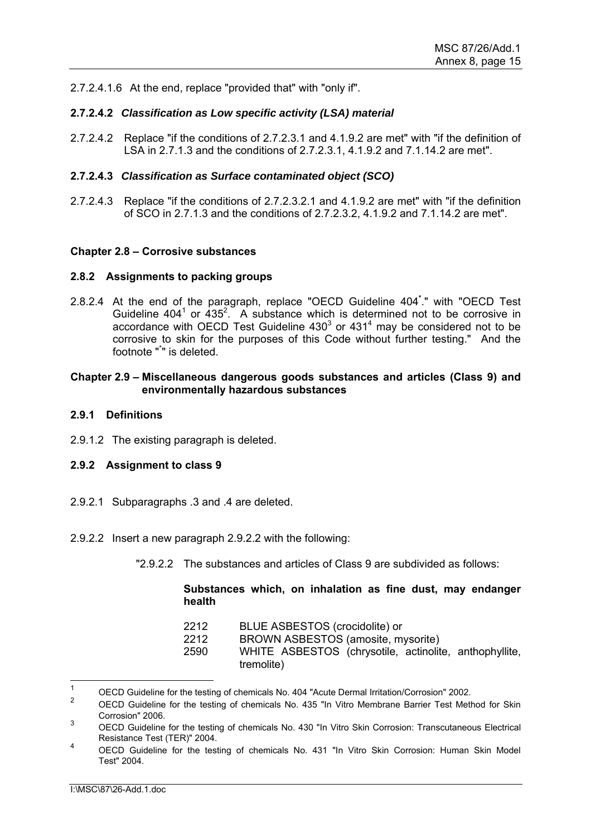2.7.2.4.1.6 At the end, replace "provided that" with "only if".

## **2.7.2.4.2** *Classification as Low specific activity (LSA) material*

2.7.2.4.2 Replace "if the conditions of 2.7.2.3.1 and 4.1.9.2 are met" with "if the definition of LSA in 2.7.1.3 and the conditions of 2.7.2.3.1, 4.1.9.2 and 7.1.14.2 are met".

### **2.7.2.4.3** *Classification as Surface contaminated object (SCO)*

2.7.2.4.3 Replace "if the conditions of 2.7.2.3.2.1 and 4.1.9.2 are met" with "if the definition of SCO in 2.7.1.3 and the conditions of 2.7.2.3.2, 4.1.9.2 and 7.1.14.2 are met".

## **Chapter 2.8 – Corrosive substances**

#### **2.8.2 Assignments to packing groups**

2.8.2.4 At the end of the paragraph, replace "OECD Guideline 404**\*** ." with "OECD Test Guideline  $404^1$  or  $435^2$ . A substance which is determined not to be corrosive in accordance with OECD Test Guideline  $430<sup>3</sup>$  or  $431<sup>4</sup>$  may be considered not to be corrosive to skin for the purposes of this Code without further testing." And the footnote "\* " is deleted.

### **Chapter 2.9 – Miscellaneous dangerous goods substances and articles (Class 9) and environmentally hazardous substances**

#### **2.9.1 Definitions**

2.9.1.2 The existing paragraph is deleted.

#### **2.9.2 Assignment to class 9**

- 2.9.2.1 Subparagraphs .3 and .4 are deleted.
- 2.9.2.2 Insert a new paragraph 2.9.2.2 with the following:
	- "2.9.2.2 The substances and articles of Class 9 are subdivided as follows:

## **Substances which, on inhalation as fine dust, may endanger health**

| 2212 | BLUE ASBESTOS (crocidolite) or                         |
|------|--------------------------------------------------------|
| 2212 | BROWN ASBESTOS (amosite, mysorite)                     |
| 2590 | WHITE ASBESTOS (chrysotile, actinolite, anthophyllite, |
|      | tremolite)                                             |

 $\overline{1}$ 1 OECD Guideline for the testing of chemicals No. 404 "Acute Dermal Irritation/Corrosion" 2002.

<sup>2</sup> OECD Guideline for the testing of chemicals No. 435 "In Vitro Membrane Barrier Test Method for Skin Corrosion" 2006.

<sup>3</sup> OECD Guideline for the testing of chemicals No. 430 "In Vitro Skin Corrosion: Transcutaneous Electrical Resistance Test (TER)" 2004.

<sup>4</sup> OECD Guideline for the testing of chemicals No. 431 "In Vitro Skin Corrosion: Human Skin Model Test" 2004.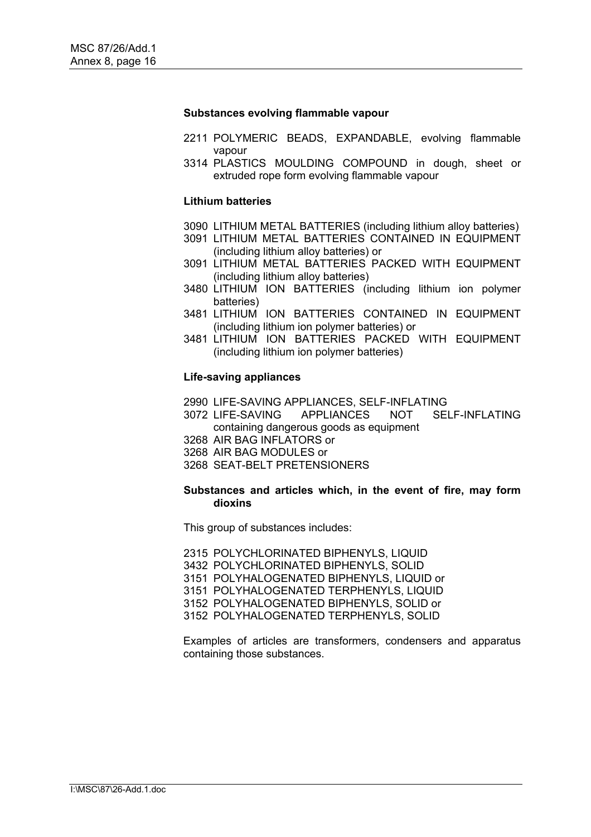#### **Substances evolving flammable vapour**

- 2211 POLYMERIC BEADS, EXPANDABLE, evolving flammable vapour
- 3314 PLASTICS MOULDING COMPOUND in dough, sheet or extruded rope form evolving flammable vapour

#### **Lithium batteries**

- 3090 LITHIUM METAL BATTERIES (including lithium alloy batteries)
- 3091 LITHIUM METAL BATTERIES CONTAINED IN EQUIPMENT (including lithium alloy batteries) or
- 3091 LITHIUM METAL BATTERIES PACKED WITH EQUIPMENT (including lithium alloy batteries)
- 3480 LITHIUM ION BATTERIES (including lithium ion polymer batteries)
- 3481 LITHIUM ION BATTERIES CONTAINED IN EQUIPMENT (including lithium ion polymer batteries) or
- 3481 LITHIUM ION BATTERIES PACKED WITH EQUIPMENT (including lithium ion polymer batteries)

### **Life-saving appliances**

- 2990 LIFE-SAVING APPLIANCES, SELF-INFLATING
- 3072 LIFE-SAVING APPLIANCES NOT SELF-INFLATING containing dangerous goods as equipment
- 3268 AIR BAG INFLATORS or
- 3268 AIR BAG MODULES or
- 3268 SEAT-BELT PRETENSIONERS

#### **Substances and articles which, in the event of fire, may form dioxins**

This group of substances includes:

2315 POLYCHLORINATED BIPHENYLS, LIQUID 3432 POLYCHLORINATED BIPHENYLS, SOLID 3151 POLYHALOGENATED BIPHENYLS, LIQUID or 3151 POLYHALOGENATED TERPHENYLS, LIQUID 3152 POLYHALOGENATED BIPHENYLS, SOLID or 3152 POLYHALOGENATED TERPHENYLS, SOLID

Examples of articles are transformers, condensers and apparatus containing those substances.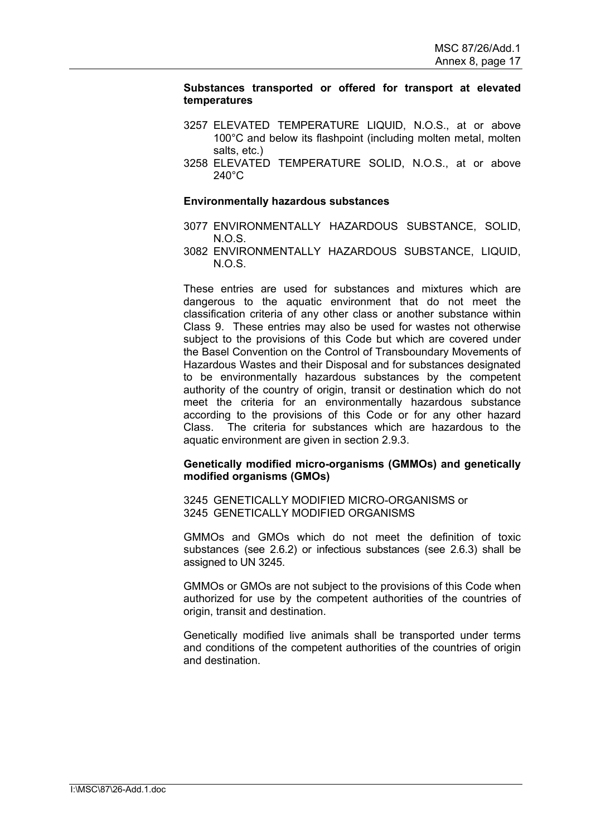### **Substances transported or offered for transport at elevated temperatures**

- 3257 ELEVATED TEMPERATURE LIQUID, N.O.S., at or above 100°C and below its flashpoint (including molten metal, molten salts, etc.)
- 3258 ELEVATED TEMPERATURE SOLID, N.O.S., at or above 240°C

#### **Environmentally hazardous substances**

- 3077 ENVIRONMENTALLY HAZARDOUS SUBSTANCE, SOLID,  $N \cap S$
- 3082 ENVIRONMENTALLY HAZARDOUS SUBSTANCE, LIQUID,  $N O.S.$

These entries are used for substances and mixtures which are dangerous to the aquatic environment that do not meet the classification criteria of any other class or another substance within Class 9. These entries may also be used for wastes not otherwise subject to the provisions of this Code but which are covered under the Basel Convention on the Control of Transboundary Movements of Hazardous Wastes and their Disposal and for substances designated to be environmentally hazardous substances by the competent authority of the country of origin, transit or destination which do not meet the criteria for an environmentally hazardous substance according to the provisions of this Code or for any other hazard Class. The criteria for substances which are hazardous to the aquatic environment are given in section 2.9.3.

## **Genetically modified micro-organisms (GMMOs) and genetically modified organisms (GMOs)**

3245 GENETICALLY MODIFIED MICRO-ORGANISMS or 3245 GENETICALLY MODIFIED ORGANISMS

GMMOs and GMOs which do not meet the definition of toxic substances (see 2.6.2) or infectious substances (see 2.6.3) shall be assigned to UN 3245.

GMMOs or GMOs are not subject to the provisions of this Code when authorized for use by the competent authorities of the countries of origin, transit and destination.

Genetically modified live animals shall be transported under terms and conditions of the competent authorities of the countries of origin and destination.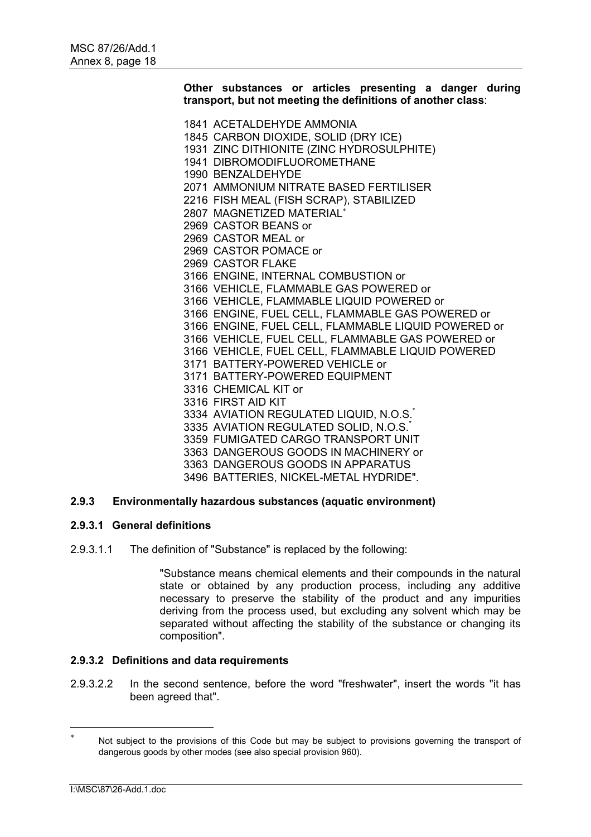**Other substances or articles presenting a danger during transport, but not meeting the definitions of another class**:

1841 ACETALDEHYDE AMMONIA 1845 CARBON DIOXIDE, SOLID (DRY ICE) 1931 ZINC DITHIONITE (ZINC HYDROSULPHITE) 1941 DIBROMODIFLUOROMETHANE 1990 BENZALDEHYDE 2071 AMMONIUM NITRATE BASED FERTILISER 2216 FISH MEAL (FISH SCRAP), STABILIZED 2807 MAGNETIZED MATERIAL 2969 CASTOR BEANS or 2969 CASTOR MEAL or 2969 CASTOR POMACE or 2969 CASTOR FLAKE 3166 ENGINE, INTERNAL COMBUSTION or 3166 VEHICLE, FLAMMABLE GAS POWERED or 3166 VEHICLE, FLAMMABLE LIQUID POWERED or 3166 ENGINE, FUEL CELL, FLAMMABLE GAS POWERED or 3166 ENGINE, FUEL CELL, FLAMMABLE LIQUID POWERED or 3166 VEHICLE, FUEL CELL, FLAMMABLE GAS POWERED or 3166 VEHICLE, FUEL CELL, FLAMMABLE LIQUID POWERED 3171 BATTERY-POWERED VEHICLE or 3171 BATTERY-POWERED EQUIPMENT 3316 CHEMICAL KIT or 3316 FIRST AID KIT 3334 AVIATION REGULATED LIQUID, N.O.S.<sup>\*</sup> 3335 AVIATION REGULATED SOLID, N.O.S. 3359 FUMIGATED CARGO TRANSPORT UNIT 3363 DANGEROUS GOODS IN MACHINERY or 3363 DANGEROUS GOODS IN APPARATUS 3496 BATTERIES, NICKEL-METAL HYDRIDE".

# **2.9.3 Environmentally hazardous substances (aquatic environment)**

## **2.9.3.1 General definitions**

2.9.3.1.1 The definition of "Substance" is replaced by the following:

"Substance means chemical elements and their compounds in the natural state or obtained by any production process, including any additive necessary to preserve the stability of the product and any impurities deriving from the process used, but excluding any solvent which may be separated without affecting the stability of the substance or changing its composition".

## **2.9.3.2 Definitions and data requirements**

2.9.3.2.2 In the second sentence, before the word "freshwater", insert the words "it has been agreed that".

 $\overline{a}$ 

<sup>×</sup>  Not subject to the provisions of this Code but may be subject to provisions governing the transport of dangerous goods by other modes (see also special provision 960).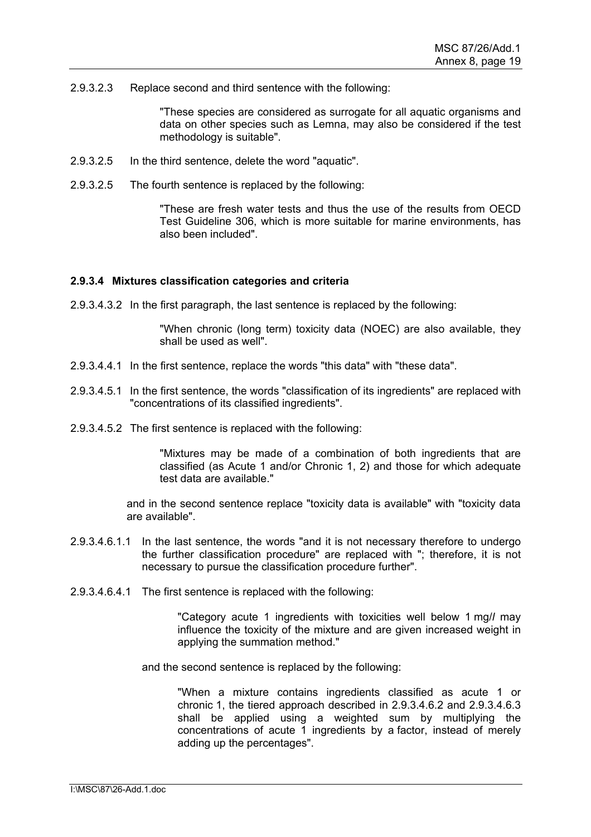2.9.3.2.3 Replace second and third sentence with the following:

"These species are considered as surrogate for all aquatic organisms and data on other species such as Lemna, may also be considered if the test methodology is suitable".

- 2.9.3.2.5 In the third sentence, delete the word "aquatic".
- 2.9.3.2.5 The fourth sentence is replaced by the following:

"These are fresh water tests and thus the use of the results from OECD Test Guideline 306, which is more suitable for marine environments, has also been included".

#### **2.9.3.4 Mixtures classification categories and criteria**

2.9.3.4.3.2 In the first paragraph, the last sentence is replaced by the following:

"When chronic (long term) toxicity data (NOEC) are also available, they shall be used as well".

- 2.9.3.4.4.1 In the first sentence, replace the words "this data" with "these data".
- 2.9.3.4.5.1 In the first sentence, the words "classification of its ingredients" are replaced with "concentrations of its classified ingredients".
- 2.9.3.4.5.2 The first sentence is replaced with the following:

"Mixtures may be made of a combination of both ingredients that are classified (as Acute 1 and/or Chronic 1, 2) and those for which adequate test data are available."

 and in the second sentence replace "toxicity data is available" with "toxicity data are available".

- 2.9.3.4.6.1.1 In the last sentence, the words "and it is not necessary therefore to undergo the further classification procedure" are replaced with "; therefore, it is not necessary to pursue the classification procedure further".
- 2.9.3.4.6.4.1 The first sentence is replaced with the following:

"Category acute 1 ingredients with toxicities well below 1 mg/*l* may influence the toxicity of the mixture and are given increased weight in applying the summation method."

and the second sentence is replaced by the following:

"When a mixture contains ingredients classified as acute 1 or chronic 1, the tiered approach described in 2.9.3.4.6.2 and 2.9.3.4.6.3 shall be applied using a weighted sum by multiplying the concentrations of acute 1 ingredients by a factor, instead of merely adding up the percentages".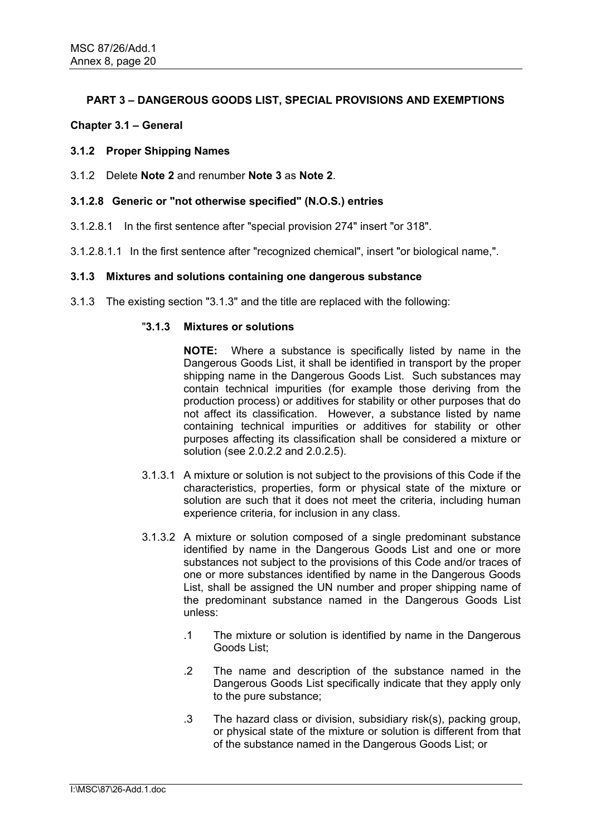# **PART 3 – DANGEROUS GOODS LIST, SPECIAL PROVISIONS AND EXEMPTIONS**

## **Chapter 3.1 – General**

## **3.1.2 Proper Shipping Names**

3.1.2 Delete **Note 2** and renumber **Note 3** as **Note 2**.

### **3.1.2.8 Generic or "not otherwise specified" (N.O.S.) entries**

- 3.1.2.8.1 In the first sentence after "special provision 274" insert "or 318".
- 3.1.2.8.1.1 In the first sentence after "recognized chemical", insert "or biological name,".

## **3.1.3 Mixtures and solutions containing one dangerous substance**

3.1.3 The existing section "3.1.3" and the title are replaced with the following:

## "**3.1.3 Mixtures or solutions**

**NOTE:** Where a substance is specifically listed by name in the Dangerous Goods List, it shall be identified in transport by the proper shipping name in the Dangerous Goods List. Such substances may contain technical impurities (for example those deriving from the production process) or additives for stability or other purposes that do not affect its classification. However, a substance listed by name containing technical impurities or additives for stability or other purposes affecting its classification shall be considered a mixture or solution (see 2.0.2.2 and 2.0.2.5).

- 3.1.3.1 A mixture or solution is not subject to the provisions of this Code if the characteristics, properties, form or physical state of the mixture or solution are such that it does not meet the criteria, including human experience criteria, for inclusion in any class.
- 3.1.3.2 A mixture or solution composed of a single predominant substance identified by name in the Dangerous Goods List and one or more substances not subject to the provisions of this Code and/or traces of one or more substances identified by name in the Dangerous Goods List, shall be assigned the UN number and proper shipping name of the predominant substance named in the Dangerous Goods List unless:
	- .1 The mixture or solution is identified by name in the Dangerous Goods List;
	- .2 The name and description of the substance named in the Dangerous Goods List specifically indicate that they apply only to the pure substance;
	- .3 The hazard class or division, subsidiary risk(s), packing group, or physical state of the mixture or solution is different from that of the substance named in the Dangerous Goods List; or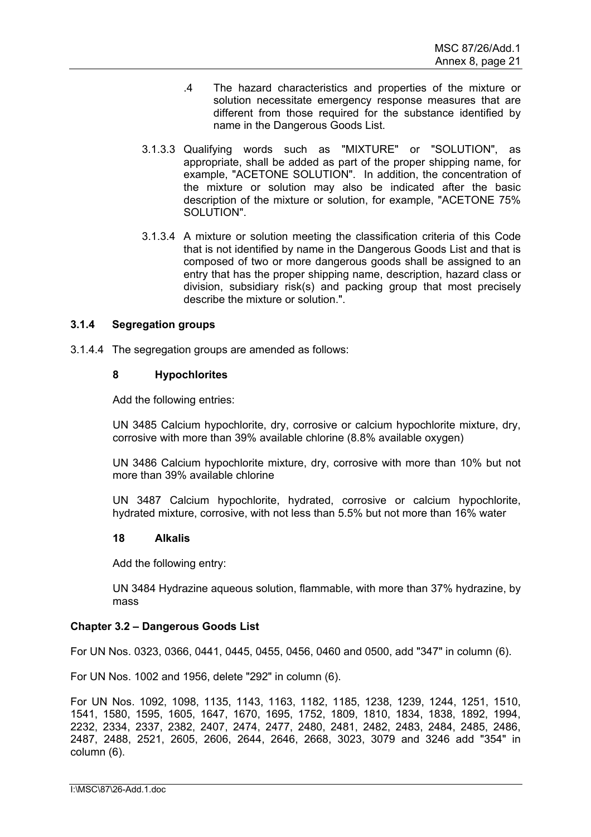- .4 The hazard characteristics and properties of the mixture or solution necessitate emergency response measures that are different from those required for the substance identified by name in the Dangerous Goods List.
- 3.1.3.3 Qualifying words such as "MIXTURE" or "SOLUTION", as appropriate, shall be added as part of the proper shipping name, for example, "ACETONE SOLUTION". In addition, the concentration of the mixture or solution may also be indicated after the basic description of the mixture or solution, for example, "ACETONE 75% SOLUTION".
- 3.1.3.4 A mixture or solution meeting the classification criteria of this Code that is not identified by name in the Dangerous Goods List and that is composed of two or more dangerous goods shall be assigned to an entry that has the proper shipping name, description, hazard class or division, subsidiary risk(s) and packing group that most precisely describe the mixture or solution.".

## **3.1.4 Segregation groups**

3.1.4.4 The segregation groups are amended as follows:

## **8 Hypochlorites**

Add the following entries:

UN 3485 Calcium hypochlorite, dry, corrosive or calcium hypochlorite mixture, dry, corrosive with more than 39% available chlorine (8.8% available oxygen)

UN 3486 Calcium hypochlorite mixture, dry, corrosive with more than 10% but not more than 39% available chlorine

UN 3487 Calcium hypochlorite, hydrated, corrosive or calcium hypochlorite, hydrated mixture, corrosive, with not less than 5.5% but not more than 16% water

#### **18 Alkalis**

Add the following entry:

UN 3484 Hydrazine aqueous solution, flammable, with more than 37% hydrazine, by mass

## **Chapter 3.2 – Dangerous Goods List**

For UN Nos. 0323, 0366, 0441, 0445, 0455, 0456, 0460 and 0500, add "347" in column (6).

For UN Nos. 1002 and 1956, delete "292" in column (6).

For UN Nos. 1092, 1098, 1135, 1143, 1163, 1182, 1185, 1238, 1239, 1244, 1251, 1510, 1541, 1580, 1595, 1605, 1647, 1670, 1695, 1752, 1809, 1810, 1834, 1838, 1892, 1994, 2232, 2334, 2337, 2382, 2407, 2474, 2477, 2480, 2481, 2482, 2483, 2484, 2485, 2486, 2487, 2488, 2521, 2605, 2606, 2644, 2646, 2668, 3023, 3079 and 3246 add "354" in column (6).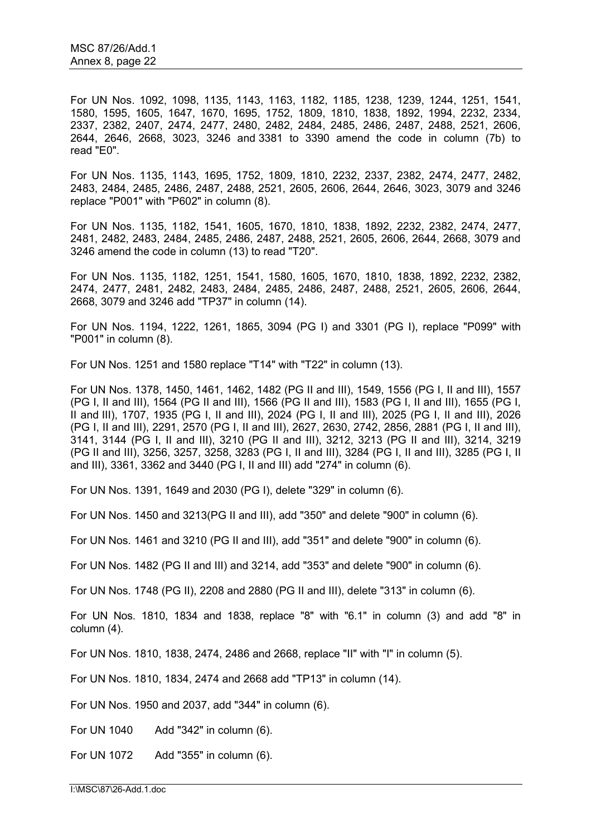For UN Nos. 1092, 1098, 1135, 1143, 1163, 1182, 1185, 1238, 1239, 1244, 1251, 1541, 1580, 1595, 1605, 1647, 1670, 1695, 1752, 1809, 1810, 1838, 1892, 1994, 2232, 2334, 2337, 2382, 2407, 2474, 2477, 2480, 2482, 2484, 2485, 2486, 2487, 2488, 2521, 2606, 2644, 2646, 2668, 3023, 3246 and 3381 to 3390 amend the code in column (7b) to read "E0".

For UN Nos. 1135, 1143, 1695, 1752, 1809, 1810, 2232, 2337, 2382, 2474, 2477, 2482, 2483, 2484, 2485, 2486, 2487, 2488, 2521, 2605, 2606, 2644, 2646, 3023, 3079 and 3246 replace "P001" with "P602" in column (8).

For UN Nos. 1135, 1182, 1541, 1605, 1670, 1810, 1838, 1892, 2232, 2382, 2474, 2477, 2481, 2482, 2483, 2484, 2485, 2486, 2487, 2488, 2521, 2605, 2606, 2644, 2668, 3079 and 3246 amend the code in column (13) to read "T20".

For UN Nos. 1135, 1182, 1251, 1541, 1580, 1605, 1670, 1810, 1838, 1892, 2232, 2382, 2474, 2477, 2481, 2482, 2483, 2484, 2485, 2486, 2487, 2488, 2521, 2605, 2606, 2644, 2668, 3079 and 3246 add "TP37" in column (14).

For UN Nos. 1194, 1222, 1261, 1865, 3094 (PG I) and 3301 (PG I), replace "P099" with "P001" in column (8).

For UN Nos. 1251 and 1580 replace "T14" with "T22" in column (13).

For UN Nos. 1378, 1450, 1461, 1462, 1482 (PG II and III), 1549, 1556 (PG I, II and III), 1557 (PG I, II and III), 1564 (PG II and III), 1566 (PG II and III), 1583 (PG I, II and III), 1655 (PG I, II and III), 1707, 1935 (PG I, II and III), 2024 (PG I, II and III), 2025 (PG I, II and III), 2026 (PG I, II and III), 2291, 2570 (PG I, II and III), 2627, 2630, 2742, 2856, 2881 (PG I, II and III), 3141, 3144 (PG I, II and III), 3210 (PG II and III), 3212, 3213 (PG II and III), 3214, 3219 (PG II and III), 3256, 3257, 3258, 3283 (PG I, II and III), 3284 (PG I, II and III), 3285 (PG I, II and III), 3361, 3362 and 3440 (PG I, II and III) add "274" in column (6).

For UN Nos. 1391, 1649 and 2030 (PG I), delete "329" in column (6).

For UN Nos. 1450 and 3213(PG II and III), add "350" and delete "900" in column (6).

For UN Nos. 1461 and 3210 (PG II and III), add "351" and delete "900" in column (6).

For UN Nos. 1482 (PG II and III) and 3214, add "353" and delete "900" in column (6).

For UN Nos. 1748 (PG II), 2208 and 2880 (PG II and III), delete "313" in column (6).

For UN Nos. 1810, 1834 and 1838, replace "8" with "6.1" in column (3) and add "8" in column (4).

For UN Nos. 1810, 1838, 2474, 2486 and 2668, replace "II" with "I" in column (5).

For UN Nos. 1810, 1834, 2474 and 2668 add "TP13" in column (14).

For UN Nos. 1950 and 2037, add "344" in column (6).

For UN 1040 Add "342" in column (6).

For UN 1072 Add "355" in column (6).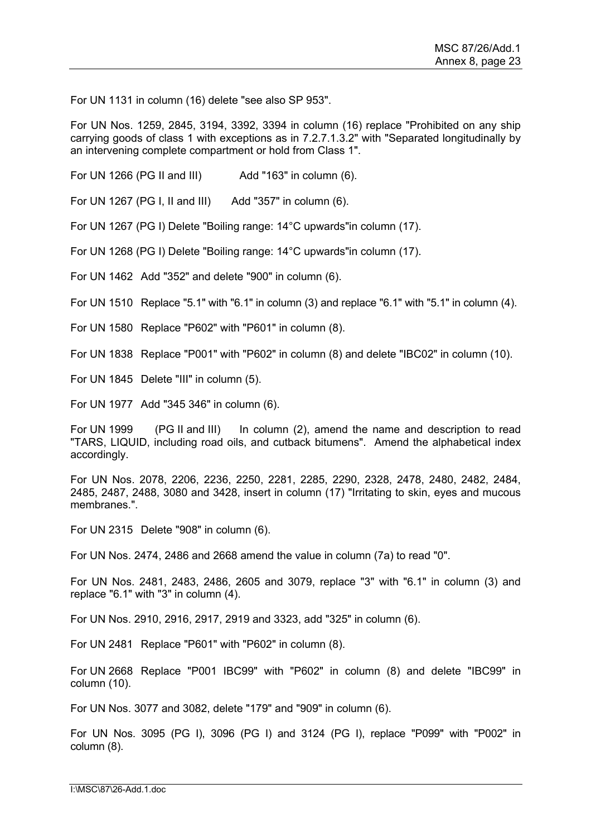For UN 1131 in column (16) delete "see also SP 953".

For UN Nos. 1259, 2845, 3194, 3392, 3394 in column (16) replace "Prohibited on any ship carrying goods of class 1 with exceptions as in 7.2.7.1.3.2" with "Separated longitudinally by an intervening complete compartment or hold from Class 1".

For UN 1266 (PG II and III) Add "163" in column (6).

For UN 1267 (PG I, II and III) Add "357" in column (6).

For UN 1267 (PG I) Delete "Boiling range: 14°C upwards"in column (17).

For UN 1268 (PG I) Delete "Boiling range: 14°C upwards"in column (17).

For UN 1462 Add "352" and delete "900" in column (6).

For UN 1510 Replace "5.1" with "6.1" in column (3) and replace "6.1" with "5.1" in column (4).

For UN 1580 Replace "P602" with "P601" in column (8).

For UN 1838 Replace "P001" with "P602" in column (8) and delete "IBC02" in column (10).

For UN 1845 Delete "III" in column (5).

For UN 1977 Add "345 346" in column (6).

For UN 1999 (PG II and III) In column (2), amend the name and description to read "TARS, LIQUID, including road oils, and cutback bitumens". Amend the alphabetical index accordingly.

For UN Nos. 2078, 2206, 2236, 2250, 2281, 2285, 2290, 2328, 2478, 2480, 2482, 2484, 2485, 2487, 2488, 3080 and 3428, insert in column (17) "Irritating to skin, eyes and mucous membranes.".

For UN 2315 Delete "908" in column (6).

For UN Nos. 2474, 2486 and 2668 amend the value in column (7a) to read "0".

For UN Nos. 2481, 2483, 2486, 2605 and 3079, replace "3" with "6.1" in column (3) and replace "6.1" with "3" in column (4).

For UN Nos. 2910, 2916, 2917, 2919 and 3323, add "325" in column (6).

For UN 2481 Replace "P601" with "P602" in column (8).

For UN 2668 Replace "P001 IBC99" with "P602" in column (8) and delete "IBC99" in column (10).

For UN Nos. 3077 and 3082, delete "179" and "909" in column (6).

For UN Nos. 3095 (PG I), 3096 (PG I) and 3124 (PG I), replace "P099" with "P002" in column (8).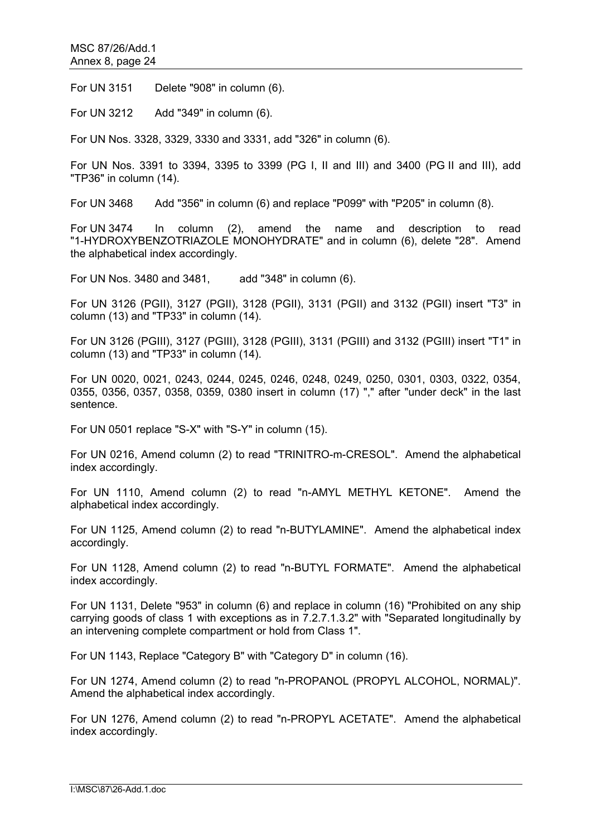For UN 3151 Delete "908" in column (6).

For UN 3212 Add "349" in column (6).

For UN Nos. 3328, 3329, 3330 and 3331, add "326" in column (6).

For UN Nos. 3391 to 3394, 3395 to 3399 (PG I, II and III) and 3400 (PG II and III), add "TP36" in column (14).

For UN 3468 Add "356" in column (6) and replace "P099" with "P205" in column (8).

For UN 3474 In column (2), amend the name and description to read "1-HYDROXYBENZOTRIAZOLE MONOHYDRATE" and in column (6), delete "28". Amend the alphabetical index accordingly.

For UN Nos. 3480 and 3481, add "348" in column (6).

For UN 3126 (PGII), 3127 (PGII), 3128 (PGII), 3131 (PGII) and 3132 (PGII) insert "T3" in column (13) and "TP33" in column (14).

For UN 3126 (PGIII), 3127 (PGIII), 3128 (PGIII), 3131 (PGIII) and 3132 (PGIII) insert "T1" in column (13) and "TP33" in column (14).

For UN 0020, 0021, 0243, 0244, 0245, 0246, 0248, 0249, 0250, 0301, 0303, 0322, 0354, 0355, 0356, 0357, 0358, 0359, 0380 insert in column (17) "," after "under deck" in the last sentence.

For UN 0501 replace "S-X" with "S-Y" in column (15).

For UN 0216, Amend column (2) to read "TRINITRO-m-CRESOL". Amend the alphabetical index accordingly.

For UN 1110, Amend column (2) to read "n-AMYL METHYL KETONE". Amend the alphabetical index accordingly.

For UN 1125, Amend column (2) to read "n-BUTYLAMINE". Amend the alphabetical index accordingly.

For UN 1128, Amend column (2) to read "n-BUTYL FORMATE". Amend the alphabetical index accordingly.

For UN 1131, Delete "953" in column (6) and replace in column (16) "Prohibited on any ship carrying goods of class 1 with exceptions as in 7.2.7.1.3.2" with "Separated longitudinally by an intervening complete compartment or hold from Class 1".

For UN 1143, Replace "Category B" with "Category D" in column (16).

For UN 1274, Amend column (2) to read "n-PROPANOL (PROPYL ALCOHOL, NORMAL)". Amend the alphabetical index accordingly.

For UN 1276, Amend column (2) to read "n-PROPYL ACETATE". Amend the alphabetical index accordingly.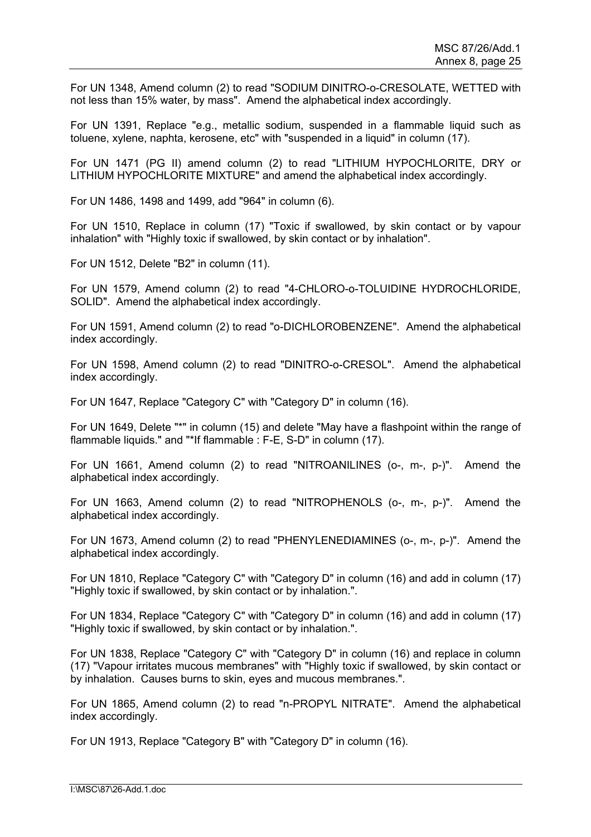For UN 1348, Amend column (2) to read "SODIUM DINITRO-o-CRESOLATE, WETTED with not less than 15% water, by mass". Amend the alphabetical index accordingly.

For UN 1391, Replace "e.g., metallic sodium, suspended in a flammable liquid such as toluene, xylene, naphta, kerosene, etc" with "suspended in a liquid" in column (17).

For UN 1471 (PG II) amend column (2) to read "LITHIUM HYPOCHLORITE, DRY or LITHIUM HYPOCHLORITE MIXTURE" and amend the alphabetical index accordingly.

For UN 1486, 1498 and 1499, add "964" in column (6).

For UN 1510, Replace in column (17) "Toxic if swallowed, by skin contact or by vapour inhalation" with "Highly toxic if swallowed, by skin contact or by inhalation".

For UN 1512, Delete "B2" in column (11).

For UN 1579, Amend column (2) to read "4-CHLORO-o-TOLUIDINE HYDROCHLORIDE, SOLID". Amend the alphabetical index accordingly.

For UN 1591, Amend column (2) to read "o-DICHLOROBENZENE". Amend the alphabetical index accordingly.

For UN 1598, Amend column (2) to read "DINITRO-o-CRESOL". Amend the alphabetical index accordingly.

For UN 1647, Replace "Category C" with "Category D" in column (16).

For UN 1649, Delete "\*" in column (15) and delete "May have a flashpoint within the range of flammable liquids." and "\*If flammable : F-E, S-D" in column (17).

For UN 1661, Amend column (2) to read "NITROANILINES (o-, m-, p-)". Amend the alphabetical index accordingly.

For UN 1663, Amend column (2) to read "NITROPHENOLS (o-, m-, p-)". Amend the alphabetical index accordingly.

For UN 1673, Amend column (2) to read "PHENYLENEDIAMINES (o-, m-, p-)". Amend the alphabetical index accordingly.

For UN 1810, Replace "Category C" with "Category D" in column (16) and add in column (17) "Highly toxic if swallowed, by skin contact or by inhalation.".

For UN 1834, Replace "Category C" with "Category D" in column (16) and add in column (17) "Highly toxic if swallowed, by skin contact or by inhalation.".

For UN 1838, Replace "Category C" with "Category D" in column (16) and replace in column (17) "Vapour irritates mucous membranes" with "Highly toxic if swallowed, by skin contact or by inhalation. Causes burns to skin, eyes and mucous membranes.".

For UN 1865, Amend column (2) to read "n-PROPYL NITRATE". Amend the alphabetical index accordingly.

For UN 1913, Replace "Category B" with "Category D" in column (16).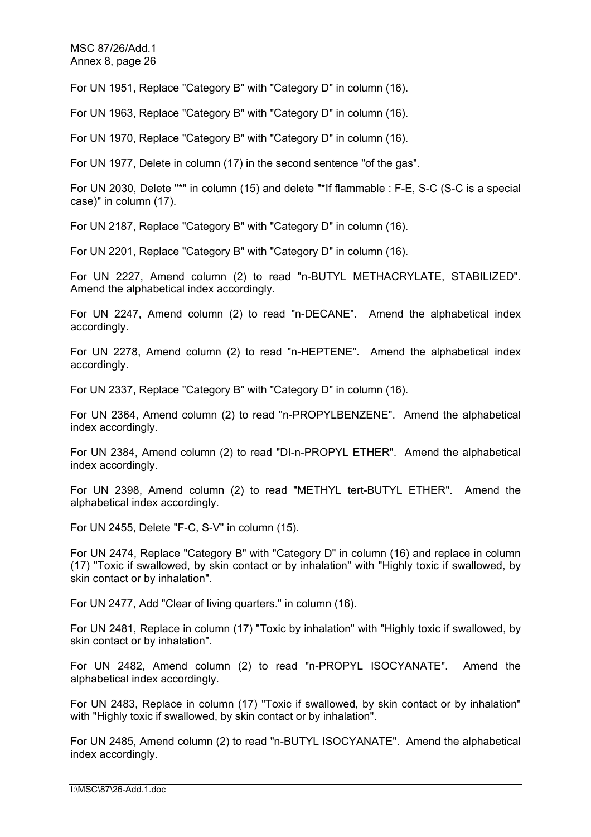For UN 1951, Replace "Category B" with "Category D" in column (16).

For UN 1963, Replace "Category B" with "Category D" in column (16).

For UN 1970, Replace "Category B" with "Category D" in column (16).

For UN 1977, Delete in column (17) in the second sentence "of the gas".

For UN 2030, Delete "\*" in column (15) and delete "\*If flammable : F-E, S-C (S-C is a special case)" in column (17).

For UN 2187, Replace "Category B" with "Category D" in column (16).

For UN 2201, Replace "Category B" with "Category D" in column (16).

For UN 2227, Amend column (2) to read "n-BUTYL METHACRYLATE, STABILIZED". Amend the alphabetical index accordingly.

For UN 2247, Amend column (2) to read "n-DECANE". Amend the alphabetical index accordingly.

For UN 2278, Amend column (2) to read "n-HEPTENE". Amend the alphabetical index accordingly.

For UN 2337, Replace "Category B" with "Category D" in column (16).

For UN 2364, Amend column (2) to read "n-PROPYLBENZENE". Amend the alphabetical index accordingly.

For UN 2384, Amend column (2) to read "DI-n-PROPYL ETHER". Amend the alphabetical index accordingly.

For UN 2398, Amend column (2) to read "METHYL tert-BUTYL ETHER". Amend the alphabetical index accordingly.

For UN 2455, Delete "F-C, S-V" in column (15).

For UN 2474, Replace "Category B" with "Category D" in column (16) and replace in column (17) "Toxic if swallowed, by skin contact or by inhalation" with "Highly toxic if swallowed, by skin contact or by inhalation".

For UN 2477, Add "Clear of living quarters." in column (16).

For UN 2481, Replace in column (17) "Toxic by inhalation" with "Highly toxic if swallowed, by skin contact or by inhalation".

For UN 2482, Amend column (2) to read "n-PROPYL ISOCYANATE". Amend the alphabetical index accordingly.

For UN 2483, Replace in column (17) "Toxic if swallowed, by skin contact or by inhalation" with "Highly toxic if swallowed, by skin contact or by inhalation".

For UN 2485, Amend column (2) to read "n-BUTYL ISOCYANATE". Amend the alphabetical index accordingly.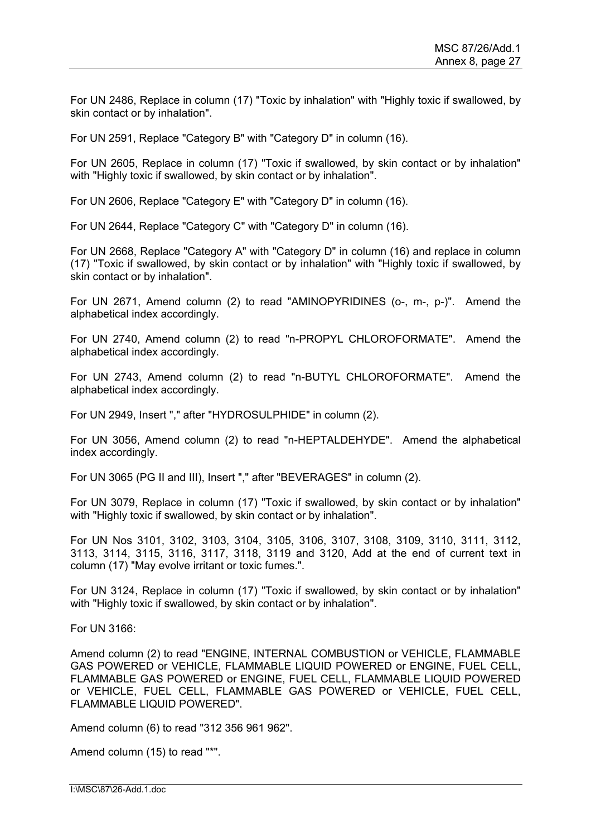For UN 2486, Replace in column (17) "Toxic by inhalation" with "Highly toxic if swallowed, by skin contact or by inhalation".

For UN 2591, Replace "Category B" with "Category D" in column (16).

For UN 2605, Replace in column (17) "Toxic if swallowed, by skin contact or by inhalation" with "Highly toxic if swallowed, by skin contact or by inhalation".

For UN 2606, Replace "Category E" with "Category D" in column (16).

For UN 2644, Replace "Category C" with "Category D" in column (16).

For UN 2668, Replace "Category A" with "Category D" in column (16) and replace in column (17) "Toxic if swallowed, by skin contact or by inhalation" with "Highly toxic if swallowed, by skin contact or by inhalation".

For UN 2671, Amend column (2) to read "AMINOPYRIDINES (o-, m-, p-)". Amend the alphabetical index accordingly.

For UN 2740, Amend column (2) to read "n-PROPYL CHLOROFORMATE". Amend the alphabetical index accordingly.

For UN 2743, Amend column (2) to read "n-BUTYL CHLOROFORMATE". Amend the alphabetical index accordingly.

For UN 2949, Insert "," after "HYDROSULPHIDE" in column (2).

For UN 3056, Amend column (2) to read "n-HEPTALDEHYDE". Amend the alphabetical index accordingly.

For UN 3065 (PG II and III), Insert "," after "BEVERAGES" in column (2).

For UN 3079, Replace in column (17) "Toxic if swallowed, by skin contact or by inhalation" with "Highly toxic if swallowed, by skin contact or by inhalation".

For UN Nos 3101, 3102, 3103, 3104, 3105, 3106, 3107, 3108, 3109, 3110, 3111, 3112, 3113, 3114, 3115, 3116, 3117, 3118, 3119 and 3120, Add at the end of current text in column (17) "May evolve irritant or toxic fumes.".

For UN 3124, Replace in column (17) "Toxic if swallowed, by skin contact or by inhalation" with "Highly toxic if swallowed, by skin contact or by inhalation".

For UN 3166:

Amend column (2) to read "ENGINE, INTERNAL COMBUSTION or VEHICLE, FLAMMABLE GAS POWERED or VEHICLE, FLAMMABLE LIQUID POWERED or ENGINE, FUEL CELL, FLAMMABLE GAS POWERED or ENGINE, FUEL CELL, FLAMMABLE LIQUID POWERED or VEHICLE, FUEL CELL, FLAMMABLE GAS POWERED or VEHICLE, FUEL CELL, FLAMMABLE LIQUID POWERED".

Amend column (6) to read "312 356 961 962".

Amend column (15) to read "\*".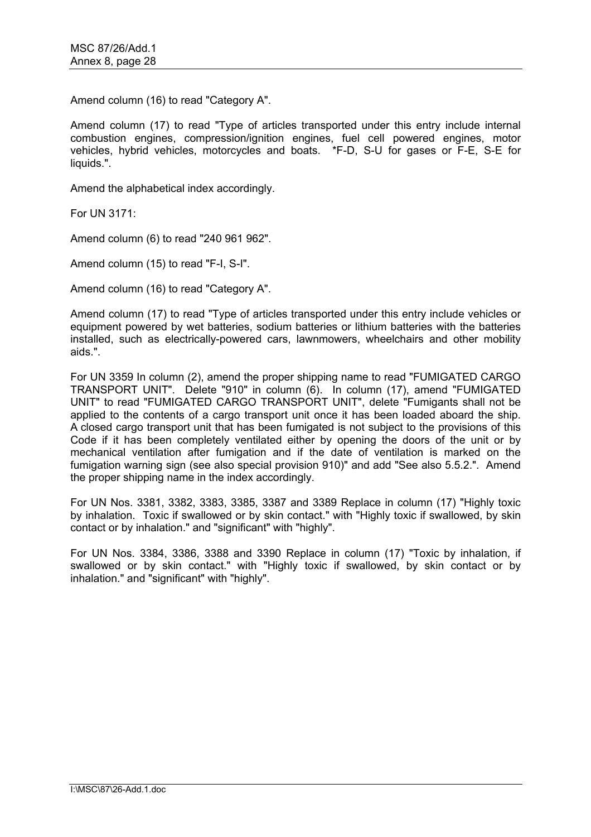Amend column (16) to read "Category A".

Amend column (17) to read "Type of articles transported under this entry include internal combustion engines, compression/ignition engines, fuel cell powered engines, motor vehicles, hybrid vehicles, motorcycles and boats. \*F-D, S-U for gases or F-E, S-E for liquids.".

Amend the alphabetical index accordingly.

For UN 3171:

Amend column (6) to read "240 961 962".

Amend column (15) to read "F-I, S-I".

Amend column (16) to read "Category A".

Amend column (17) to read "Type of articles transported under this entry include vehicles or equipment powered by wet batteries, sodium batteries or lithium batteries with the batteries installed, such as electrically-powered cars, lawnmowers, wheelchairs and other mobility aids.".

For UN 3359 In column (2), amend the proper shipping name to read "FUMIGATED CARGO TRANSPORT UNIT". Delete "910" in column (6). In column (17), amend "FUMIGATED UNIT" to read "FUMIGATED CARGO TRANSPORT UNIT", delete "Fumigants shall not be applied to the contents of a cargo transport unit once it has been loaded aboard the ship. A closed cargo transport unit that has been fumigated is not subject to the provisions of this Code if it has been completely ventilated either by opening the doors of the unit or by mechanical ventilation after fumigation and if the date of ventilation is marked on the fumigation warning sign (see also special provision 910)" and add "See also 5.5.2.". Amend the proper shipping name in the index accordingly.

For UN Nos. 3381, 3382, 3383, 3385, 3387 and 3389 Replace in column (17) "Highly toxic by inhalation. Toxic if swallowed or by skin contact." with "Highly toxic if swallowed, by skin contact or by inhalation." and "significant" with "highly".

For UN Nos. 3384, 3386, 3388 and 3390 Replace in column (17) "Toxic by inhalation, if swallowed or by skin contact." with "Highly toxic if swallowed, by skin contact or by inhalation." and "significant" with "highly".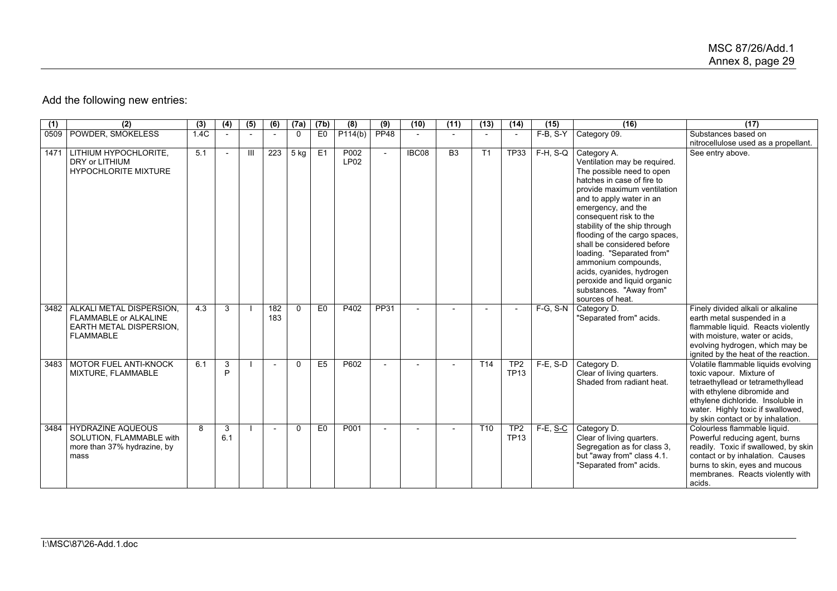# Add the following new entries:

| (1)  | (2)                                                                                              | (3)  | (4)      | (5)            | (6)        | (7a)     | (7b)           | (8)                      | (9)            | (10)  | (11)            | (13)            | (14)                           | (15)            | (16)                                                                                                                                                                                                                                                                                                                                                                                                                                                                             | (17)                                                                                                                                                                                                                                               |
|------|--------------------------------------------------------------------------------------------------|------|----------|----------------|------------|----------|----------------|--------------------------|----------------|-------|-----------------|-----------------|--------------------------------|-----------------|----------------------------------------------------------------------------------------------------------------------------------------------------------------------------------------------------------------------------------------------------------------------------------------------------------------------------------------------------------------------------------------------------------------------------------------------------------------------------------|----------------------------------------------------------------------------------------------------------------------------------------------------------------------------------------------------------------------------------------------------|
| 0509 | POWDER, SMOKELESS                                                                                | 1.4C |          |                |            | $\Omega$ | E <sub>0</sub> | P114(b)                  | <b>PP48</b>    |       |                 |                 |                                | F-B, S-Y        | Category 09.                                                                                                                                                                                                                                                                                                                                                                                                                                                                     | Substances based on<br>nitrocellulose used as a propellant.                                                                                                                                                                                        |
| 1471 | LITHIUM HYPOCHLORITE.<br>DRY or LITHIUM<br><b>HYPOCHLORITE MIXTURE</b>                           | 5.1  |          | $\mathbf{III}$ | 223        | 5 kg     | E1             | P002<br>LP <sub>02</sub> | $\overline{a}$ | IBC08 | $\overline{B3}$ | T1              | <b>TP33</b>                    | $F-H, S-Q$      | Category A.<br>Ventilation may be required.<br>The possible need to open<br>hatches in case of fire to<br>provide maximum ventilation<br>and to apply water in an<br>emergency, and the<br>consequent risk to the<br>stability of the ship through<br>flooding of the cargo spaces.<br>shall be considered before<br>loading. "Separated from"<br>ammonium compounds,<br>acids, cyanides, hydrogen<br>peroxide and liquid organic<br>substances. "Away from"<br>sources of heat. | See entry above.                                                                                                                                                                                                                                   |
| 3482 | ALKALI METAL DISPERSION.<br>FLAMMABLE or ALKALINE<br>EARTH METAL DISPERSION.<br><b>FLAMMABLE</b> | 4.3  | 3        |                | 182<br>183 | $\Omega$ | E <sub>0</sub> | P402                     | PP31           |       |                 |                 |                                | $F-G, S-N$      | Category D.<br>"Separated from" acids.                                                                                                                                                                                                                                                                                                                                                                                                                                           | Finely divided alkali or alkaline<br>earth metal suspended in a<br>flammable liquid. Reacts violently<br>with moisture, water or acids,<br>evolving hydrogen, which may be<br>ignited by the heat of the reaction.                                 |
| 3483 | MOTOR FUEL ANTI-KNOCK<br>MIXTURE, FLAMMABLE                                                      | 6.1  | 3<br>D   |                |            | $\Omega$ | E <sub>5</sub> | P602                     |                |       |                 | T <sub>14</sub> | TP <sub>2</sub><br><b>TP13</b> | $F-E$ , S-D     | Category D.<br>Clear of living quarters.<br>Shaded from radiant heat.                                                                                                                                                                                                                                                                                                                                                                                                            | Volatile flammable liquids evolving<br>toxic vapour. Mixture of<br>tetraethyllead or tetramethyllead<br>with ethylene dibromide and<br>ethylene dichloride. Insoluble in<br>water. Highly toxic if swallowed,<br>by skin contact or by inhalation. |
| 3484 | <b>HYDRAZINE AQUEOUS</b><br>SOLUTION. FLAMMABLE with<br>more than 37% hydrazine, by<br>mass      | 8    | 3<br>6.1 |                |            | $\Omega$ | E <sub>0</sub> | P001                     |                |       |                 | T10             | TP <sub>2</sub><br><b>TP13</b> | F-E, <u>S-C</u> | Category D.<br>Clear of living quarters.<br>Segregation as for class 3,<br>but "away from" class 4.1.<br>"Separated from" acids.                                                                                                                                                                                                                                                                                                                                                 | Colourless flammable liquid.<br>Powerful reducing agent, burns<br>readily. Toxic if swallowed, by skin<br>contact or by inhalation. Causes<br>burns to skin, eyes and mucous<br>membranes. Reacts violently with<br>acids.                         |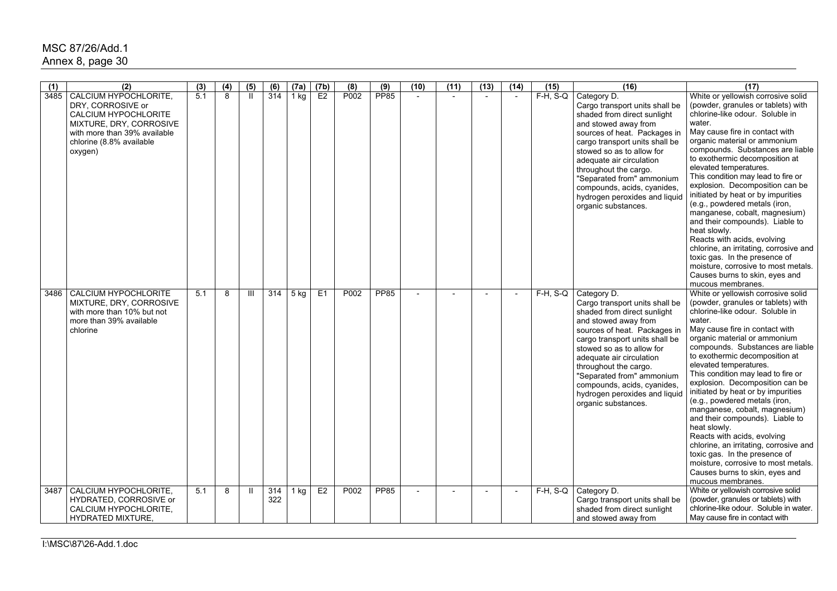## MSC 87/26/Add.1 Annex 8, page 30

| (1)  | (2)                                                    | (3) | (4)            | (5)          | (6) | (7a)   | (7b)           | (8)              | (9)         | (10)                     | (11) | (13) | (14)                     | (15)        | (16)                                                           | (17)                                                                     |
|------|--------------------------------------------------------|-----|----------------|--------------|-----|--------|----------------|------------------|-------------|--------------------------|------|------|--------------------------|-------------|----------------------------------------------------------------|--------------------------------------------------------------------------|
| 3485 | CALCIUM HYPOCHLORITE,<br>DRY, CORROSIVE or             | 5.1 | $\overline{8}$ | $\mathbf{H}$ | 314 | $1$ kg | E2             | P <sub>002</sub> | <b>PP85</b> |                          |      |      |                          | $F-H$ , S-Q | Category D.<br>Cargo transport units shall be                  | White or yellowish corrosive solid<br>(powder, granules or tablets) with |
|      | CALCIUM HYPOCHLORITE                                   |     |                |              |     |        |                |                  |             |                          |      |      |                          |             | shaded from direct sunlight                                    | chlorine-like odour. Soluble in                                          |
|      | MIXTURE, DRY, CORROSIVE                                |     |                |              |     |        |                |                  |             |                          |      |      |                          |             | and stowed away from                                           | water.                                                                   |
|      | with more than 39% available                           |     |                |              |     |        |                |                  |             |                          |      |      |                          |             | sources of heat. Packages in                                   | May cause fire in contact with                                           |
|      | chlorine (8.8% available<br>oxygen)                    |     |                |              |     |        |                |                  |             |                          |      |      |                          |             | cargo transport units shall be<br>stowed so as to allow for    | organic material or ammonium<br>compounds. Substances are liable         |
|      |                                                        |     |                |              |     |        |                |                  |             |                          |      |      |                          |             | adequate air circulation                                       | to exothermic decomposition at                                           |
|      |                                                        |     |                |              |     |        |                |                  |             |                          |      |      |                          |             | throughout the cargo.                                          | elevated temperatures.                                                   |
|      |                                                        |     |                |              |     |        |                |                  |             |                          |      |      |                          |             | "Separated from" ammonium                                      | This condition may lead to fire or<br>explosion. Decomposition can be    |
|      |                                                        |     |                |              |     |        |                |                  |             |                          |      |      |                          |             | compounds, acids, cyanides,<br>hydrogen peroxides and liquid   | initiated by heat or by impurities                                       |
|      |                                                        |     |                |              |     |        |                |                  |             |                          |      |      |                          |             | organic substances.                                            | (e.g., powdered metals (iron,                                            |
|      |                                                        |     |                |              |     |        |                |                  |             |                          |      |      |                          |             |                                                                | manganese, cobalt, magnesium)<br>and their compounds). Liable to         |
|      |                                                        |     |                |              |     |        |                |                  |             |                          |      |      |                          |             |                                                                | heat slowly.                                                             |
|      |                                                        |     |                |              |     |        |                |                  |             |                          |      |      |                          |             |                                                                | Reacts with acids, evolving                                              |
|      |                                                        |     |                |              |     |        |                |                  |             |                          |      |      |                          |             |                                                                | chlorine, an irritating, corrosive and<br>toxic gas. In the presence of  |
|      |                                                        |     |                |              |     |        |                |                  |             |                          |      |      |                          |             |                                                                | moisture, corrosive to most metals.                                      |
|      |                                                        |     |                |              |     |        |                |                  |             |                          |      |      |                          |             |                                                                | Causes burns to skin, eyes and                                           |
|      |                                                        |     |                |              |     |        |                |                  | <b>PP85</b> |                          |      |      |                          |             |                                                                | mucous membranes.                                                        |
| 3486 | <b>CALCIUM HYPOCHLORITE</b><br>MIXTURE, DRY, CORROSIVE | 5.1 | 8              | Ш            | 314 | 5 kg   | E <sub>1</sub> | P002             |             |                          |      |      |                          | $F-H$ , S-Q | Category D.<br>Cargo transport units shall be                  | White or yellowish corrosive solid<br>(powder, granules or tablets) with |
|      | with more than 10% but not                             |     |                |              |     |        |                |                  |             |                          |      |      |                          |             | shaded from direct sunlight                                    | chlorine-like odour. Soluble in                                          |
|      | more than 39% available                                |     |                |              |     |        |                |                  |             |                          |      |      |                          |             | and stowed away from                                           | water.<br>May cause fire in contact with                                 |
|      | chlorine                                               |     |                |              |     |        |                |                  |             |                          |      |      |                          |             | sources of heat. Packages in<br>cargo transport units shall be | organic material or ammonium                                             |
|      |                                                        |     |                |              |     |        |                |                  |             |                          |      |      |                          |             | stowed so as to allow for                                      | compounds. Substances are liable                                         |
|      |                                                        |     |                |              |     |        |                |                  |             |                          |      |      |                          |             | adequate air circulation                                       | to exothermic decomposition at<br>elevated temperatures.                 |
|      |                                                        |     |                |              |     |        |                |                  |             |                          |      |      |                          |             | throughout the cargo.<br>"Separated from" ammonium             | This condition may lead to fire or                                       |
|      |                                                        |     |                |              |     |        |                |                  |             |                          |      |      |                          |             | compounds, acids, cyanides,                                    | explosion. Decomposition can be                                          |
|      |                                                        |     |                |              |     |        |                |                  |             |                          |      |      |                          |             | hydrogen peroxides and liquid                                  | initiated by heat or by impurities                                       |
|      |                                                        |     |                |              |     |        |                |                  |             |                          |      |      |                          |             | organic substances.                                            | (e.g., powdered metals (iron,<br>manganese, cobalt, magnesium)           |
|      |                                                        |     |                |              |     |        |                |                  |             |                          |      |      |                          |             |                                                                | and their compounds). Liable to                                          |
|      |                                                        |     |                |              |     |        |                |                  |             |                          |      |      |                          |             |                                                                | heat slowly.                                                             |
|      |                                                        |     |                |              |     |        |                |                  |             |                          |      |      |                          |             |                                                                | Reacts with acids, evolving<br>chlorine, an irritating, corrosive and    |
|      |                                                        |     |                |              |     |        |                |                  |             |                          |      |      |                          |             |                                                                | toxic gas. In the presence of                                            |
|      |                                                        |     |                |              |     |        |                |                  |             |                          |      |      |                          |             |                                                                | moisture, corrosive to most metals.                                      |
|      |                                                        |     |                |              |     |        |                |                  |             |                          |      |      |                          |             |                                                                | Causes burns to skin, eyes and<br>mucous membranes.                      |
| 3487 | CALCIUM HYPOCHLORITE,                                  | 5.1 | 8              | -ll-         | 314 | 1 kg   | E2             | P002             | <b>PP85</b> | $\overline{\phantom{a}}$ |      |      | $\overline{\phantom{a}}$ | $F-H, S-Q$  | Category D.                                                    | White or yellowish corrosive solid                                       |
|      | HYDRATED, CORROSIVE or                                 |     |                |              | 322 |        |                |                  |             |                          |      |      |                          |             | Cargo transport units shall be                                 | (powder, granules or tablets) with                                       |
|      | CALCIUM HYPOCHLORITE,                                  |     |                |              |     |        |                |                  |             |                          |      |      |                          |             | shaded from direct sunlight                                    | chlorine-like odour. Soluble in water.                                   |
|      | <b>HYDRATED MIXTURE,</b>                               |     |                |              |     |        |                |                  |             |                          |      |      |                          |             | and stowed away from                                           | May cause fire in contact with                                           |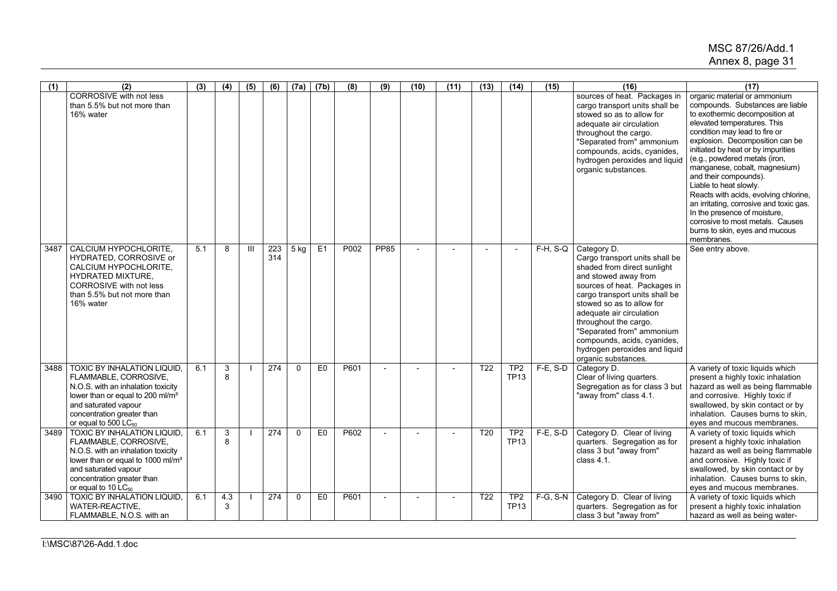| $\overline{(1)}$ | (2)                                                                                                                                                                                                                                         | (3) | $\overline{(4)}$  | (5)          | (6)        | (7a)         | (7b)           | (8)  | (9)            | (10)           | (11) | (13)             | (14)                           | (15)        | (16)                                                                                                                                                                                                                                                                                                                                                                         | (17)                                                                                                                                                                                                                                                                                                                                                                                                                                                                                                                                                                     |
|------------------|---------------------------------------------------------------------------------------------------------------------------------------------------------------------------------------------------------------------------------------------|-----|-------------------|--------------|------------|--------------|----------------|------|----------------|----------------|------|------------------|--------------------------------|-------------|------------------------------------------------------------------------------------------------------------------------------------------------------------------------------------------------------------------------------------------------------------------------------------------------------------------------------------------------------------------------------|--------------------------------------------------------------------------------------------------------------------------------------------------------------------------------------------------------------------------------------------------------------------------------------------------------------------------------------------------------------------------------------------------------------------------------------------------------------------------------------------------------------------------------------------------------------------------|
|                  | <b>CORROSIVE</b> with not less<br>than 5.5% but not more than<br>16% water                                                                                                                                                                  |     |                   |              |            |              |                |      |                |                |      |                  |                                |             | sources of heat. Packages in<br>cargo transport units shall be<br>stowed so as to allow for<br>adequate air circulation<br>throughout the cargo.<br>"Separated from" ammonium<br>compounds, acids, cyanides,<br>hydrogen peroxides and liquid<br>organic substances.                                                                                                         | organic material or ammonium<br>compounds. Substances are liable<br>to exothermic decomposition at<br>elevated temperatures. This<br>condition may lead to fire or<br>explosion. Decomposition can be<br>initiated by heat or by impurities<br>(e.g., powdered metals (iron,<br>manganese, cobalt, magnesium)<br>and their compounds).<br>Liable to heat slowly.<br>Reacts with acids, evolving chlorine,<br>an irritating, corrosive and toxic gas.<br>In the presence of moisture,<br>corrosive to most metals. Causes<br>burns to skin, eyes and mucous<br>membranes. |
| 3487             | CALCIUM HYPOCHLORITE.<br>HYDRATED, CORROSIVE or<br>CALCIUM HYPOCHLORITE,<br><b>HYDRATED MIXTURE.</b><br><b>CORROSIVE with not less</b><br>than 5.5% but not more than<br>16% water                                                          | 5.1 | 8                 | $\mathbf{H}$ | 223<br>314 | 5 kg         | E1             | P002 | <b>PP85</b>    | $\overline{a}$ |      |                  | $\overline{a}$                 | $F-H$ , S-Q | Category D.<br>Cargo transport units shall be<br>shaded from direct sunlight<br>and stowed away from<br>sources of heat. Packages in<br>cargo transport units shall be<br>stowed so as to allow for<br>adequate air circulation<br>throughout the cargo.<br>"Separated from" ammonium<br>compounds, acids, cyanides,<br>hydrogen peroxides and liquid<br>organic substances. | See entry above.                                                                                                                                                                                                                                                                                                                                                                                                                                                                                                                                                         |
| 3488             | <b>TOXIC BY INHALATION LIQUID,</b><br>FLAMMABLE, CORROSIVE,<br>N.O.S. with an inhalation toxicity<br>lower than or equal to 200 ml/m <sup>3</sup><br>and saturated vapour<br>concentration greater than<br>or equal to 500 LC <sub>50</sub> | 6.1 | 3<br>$\mathsf{R}$ |              | 274        | $\Omega$     | E <sub>0</sub> | P601 | $\overline{a}$ |                |      | T <sub>22</sub>  | TP <sub>2</sub><br><b>TP13</b> | $F-E$ , S-D | Category D.<br>Clear of living quarters.<br>Segregation as for class 3 but<br>"away from" class 4.1.                                                                                                                                                                                                                                                                         | A variety of toxic liquids which<br>present a highly toxic inhalation<br>hazard as well as being flammable<br>and corrosive. Highly toxic if<br>swallowed, by skin contact or by<br>inhalation. Causes burns to skin.<br>eyes and mucous membranes.                                                                                                                                                                                                                                                                                                                      |
| 3489             | <b>TOXIC BY INHALATION LIQUID,</b><br>FLAMMABLE, CORROSIVE,<br>N.O.S. with an inhalation toxicity<br>lower than or equal to 1000 ml/m <sup>3</sup><br>and saturated vapour<br>concentration greater than<br>or equal to 10 LC <sub>50</sub> | 6.1 | 3<br>8            |              | 274        | $\mathbf{0}$ | E0             | P602 | $\sim$         |                |      | $\overline{120}$ | TP <sub>2</sub><br><b>TP13</b> | $F-E$ , S-D | Category D. Clear of living<br>quarters. Segregation as for<br>class 3 but "away from"<br>class $4.1$ .                                                                                                                                                                                                                                                                      | A variety of toxic liquids which<br>present a highly toxic inhalation<br>hazard as well as being flammable<br>and corrosive. Highly toxic if<br>swallowed, by skin contact or by<br>inhalation. Causes burns to skin.<br>eyes and mucous membranes.                                                                                                                                                                                                                                                                                                                      |
| 3490             | <b>TOXIC BY INHALATION LIQUID,</b><br>WATER-REACTIVE,<br>FLAMMABLE, N.O.S. with an                                                                                                                                                          | 6.1 | 4.3<br>3          |              | 274        | $\Omega$     | E <sub>0</sub> | P601 | $\overline{a}$ |                |      | T <sub>22</sub>  | TP <sub>2</sub><br><b>TP13</b> | F-G, S-N    | Category D. Clear of living<br>quarters. Segregation as for<br>class 3 but "away from"                                                                                                                                                                                                                                                                                       | A variety of toxic liquids which<br>present a highly toxic inhalation<br>hazard as well as being water-                                                                                                                                                                                                                                                                                                                                                                                                                                                                  |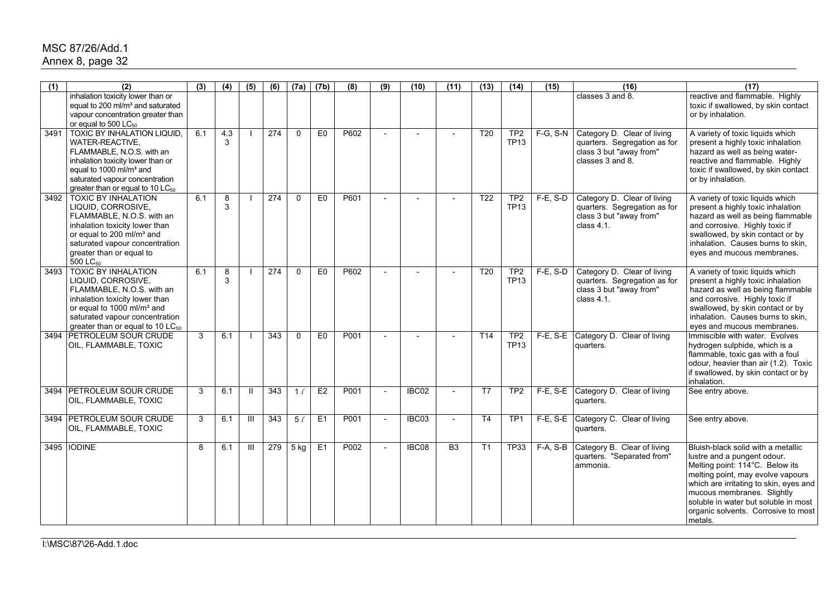## MSC 87/26/Add.1 Annex 8, page 32

| $\overline{(1)}$ | (2)                                                                                                                                                                                                                                              | (3) | (4)      | (5)            | (6)              | (7a)           | (7b)           | (8)  | (9)                      | (10)  | (11)            | (13)             | (14)                           | (15)          | (16)                                                                                                       | (17)                                                                                                                                                                                                                                                                                                        |
|------------------|--------------------------------------------------------------------------------------------------------------------------------------------------------------------------------------------------------------------------------------------------|-----|----------|----------------|------------------|----------------|----------------|------|--------------------------|-------|-----------------|------------------|--------------------------------|---------------|------------------------------------------------------------------------------------------------------------|-------------------------------------------------------------------------------------------------------------------------------------------------------------------------------------------------------------------------------------------------------------------------------------------------------------|
|                  | inhalation toxicity lower than or<br>equal to 200 ml/m <sup>3</sup> and saturated<br>vapour concentration greater than<br>or equal to 500 LC <sub>50</sub>                                                                                       |     |          |                |                  |                |                |      |                          |       |                 |                  |                                |               | classes 3 and 8.                                                                                           | reactive and flammable. Highly<br>toxic if swallowed, by skin contact<br>or by inhalation.                                                                                                                                                                                                                  |
| 3491             | <b>TOXIC BY INHALATION LIQUID,</b><br>WATER-REACTIVE,<br>FLAMMABLE, N.O.S. with an<br>inhalation toxicity lower than or<br>equal to 1000 ml/m <sup>3</sup> and<br>saturated vapour concentration<br>greater than or equal to 10 LC <sub>50</sub> | 6.1 | 4.3<br>3 |                | $\overline{274}$ | $\Omega$       | E <sub>0</sub> | P602 |                          |       |                 | $\overline{120}$ | TP2<br><b>TP13</b>             | $F-G, S-N$    | Category D. Clear of living<br>quarters. Segregation as for<br>class 3 but "away from"<br>classes 3 and 8. | A variety of toxic liquids which<br>present a highly toxic inhalation<br>hazard as well as being water-<br>reactive and flammable. Highly<br>toxic if swallowed, by skin contact<br>or by inhalation.                                                                                                       |
| 3492             | <b>TOXIC BY INHALATION</b><br>LIQUID, CORROSIVE,<br>FLAMMABLE, N.O.S. with an<br>inhalation toxicity lower than<br>or equal to 200 ml/m <sup>3</sup> and<br>saturated vapour concentration<br>greater than or equal to<br>500 LC <sub>50</sub>   | 6.1 | 8<br>3   |                | 274              | $\mathbf{0}$   | E <sub>0</sub> | P601 | $\overline{\phantom{a}}$ |       |                 | T22              | TP <sub>2</sub><br><b>TP13</b> | $F-E$ , S-D   | Category D. Clear of living<br>quarters. Segregation as for<br>class 3 but "away from"<br>class $4.1$ .    | A variety of toxic liquids which<br>present a highly toxic inhalation<br>hazard as well as being flammable<br>and corrosive. Highly toxic if<br>swallowed, by skin contact or by<br>inhalation. Causes burns to skin,<br>eyes and mucous membranes.                                                         |
| 3493             | <b>TOXIC BY INHALATION</b><br>LIQUID, CORROSIVE,<br>FLAMMABLE, N.O.S. with an<br>inhalation toxicity lower than<br>or equal to 1000 ml/m <sup>3</sup> and<br>saturated vapour concentration<br>greater than or equal to 10 $LC_{50}$             | 6.1 | 8<br>3   |                | 274              | $\Omega$       | E <sub>0</sub> | P602 | $\overline{\phantom{a}}$ |       |                 | T <sub>20</sub>  | TP <sub>2</sub><br><b>TP13</b> | $F-E$ , S-D   | Category D. Clear of living<br>quarters. Segregation as for<br>class 3 but "away from"<br>class 4.1.       | A variety of toxic liquids which<br>present a highly toxic inhalation<br>hazard as well as being flammable<br>and corrosive. Highly toxic if<br>swallowed, by skin contact or by<br>inhalation. Causes burns to skin,<br>eyes and mucous membranes.                                                         |
| 3494             | <b>PETROLEUM SOUR CRUDE</b><br>OIL, FLAMMABLE, TOXIC                                                                                                                                                                                             | 3   | 6.1      |                | 343              | $\mathbf{0}$   | E <sub>0</sub> | P001 | $\overline{\phantom{a}}$ |       |                 | T <sub>14</sub>  | TP <sub>2</sub><br><b>TP13</b> | $F-E$ , $S-E$ | Category D. Clear of living<br>quarters.                                                                   | Immiscible with water. Evolves<br>hydrogen sulphide, which is a<br>flammable, toxic gas with a foul<br>odour, heavier than air (1.2). Toxic<br>if swallowed, by skin contact or by<br>inhalation.                                                                                                           |
|                  | 3494 PETROLEUM SOUR CRUDE<br>OIL, FLAMMABLE, TOXIC                                                                                                                                                                                               | 3   | 6.1      | Ш              | 343              | $1\ell$        | E2             | P001 | $\overline{\phantom{a}}$ | IBC02 |                 | T7               | TP <sub>2</sub>                |               | F-E, S-E Category D. Clear of living<br>quarters.                                                          | See entry above.                                                                                                                                                                                                                                                                                            |
| 3494             | <b>PETROLEUM SOUR CRUDE</b><br>OIL, FLAMMABLE, TOXIC                                                                                                                                                                                             | 3   | 6.1      | $\mathbf{III}$ | 343              | 5 <sub>t</sub> | E1             | P001 | $\overline{\phantom{a}}$ | IBC03 | $\overline{a}$  | T <sub>4</sub>   | TP <sub>1</sub>                | $F-E$ , S-E   | Category C. Clear of living<br>quarters.                                                                   | See entry above.                                                                                                                                                                                                                                                                                            |
|                  | 3495   IODINE                                                                                                                                                                                                                                    | 8   | 6.1      | Ш              | 279              | $5$ kg         | E1             | P002 | $\overline{\phantom{a}}$ | IBC08 | $\overline{B3}$ | T <sub>1</sub>   | <b>TP33</b>                    | F-A, S-B      | Category B. Clear of living<br>quarters. "Separated from"<br>ammonia.                                      | Bluish-black solid with a metallic<br>lustre and a pungent odour.<br>Melting point: 114°C. Below its<br>melting point, may evolve vapours<br>which are irritating to skin, eyes and<br>mucous membranes. Slightly<br>soluble in water but soluble in most<br>organic solvents. Corrosive to most<br>metals. |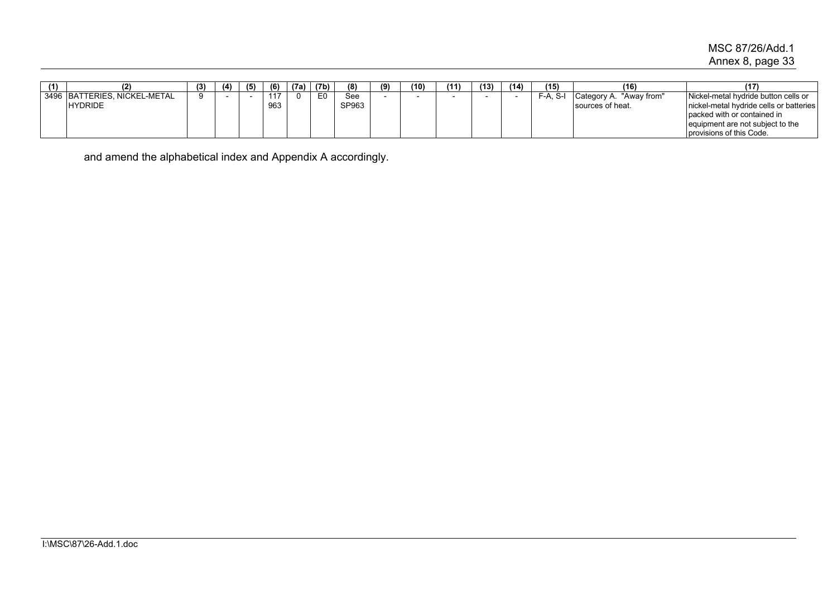# MSC 87/26/Add.1 Annex 8, page 33

| (1) |                              | (3 | (4) | (5) | (6) | (7a) | (7b) | (8)   | (9) | (10) | (11) | (13) | (14) | (15)    | 116                        | (17                                     |
|-----|------------------------------|----|-----|-----|-----|------|------|-------|-----|------|------|------|------|---------|----------------------------|-----------------------------------------|
|     | 3496 BATTERIES, NICKEL-METAL |    |     |     | 117 |      | E0   | See   |     |      |      |      |      | -A. S-ı | "Away from"<br>Category A. | Nickel-metal hydride button cells or    |
|     | <b>HYDRIDE</b>               |    |     |     | 963 |      |      | SP963 |     |      |      |      |      |         | sources of heat.           | nickel-metal hydride cells or batteries |
|     |                              |    |     |     |     |      |      |       |     |      |      |      |      |         |                            | packed with or contained in             |
|     |                              |    |     |     |     |      |      |       |     |      |      |      |      |         |                            | lequipment are not subject to the       |
|     |                              |    |     |     |     |      |      |       |     |      |      |      |      |         |                            | provisions of this Code.                |

and amend the alphabetical index and Appendix A accordingly.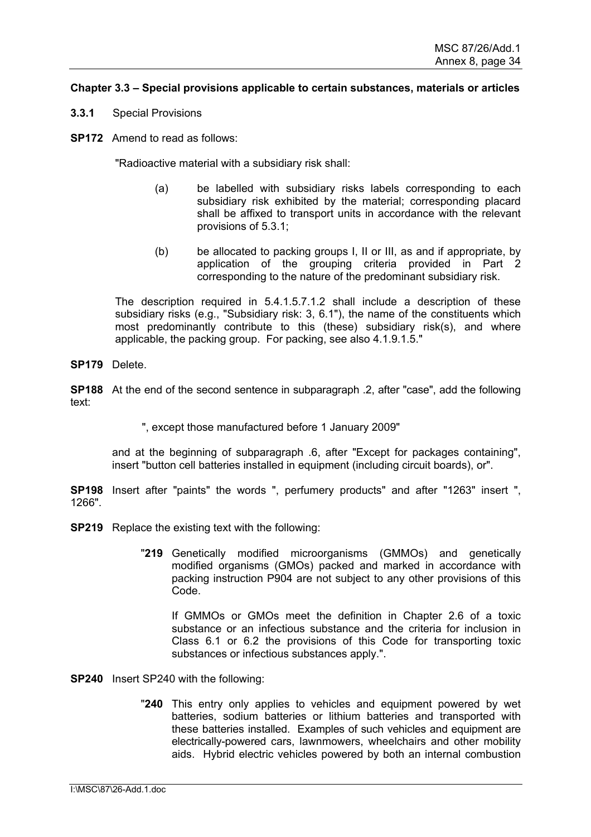## **Chapter 3.3 – Special provisions applicable to certain substances, materials or articles**

- **3.3.1** Special Provisions
- **SP172** Amend to read as follows:

"Radioactive material with a subsidiary risk shall:

- (a) be labelled with subsidiary risks labels corresponding to each subsidiary risk exhibited by the material; corresponding placard shall be affixed to transport units in accordance with the relevant provisions of 5.3.1;
- (b) be allocated to packing groups I, II or III, as and if appropriate, by application of the grouping criteria provided in Part 2 corresponding to the nature of the predominant subsidiary risk.

The description required in 5.4.1.5.7.1.2 shall include a description of these subsidiary risks (e.g., "Subsidiary risk: 3, 6.1"), the name of the constituents which most predominantly contribute to this (these) subsidiary risk(s), and where applicable, the packing group. For packing, see also 4.1.9.1.5."

**SP179** Delete.

**SP188** At the end of the second sentence in subparagraph .2, after "case", add the following text:

", except those manufactured before 1 January 2009"

and at the beginning of subparagraph .6, after "Except for packages containing", insert "button cell batteries installed in equipment (including circuit boards), or".

**SP198** Insert after "paints" the words ", perfumery products" and after "1263" insert ", 1266".

- **SP219** Replace the existing text with the following:
	- "**219** Genetically modified microorganisms (GMMOs) and genetically modified organisms (GMOs) packed and marked in accordance with packing instruction P904 are not subject to any other provisions of this Code.

 If GMMOs or GMOs meet the definition in Chapter 2.6 of a toxic substance or an infectious substance and the criteria for inclusion in Class 6.1 or 6.2 the provisions of this Code for transporting toxic substances or infectious substances apply.".

**SP240** Insert SP240 with the following:

"**240** This entry only applies to vehicles and equipment powered by wet batteries, sodium batteries or lithium batteries and transported with these batteries installed. Examples of such vehicles and equipment are electrically-powered cars, lawnmowers, wheelchairs and other mobility aids. Hybrid electric vehicles powered by both an internal combustion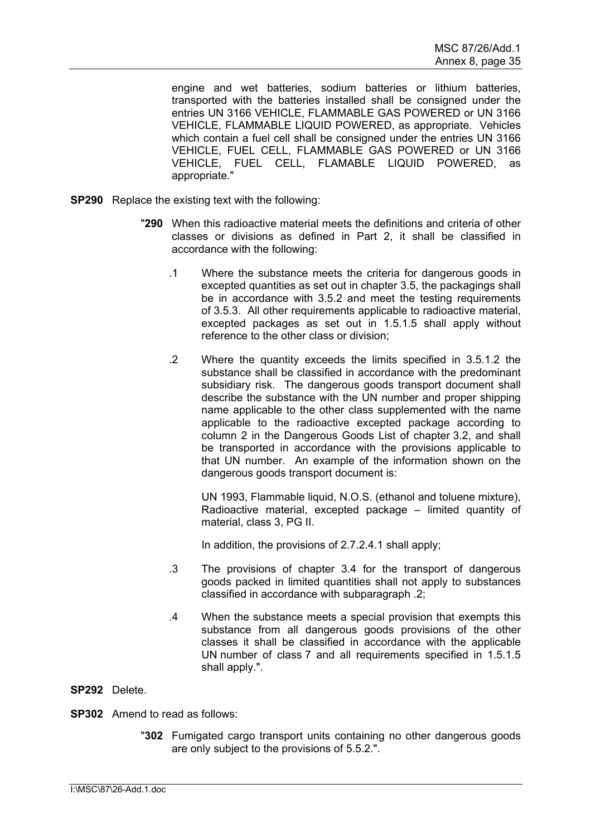engine and wet batteries, sodium batteries or lithium batteries, transported with the batteries installed shall be consigned under the entries UN 3166 VEHICLE, FLAMMABLE GAS POWERED or UN 3166 VEHICLE, FLAMMABLE LIQUID POWERED, as appropriate. Vehicles which contain a fuel cell shall be consigned under the entries UN 3166 VEHICLE, FUEL CELL, FLAMMABLE GAS POWERED or UN 3166 VEHICLE, FUEL CELL, FLAMABLE LIQUID POWERED, as appropriate."

- **SP290** Replace the existing text with the following:
	- "**290** When this radioactive material meets the definitions and criteria of other classes or divisions as defined in Part 2, it shall be classified in accordance with the following:
		- .1 Where the substance meets the criteria for dangerous goods in excepted quantities as set out in chapter 3.5, the packagings shall be in accordance with 3.5.2 and meet the testing requirements of 3.5.3. All other requirements applicable to radioactive material, excepted packages as set out in 1.5.1.5 shall apply without reference to the other class or division;
		- .2 Where the quantity exceeds the limits specified in 3.5.1.2 the substance shall be classified in accordance with the predominant subsidiary risk. The dangerous goods transport document shall describe the substance with the UN number and proper shipping name applicable to the other class supplemented with the name applicable to the radioactive excepted package according to column 2 in the Dangerous Goods List of chapter 3.2, and shall be transported in accordance with the provisions applicable to that UN number. An example of the information shown on the dangerous goods transport document is:

 UN 1993, Flammable liquid, N.O.S. (ethanol and toluene mixture), Radioactive material, excepted package – limited quantity of material, class 3, PG II.

In addition, the provisions of 2.7.2.4.1 shall apply;

- .3 The provisions of chapter 3.4 for the transport of dangerous goods packed in limited quantities shall not apply to substances classified in accordance with subparagraph .2;
- .4 When the substance meets a special provision that exempts this substance from all dangerous goods provisions of the other classes it shall be classified in accordance with the applicable UN number of class 7 and all requirements specified in 1.5.1.5 shall apply.".

## **SP292** Delete.

- **SP302** Amend to read as follows:
	- "**302** Fumigated cargo transport units containing no other dangerous goods are only subject to the provisions of 5.5.2.".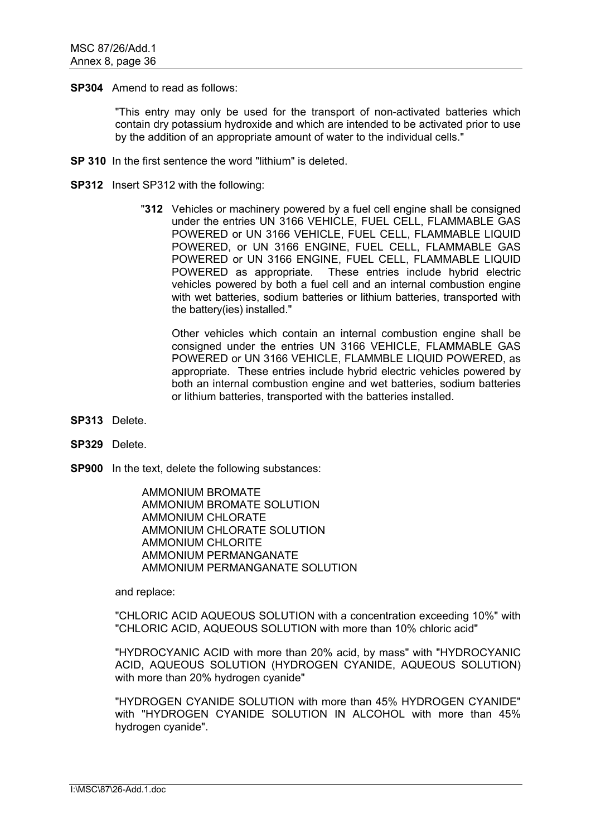**SP304** Amend to read as follows:

"This entry may only be used for the transport of non-activated batteries which contain dry potassium hydroxide and which are intended to be activated prior to use by the addition of an appropriate amount of water to the individual cells."

- **SP 310** In the first sentence the word "lithium" is deleted.
- **SP312** Insert SP312 with the following:
	- "**312** Vehicles or machinery powered by a fuel cell engine shall be consigned under the entries UN 3166 VEHICLE, FUEL CELL, FLAMMABLE GAS POWERED or UN 3166 VEHICLE, FUEL CELL, FLAMMABLE LIQUID POWERED, or UN 3166 ENGINE, FUEL CELL, FLAMMABLE GAS POWERED or UN 3166 ENGINE, FUEL CELL, FLAMMABLE LIQUID POWERED as appropriate. These entries include hybrid electric vehicles powered by both a fuel cell and an internal combustion engine with wet batteries, sodium batteries or lithium batteries, transported with the battery(ies) installed."

 Other vehicles which contain an internal combustion engine shall be consigned under the entries UN 3166 VEHICLE, FLAMMABLE GAS POWERED or UN 3166 VEHICLE, FLAMMBLE LIQUID POWERED, as appropriate. These entries include hybrid electric vehicles powered by both an internal combustion engine and wet batteries, sodium batteries or lithium batteries, transported with the batteries installed.

- **SP313** Delete.
- **SP329** Delete.
- **SP900** In the text, delete the following substances:

AMMONIUM BROMATE AMMONIUM BROMATE SOLUTION AMMONIUM CHLORATE AMMONIUM CHLORATE SOLUTION AMMONIUM CHLORITE AMMONIUM PERMANGANATE AMMONIUM PERMANGANATE SOLUTION

and replace:

"CHLORIC ACID AQUEOUS SOLUTION with a concentration exceeding 10%" with "CHLORIC ACID, AQUEOUS SOLUTION with more than 10% chloric acid"

"HYDROCYANIC ACID with more than 20% acid, by mass" with "HYDROCYANIC ACID, AQUEOUS SOLUTION (HYDROGEN CYANIDE, AQUEOUS SOLUTION) with more than 20% hydrogen cyanide"

"HYDROGEN CYANIDE SOLUTION with more than 45% HYDROGEN CYANIDE" with "HYDROGEN CYANIDE SOLUTION IN ALCOHOL with more than 45% hydrogen cyanide".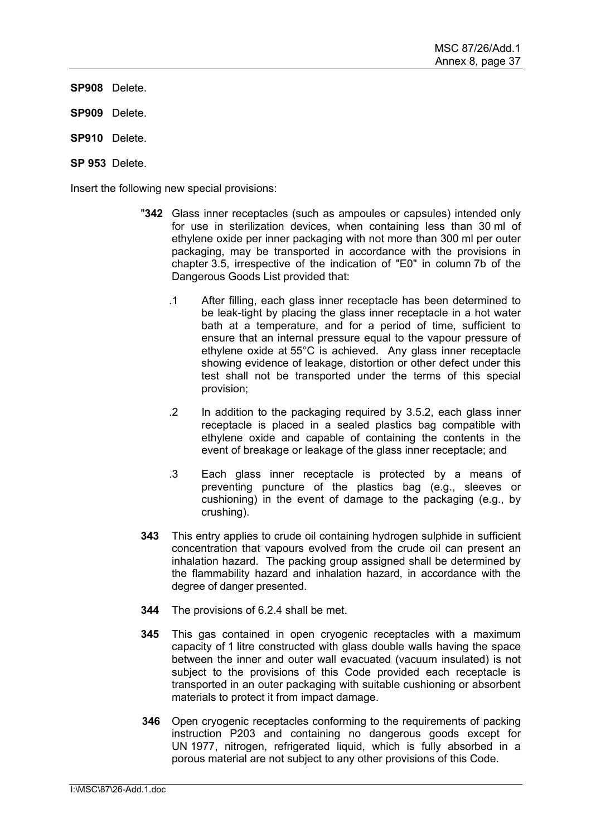**SP908** Delete.

- **SP909** Delete.
- **SP910** Delete.

**SP 953** Delete.

Insert the following new special provisions:

- "**342** Glass inner receptacles (such as ampoules or capsules) intended only for use in sterilization devices, when containing less than 30 ml of ethylene oxide per inner packaging with not more than 300 ml per outer packaging, may be transported in accordance with the provisions in chapter 3.5, irrespective of the indication of "E0" in column 7b of the Dangerous Goods List provided that:
	- .1 After filling, each glass inner receptacle has been determined to be leak-tight by placing the glass inner receptacle in a hot water bath at a temperature, and for a period of time, sufficient to ensure that an internal pressure equal to the vapour pressure of ethylene oxide at 55°C is achieved. Any glass inner receptacle showing evidence of leakage, distortion or other defect under this test shall not be transported under the terms of this special provision;
	- .2 In addition to the packaging required by 3.5.2, each glass inner receptacle is placed in a sealed plastics bag compatible with ethylene oxide and capable of containing the contents in the event of breakage or leakage of the glass inner receptacle; and
	- .3 Each glass inner receptacle is protected by a means of preventing puncture of the plastics bag (e.g., sleeves or cushioning) in the event of damage to the packaging (e.g., by crushing).
- **343** This entry applies to crude oil containing hydrogen sulphide in sufficient concentration that vapours evolved from the crude oil can present an inhalation hazard. The packing group assigned shall be determined by the flammability hazard and inhalation hazard, in accordance with the degree of danger presented.
- **344** The provisions of 6.2.4 shall be met.
- **345** This gas contained in open cryogenic receptacles with a maximum capacity of 1 litre constructed with glass double walls having the space between the inner and outer wall evacuated (vacuum insulated) is not subject to the provisions of this Code provided each receptacle is transported in an outer packaging with suitable cushioning or absorbent materials to protect it from impact damage.
- **346** Open cryogenic receptacles conforming to the requirements of packing instruction P203 and containing no dangerous goods except for UN 1977, nitrogen, refrigerated liquid, which is fully absorbed in a porous material are not subject to any other provisions of this Code.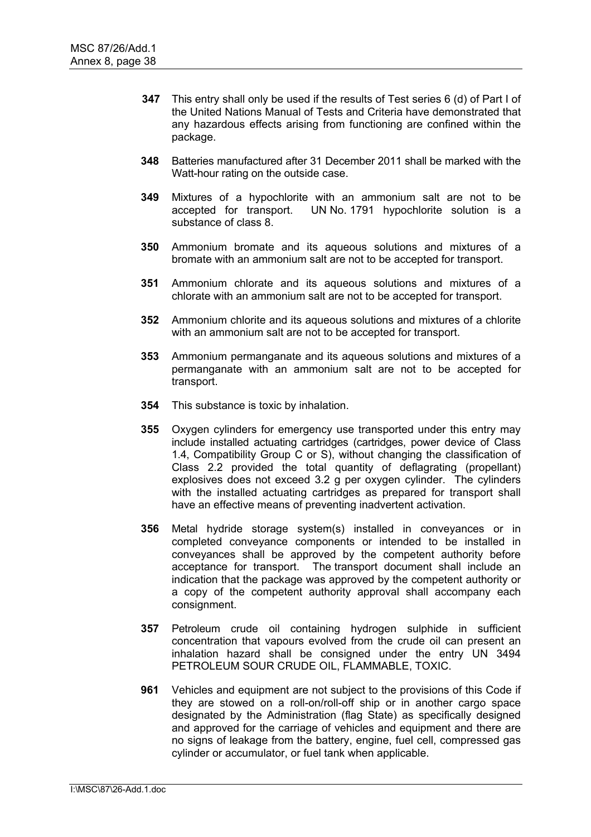- **347** This entry shall only be used if the results of Test series 6 (d) of Part I of the United Nations Manual of Tests and Criteria have demonstrated that any hazardous effects arising from functioning are confined within the package.
- **348** Batteries manufactured after 31 December 2011 shall be marked with the Watt-hour rating on the outside case.
- **349** Mixtures of a hypochlorite with an ammonium salt are not to be accepted for transport. UN No. 1791 hypochlorite solution is a substance of class 8.
- **350** Ammonium bromate and its aqueous solutions and mixtures of a bromate with an ammonium salt are not to be accepted for transport.
- **351** Ammonium chlorate and its aqueous solutions and mixtures of a chlorate with an ammonium salt are not to be accepted for transport.
- **352** Ammonium chlorite and its aqueous solutions and mixtures of a chlorite with an ammonium salt are not to be accepted for transport.
- **353** Ammonium permanganate and its aqueous solutions and mixtures of a permanganate with an ammonium salt are not to be accepted for transport.
- **354** This substance is toxic by inhalation.
- **355** Oxygen cylinders for emergency use transported under this entry may include installed actuating cartridges (cartridges, power device of Class 1.4, Compatibility Group C or S), without changing the classification of Class 2.2 provided the total quantity of deflagrating (propellant) explosives does not exceed 3.2 g per oxygen cylinder. The cylinders with the installed actuating cartridges as prepared for transport shall have an effective means of preventing inadvertent activation.
- **356** Metal hydride storage system(s) installed in conveyances or in completed conveyance components or intended to be installed in conveyances shall be approved by the competent authority before acceptance for transport. The transport document shall include an indication that the package was approved by the competent authority or a copy of the competent authority approval shall accompany each consignment.
- **357** Petroleum crude oil containing hydrogen sulphide in sufficient concentration that vapours evolved from the crude oil can present an inhalation hazard shall be consigned under the entry UN 3494 PETROLEUM SOUR CRUDE OIL, FLAMMABLE, TOXIC.
- **961** Vehicles and equipment are not subject to the provisions of this Code if they are stowed on a roll-on/roll-off ship or in another cargo space designated by the Administration (flag State) as specifically designed and approved for the carriage of vehicles and equipment and there are no signs of leakage from the battery, engine, fuel cell, compressed gas cylinder or accumulator, or fuel tank when applicable.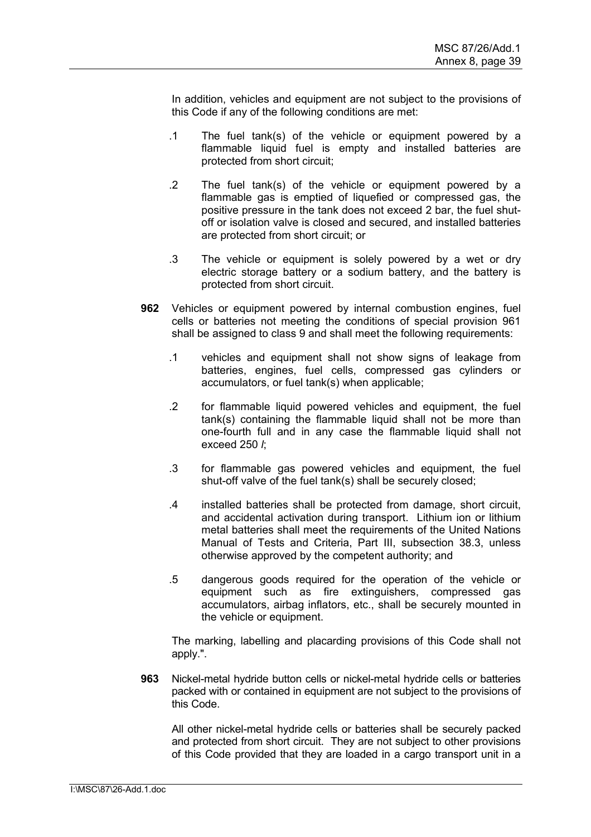In addition, vehicles and equipment are not subject to the provisions of this Code if any of the following conditions are met:

- .1 The fuel tank(s) of the vehicle or equipment powered by a flammable liquid fuel is empty and installed batteries are protected from short circuit;
- .2 The fuel tank(s) of the vehicle or equipment powered by a flammable gas is emptied of liquefied or compressed gas, the positive pressure in the tank does not exceed 2 bar, the fuel shutoff or isolation valve is closed and secured, and installed batteries are protected from short circuit; or
- .3 The vehicle or equipment is solely powered by a wet or dry electric storage battery or a sodium battery, and the battery is protected from short circuit.
- **962** Vehicles or equipment powered by internal combustion engines, fuel cells or batteries not meeting the conditions of special provision 961 shall be assigned to class 9 and shall meet the following requirements:
	- .1 vehicles and equipment shall not show signs of leakage from batteries, engines, fuel cells, compressed gas cylinders or accumulators, or fuel tank(s) when applicable;
	- .2 for flammable liquid powered vehicles and equipment, the fuel tank(s) containing the flammable liquid shall not be more than one-fourth full and in any case the flammable liquid shall not exceed 250 *l*;
	- .3 for flammable gas powered vehicles and equipment, the fuel shut-off valve of the fuel tank(s) shall be securely closed;
	- .4 installed batteries shall be protected from damage, short circuit, and accidental activation during transport. Lithium ion or lithium metal batteries shall meet the requirements of the United Nations Manual of Tests and Criteria, Part III, subsection 38.3, unless otherwise approved by the competent authority; and
	- .5 dangerous goods required for the operation of the vehicle or equipment such as fire extinguishers, compressed gas accumulators, airbag inflators, etc., shall be securely mounted in the vehicle or equipment.

 The marking, labelling and placarding provisions of this Code shall not apply.".

**963** Nickel-metal hydride button cells or nickel-metal hydride cells or batteries packed with or contained in equipment are not subject to the provisions of this Code.

All other nickel-metal hydride cells or batteries shall be securely packed and protected from short circuit. They are not subject to other provisions of this Code provided that they are loaded in a cargo transport unit in a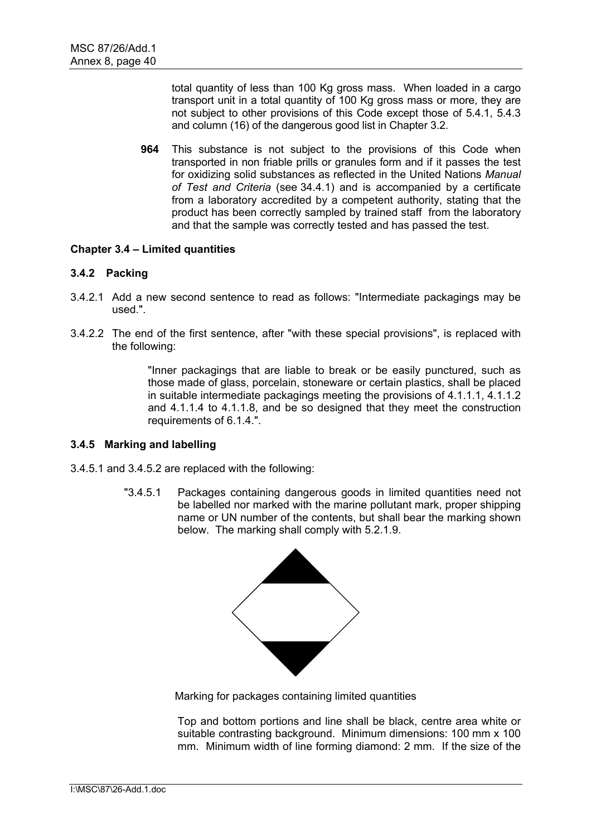total quantity of less than 100 Kg gross mass. When loaded in a cargo transport unit in a total quantity of 100 Kg gross mass or more, they are not subject to other provisions of this Code except those of 5.4.1, 5.4.3 and column (16) of the dangerous good list in Chapter 3.2.

**964** This substance is not subject to the provisions of this Code when transported in non friable prills or granules form and if it passes the test for oxidizing solid substances as reflected in the United Nations *Manual of Test and Criteria* (see 34.4.1) and is accompanied by a certificate from a laboratory accredited by a competent authority, stating that the product has been correctly sampled by trained staff from the laboratory and that the sample was correctly tested and has passed the test.

# **Chapter 3.4 – Limited quantities**

# **3.4.2 Packing**

- 3.4.2.1 Add a new second sentence to read as follows: "Intermediate packagings may be used.".
- 3.4.2.2 The end of the first sentence, after "with these special provisions", is replaced with the following:

"Inner packagings that are liable to break or be easily punctured, such as those made of glass, porcelain, stoneware or certain plastics, shall be placed in suitable intermediate packagings meeting the provisions of 4.1.1.1, 4.1.1.2 and 4.1.1.4 to 4.1.1.8, and be so designed that they meet the construction requirements of 6.1.4.".

#### **3.4.5 Marking and labelling**

- 3.4.5.1 and 3.4.5.2 are replaced with the following:
	- "3.4.5.1 Packages containing dangerous goods in limited quantities need not be labelled nor marked with the marine pollutant mark, proper shipping name or UN number of the contents, but shall bear the marking shown below. The marking shall comply with 5.2.1.9.



Marking for packages containing limited quantities

Top and bottom portions and line shall be black, centre area white or suitable contrasting background. Minimum dimensions: 100 mm x 100 mm. Minimum width of line forming diamond: 2 mm. If the size of the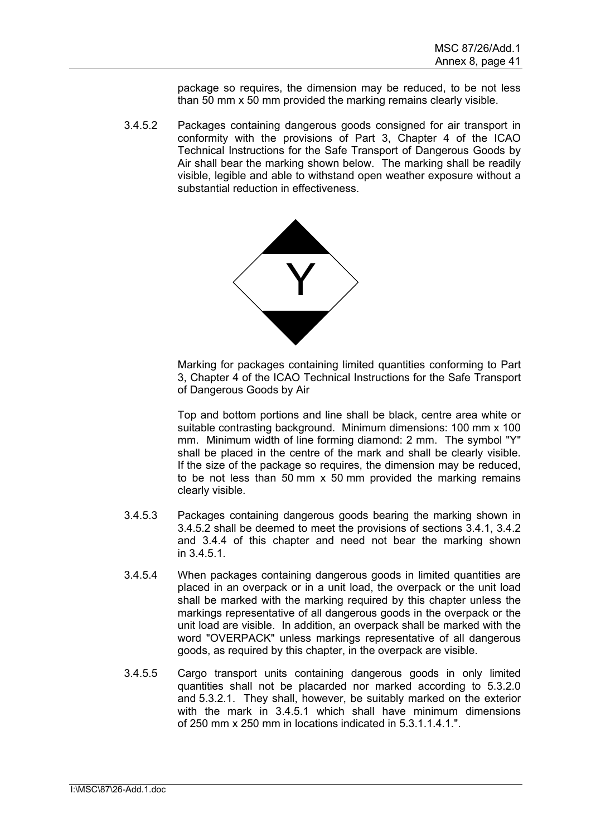package so requires, the dimension may be reduced, to be not less than 50 mm x 50 mm provided the marking remains clearly visible.

3.4.5.2 Packages containing dangerous goods consigned for air transport in conformity with the provisions of Part 3, Chapter 4 of the ICAO Technical Instructions for the Safe Transport of Dangerous Goods by Air shall bear the marking shown below. The marking shall be readily visible, legible and able to withstand open weather exposure without a substantial reduction in effectiveness.



Marking for packages containing limited quantities conforming to Part 3, Chapter 4 of the ICAO Technical Instructions for the Safe Transport of Dangerous Goods by Air

Top and bottom portions and line shall be black, centre area white or suitable contrasting background. Minimum dimensions: 100 mm x 100 mm. Minimum width of line forming diamond: 2 mm. The symbol "Y" shall be placed in the centre of the mark and shall be clearly visible. If the size of the package so requires, the dimension may be reduced, to be not less than 50 mm x 50 mm provided the marking remains clearly visible.

- 3.4.5.3 Packages containing dangerous goods bearing the marking shown in 3.4.5.2 shall be deemed to meet the provisions of sections 3.4.1, 3.4.2 and 3.4.4 of this chapter and need not bear the marking shown in 3.4.5.1.
- 3.4.5.4 When packages containing dangerous goods in limited quantities are placed in an overpack or in a unit load, the overpack or the unit load shall be marked with the marking required by this chapter unless the markings representative of all dangerous goods in the overpack or the unit load are visible. In addition, an overpack shall be marked with the word "OVERPACK" unless markings representative of all dangerous goods, as required by this chapter, in the overpack are visible.
- 3.4.5.5 Cargo transport units containing dangerous goods in only limited quantities shall not be placarded nor marked according to 5.3.2.0 and 5.3.2.1. They shall, however, be suitably marked on the exterior with the mark in 3.4.5.1 which shall have minimum dimensions of 250 mm x 250 mm in locations indicated in  $5.3.1.1.4.1$ ".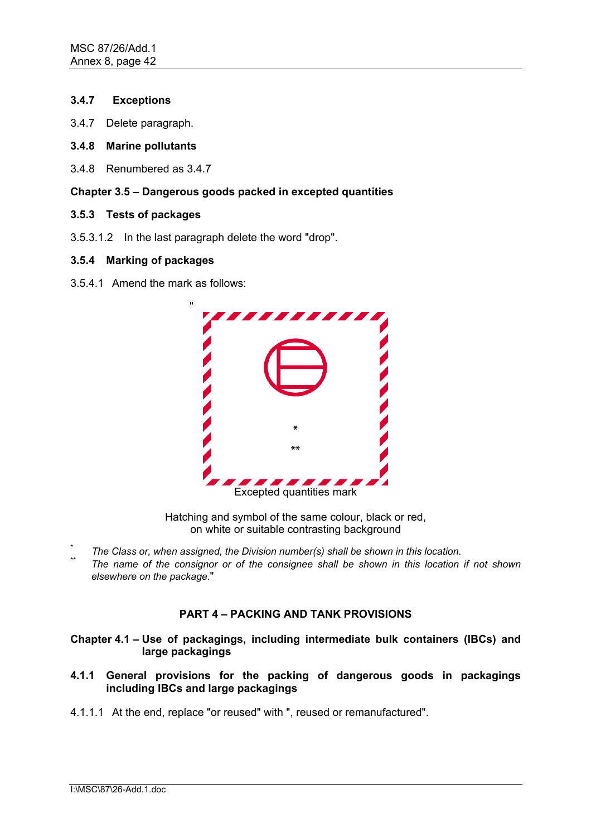# **3.4.7 Exceptions**

- 3.4.7 Delete paragraph.
- **3.4.8 Marine pollutants**
- 3.4.8 Renumbered as 3.4.7

# **Chapter 3.5 – Dangerous goods packed in excepted quantities**

- **3.5.3 Tests of packages**
- 3.5.3.1.2 In the last paragraph delete the word "drop".

# **3.5.4 Marking of packages**

3.5.4.1 Amend the mark as follows:



Hatching and symbol of the same colour, black or red, on white or suitable contrasting background

- \* *The Class or, when assigned, the Division number(s) shall be shown in this location.*
- The name of the consignor or of the consignee shall be shown in this location if not shown *elsewhere on the package.*"

# **PART 4 – PACKING AND TANK PROVISIONS**

**Chapter 4.1 – Use of packagings, including intermediate bulk containers (IBCs) and large packagings** 

- **4.1.1 General provisions for the packing of dangerous goods in packagings including IBCs and large packagings**
- 4.1.1.1 At the end, replace "or reused" with ", reused or remanufactured".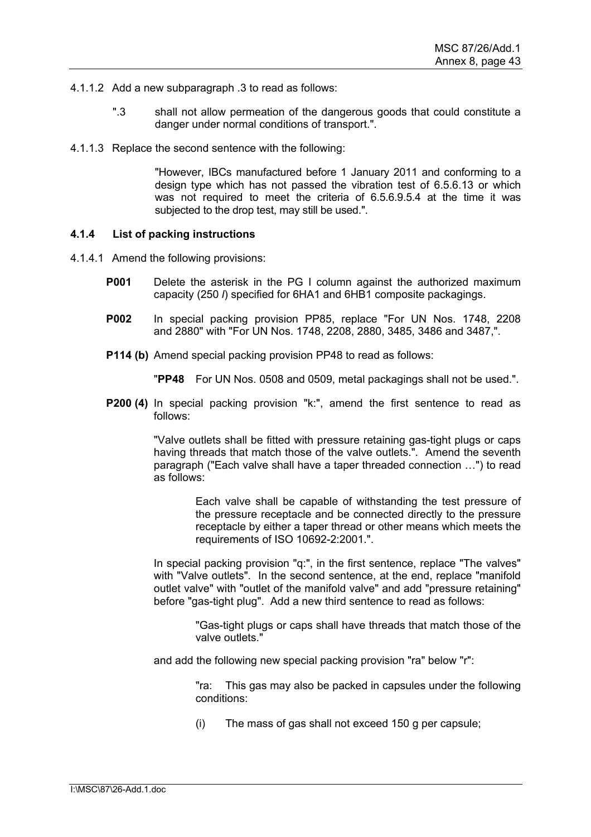- 4.1.1.2 Add a new subparagraph .3 to read as follows:
	- ".3 shall not allow permeation of the dangerous goods that could constitute a danger under normal conditions of transport.".
- 4.1.1.3 Replace the second sentence with the following:

"However, IBCs manufactured before 1 January 2011 and conforming to a design type which has not passed the vibration test of 6.5.6.13 or which was not required to meet the criteria of 6.5.6.9.5.4 at the time it was subjected to the drop test, may still be used.".

# **4.1.4 List of packing instructions**

- 4.1.4.1 Amend the following provisions:
	- **P001** Delete the asterisk in the PG I column against the authorized maximum capacity (250 *l*) specified for 6HA1 and 6HB1 composite packagings.
	- **P002** In special packing provision PP85, replace "For UN Nos. 1748, 2208 and 2880" with "For UN Nos. 1748, 2208, 2880, 3485, 3486 and 3487,".
	- **P114 (b)** Amend special packing provision PP48 to read as follows:

"**PP48** For UN Nos. 0508 and 0509, metal packagings shall not be used.".

**P200 (4)** In special packing provision "k:", amend the first sentence to read as follows:

> "Valve outlets shall be fitted with pressure retaining gas-tight plugs or caps having threads that match those of the valve outlets.". Amend the seventh paragraph ("Each valve shall have a taper threaded connection …") to read as follows:

> > Each valve shall be capable of withstanding the test pressure of the pressure receptacle and be connected directly to the pressure receptacle by either a taper thread or other means which meets the requirements of ISO 10692-2:2001.".

In special packing provision "q:", in the first sentence, replace "The valves" with "Valve outlets". In the second sentence, at the end, replace "manifold outlet valve" with "outlet of the manifold valve" and add "pressure retaining" before "gas-tight plug". Add a new third sentence to read as follows:

> "Gas-tight plugs or caps shall have threads that match those of the valve outlets."

and add the following new special packing provision "ra" below "r":

"ra: This gas may also be packed in capsules under the following conditions:

(i) The mass of gas shall not exceed 150 g per capsule;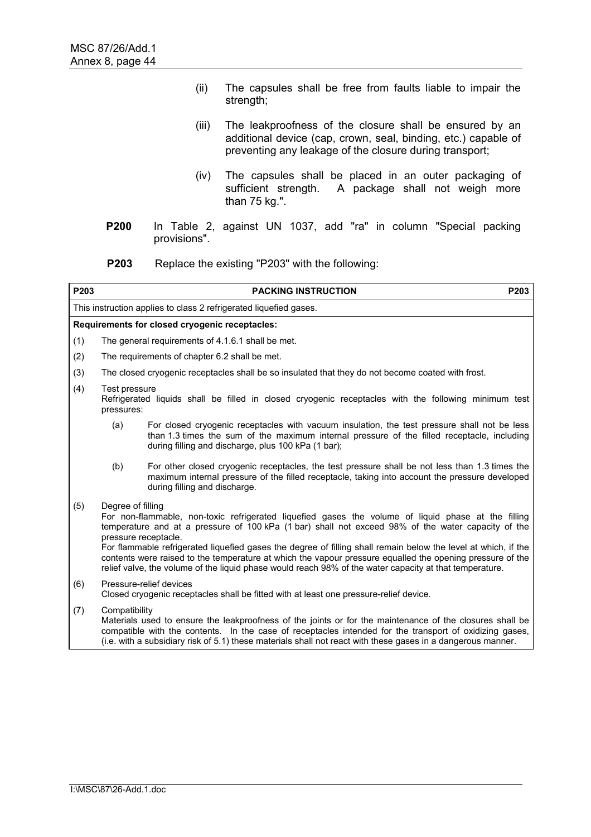- (ii) The capsules shall be free from faults liable to impair the strength;
- (iii) The leakproofness of the closure shall be ensured by an additional device (cap, crown, seal, binding, etc.) capable of preventing any leakage of the closure during transport;
- (iv) The capsules shall be placed in an outer packaging of sufficient strength. A package shall not weigh more than 75 kg.".
- **P200** In Table 2, against UN 1037, add "ra" in column "Special packing provisions".
- **P203** Replace the existing "P203" with the following:

| P203 |                                                                                                                                                                                                                                                                                                                                                                                                                                                                                                                                                                                                  | <b>PACKING INSTRUCTION</b>                                                                                                                                                                                                                                                                                                          | P203 |  |  |  |  |  |
|------|--------------------------------------------------------------------------------------------------------------------------------------------------------------------------------------------------------------------------------------------------------------------------------------------------------------------------------------------------------------------------------------------------------------------------------------------------------------------------------------------------------------------------------------------------------------------------------------------------|-------------------------------------------------------------------------------------------------------------------------------------------------------------------------------------------------------------------------------------------------------------------------------------------------------------------------------------|------|--|--|--|--|--|
|      | This instruction applies to class 2 refrigerated liguefied gases.                                                                                                                                                                                                                                                                                                                                                                                                                                                                                                                                |                                                                                                                                                                                                                                                                                                                                     |      |  |  |  |  |  |
|      | Requirements for closed cryogenic receptacles:                                                                                                                                                                                                                                                                                                                                                                                                                                                                                                                                                   |                                                                                                                                                                                                                                                                                                                                     |      |  |  |  |  |  |
| (1)  |                                                                                                                                                                                                                                                                                                                                                                                                                                                                                                                                                                                                  | The general requirements of 4.1.6.1 shall be met.                                                                                                                                                                                                                                                                                   |      |  |  |  |  |  |
| (2)  |                                                                                                                                                                                                                                                                                                                                                                                                                                                                                                                                                                                                  | The requirements of chapter 6.2 shall be met.                                                                                                                                                                                                                                                                                       |      |  |  |  |  |  |
| (3)  |                                                                                                                                                                                                                                                                                                                                                                                                                                                                                                                                                                                                  | The closed cryogenic receptacles shall be so insulated that they do not become coated with frost.                                                                                                                                                                                                                                   |      |  |  |  |  |  |
| (4)  | Test pressure<br>pressures:                                                                                                                                                                                                                                                                                                                                                                                                                                                                                                                                                                      | Refrigerated liquids shall be filled in closed cryogenic receptacles with the following minimum test                                                                                                                                                                                                                                |      |  |  |  |  |  |
|      | (a)                                                                                                                                                                                                                                                                                                                                                                                                                                                                                                                                                                                              | For closed cryogenic receptacles with vacuum insulation, the test pressure shall not be less<br>than 1.3 times the sum of the maximum internal pressure of the filled receptacle, including<br>during filling and discharge, plus 100 kPa (1 bar);                                                                                  |      |  |  |  |  |  |
|      | (b)                                                                                                                                                                                                                                                                                                                                                                                                                                                                                                                                                                                              | For other closed cryogenic receptacles, the test pressure shall be not less than 1.3 times the<br>maximum internal pressure of the filled receptacle, taking into account the pressure developed<br>during filling and discharge.                                                                                                   |      |  |  |  |  |  |
| (5)  | Degree of filling<br>For non-flammable, non-toxic refrigerated liquefied gases the volume of liquid phase at the filling<br>temperature and at a pressure of 100 kPa (1 bar) shall not exceed 98% of the water capacity of the<br>pressure receptacle.<br>For flammable refrigerated liquefied gases the degree of filling shall remain below the level at which, if the<br>contents were raised to the temperature at which the vapour pressure equalled the opening pressure of the<br>relief valve, the volume of the liquid phase would reach 98% of the water capacity at that temperature. |                                                                                                                                                                                                                                                                                                                                     |      |  |  |  |  |  |
| (6)  | Pressure-relief devices<br>Closed cryogenic receptacles shall be fitted with at least one pressure-relief device.                                                                                                                                                                                                                                                                                                                                                                                                                                                                                |                                                                                                                                                                                                                                                                                                                                     |      |  |  |  |  |  |
| (7)  | Compatibility                                                                                                                                                                                                                                                                                                                                                                                                                                                                                                                                                                                    | Materials used to ensure the leakproofness of the joints or for the maintenance of the closures shall be<br>compatible with the contents. In the case of receptacles intended for the transport of oxidizing gases,<br>(i.e. with a subsidiary risk of 5.1) these materials shall not react with these gases in a dangerous manner. |      |  |  |  |  |  |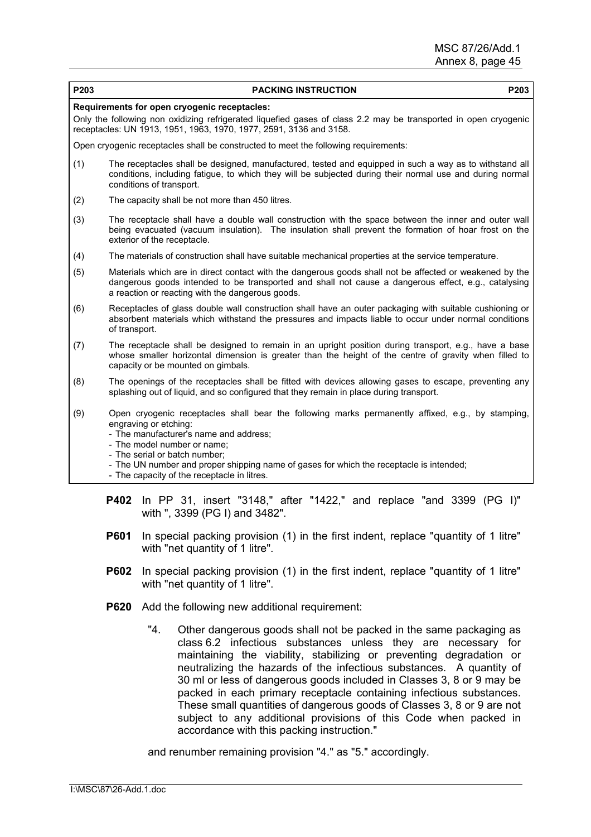| P203 | P203<br><b>PACKING INSTRUCTION</b>                                                                                                                                                                                                                                                                                                                                             |
|------|--------------------------------------------------------------------------------------------------------------------------------------------------------------------------------------------------------------------------------------------------------------------------------------------------------------------------------------------------------------------------------|
|      | Requirements for open cryogenic receptacles:                                                                                                                                                                                                                                                                                                                                   |
|      | Only the following non oxidizing refrigerated liquefied gases of class 2.2 may be transported in open cryogenic<br>receptacles: UN 1913, 1951, 1963, 1970, 1977, 2591, 3136 and 3158.                                                                                                                                                                                          |
|      | Open cryogenic receptacles shall be constructed to meet the following requirements:                                                                                                                                                                                                                                                                                            |
| (1)  | The receptacles shall be designed, manufactured, tested and equipped in such a way as to withstand all<br>conditions, including fatigue, to which they will be subjected during their normal use and during normal<br>conditions of transport.                                                                                                                                 |
| (2)  | The capacity shall be not more than 450 litres.                                                                                                                                                                                                                                                                                                                                |
| (3)  | The receptacle shall have a double wall construction with the space between the inner and outer wall<br>being evacuated (vacuum insulation). The insulation shall prevent the formation of hoar frost on the<br>exterior of the receptacle.                                                                                                                                    |
| (4)  | The materials of construction shall have suitable mechanical properties at the service temperature.                                                                                                                                                                                                                                                                            |
| (5)  | Materials which are in direct contact with the dangerous goods shall not be affected or weakened by the<br>dangerous goods intended to be transported and shall not cause a dangerous effect, e.g., catalysing<br>a reaction or reacting with the dangerous goods.                                                                                                             |
| (6)  | Receptacles of glass double wall construction shall have an outer packaging with suitable cushioning or<br>absorbent materials which withstand the pressures and impacts liable to occur under normal conditions<br>of transport.                                                                                                                                              |
| (7)  | The receptacle shall be designed to remain in an upright position during transport, e.g., have a base<br>whose smaller horizontal dimension is greater than the height of the centre of gravity when filled to<br>capacity or be mounted on gimbals.                                                                                                                           |
| (8)  | The openings of the receptacles shall be fitted with devices allowing gases to escape, preventing any<br>splashing out of liquid, and so configured that they remain in place during transport.                                                                                                                                                                                |
| (9)  | Open cryogenic receptacles shall bear the following marks permanently affixed, e.g., by stamping,<br>engraving or etching:<br>- The manufacturer's name and address;<br>- The model number or name;<br>- The serial or batch number:<br>- The UN number and proper shipping name of gases for which the receptacle is intended;<br>- The capacity of the receptacle in litres. |

- **P601** In special packing provision (1) in the first indent, replace "quantity of 1 litre" with "net quantity of 1 litre".
- **P602** In special packing provision (1) in the first indent, replace "quantity of 1 litre" with "net quantity of 1 litre".
- **P620** Add the following new additional requirement:

with ", 3399 (PG I) and 3482".

"4. Other dangerous goods shall not be packed in the same packaging as class 6.2 infectious substances unless they are necessary for maintaining the viability, stabilizing or preventing degradation or neutralizing the hazards of the infectious substances. A quantity of 30 ml or less of dangerous goods included in Classes 3, 8 or 9 may be packed in each primary receptacle containing infectious substances. These small quantities of dangerous goods of Classes 3, 8 or 9 are not subject to any additional provisions of this Code when packed in accordance with this packing instruction."

and renumber remaining provision "4." as "5." accordingly.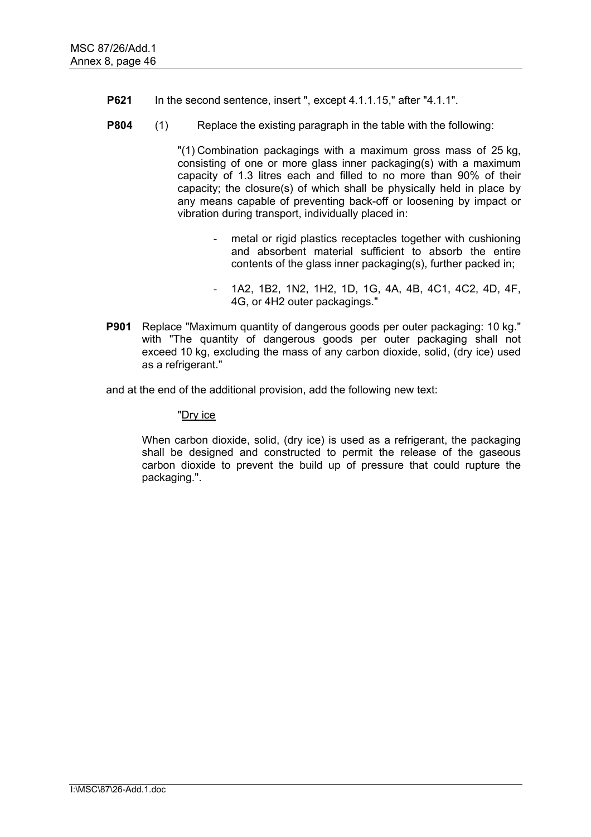- **P621** In the second sentence, insert ", except 4.1.1.15," after "4.1.1".
- **P804** (1) Replace the existing paragraph in the table with the following:

"(1) Combination packagings with a maximum gross mass of 25 kg, consisting of one or more glass inner packaging(s) with a maximum capacity of 1.3 litres each and filled to no more than 90% of their capacity; the closure(s) of which shall be physically held in place by any means capable of preventing back-off or loosening by impact or vibration during transport, individually placed in:

- metal or rigid plastics receptacles together with cushioning and absorbent material sufficient to absorb the entire contents of the glass inner packaging(s), further packed in;
- 1A2, 1B2, 1N2, 1H2, 1D, 1G, 4A, 4B, 4C1, 4C2, 4D, 4F, 4G, or 4H2 outer packagings."
- **P901** Replace "Maximum quantity of dangerous goods per outer packaging: 10 kg." with "The quantity of dangerous goods per outer packaging shall not exceed 10 kg, excluding the mass of any carbon dioxide, solid, (dry ice) used as a refrigerant."

and at the end of the additional provision, add the following new text:

### "Dry ice

 When carbon dioxide, solid, (dry ice) is used as a refrigerant, the packaging shall be designed and constructed to permit the release of the gaseous carbon dioxide to prevent the build up of pressure that could rupture the packaging.".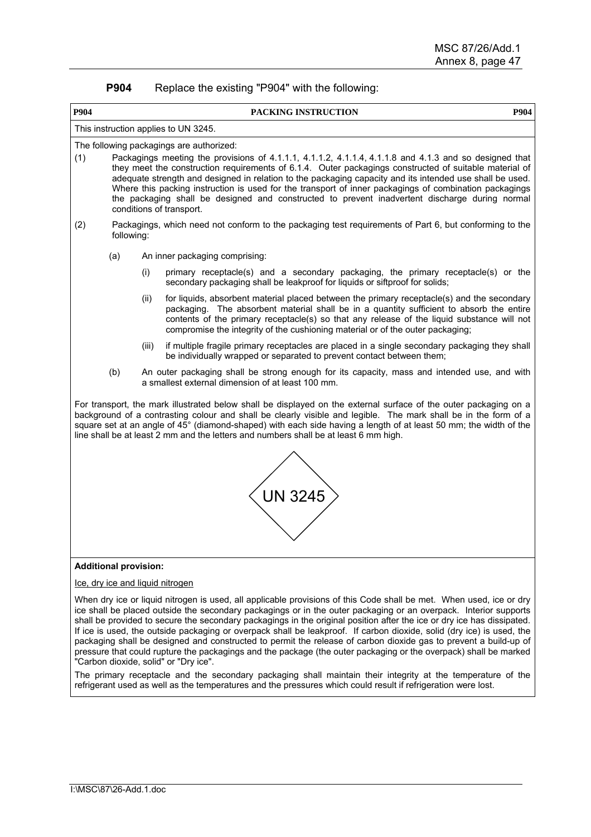| <b>P904</b> | Replace the existing "P904" with the following: |
|-------------|-------------------------------------------------|
|-------------|-------------------------------------------------|

|             | טט גווט טאוטנווואַ                                                                                                                                                                                                                                                                                                                                                                                                                                                                                                                                                                                               |       |                                                                                                                                                                                                                                                                                                                                                                                                                                                  |      |  |  |  |
|-------------|------------------------------------------------------------------------------------------------------------------------------------------------------------------------------------------------------------------------------------------------------------------------------------------------------------------------------------------------------------------------------------------------------------------------------------------------------------------------------------------------------------------------------------------------------------------------------------------------------------------|-------|--------------------------------------------------------------------------------------------------------------------------------------------------------------------------------------------------------------------------------------------------------------------------------------------------------------------------------------------------------------------------------------------------------------------------------------------------|------|--|--|--|
| <b>P904</b> |                                                                                                                                                                                                                                                                                                                                                                                                                                                                                                                                                                                                                  |       | PACKING INSTRUCTION                                                                                                                                                                                                                                                                                                                                                                                                                              | P904 |  |  |  |
|             | This instruction applies to UN 3245.                                                                                                                                                                                                                                                                                                                                                                                                                                                                                                                                                                             |       |                                                                                                                                                                                                                                                                                                                                                                                                                                                  |      |  |  |  |
| (1)         | The following packagings are authorized:<br>Packagings meeting the provisions of 4.1.1.1, 4.1.1.2, 4.1.1.4, 4.1.1.8 and 4.1.3 and so designed that<br>they meet the construction requirements of 6.1.4. Outer packagings constructed of suitable material of<br>adequate strength and designed in relation to the packaging capacity and its intended use shall be used.<br>Where this packing instruction is used for the transport of inner packagings of combination packagings<br>the packaging shall be designed and constructed to prevent inadvertent discharge during normal<br>conditions of transport. |       |                                                                                                                                                                                                                                                                                                                                                                                                                                                  |      |  |  |  |
| (2)         | following:                                                                                                                                                                                                                                                                                                                                                                                                                                                                                                                                                                                                       |       | Packagings, which need not conform to the packaging test requirements of Part 6, but conforming to the                                                                                                                                                                                                                                                                                                                                           |      |  |  |  |
|             | (a)                                                                                                                                                                                                                                                                                                                                                                                                                                                                                                                                                                                                              |       | An inner packaging comprising:                                                                                                                                                                                                                                                                                                                                                                                                                   |      |  |  |  |
|             |                                                                                                                                                                                                                                                                                                                                                                                                                                                                                                                                                                                                                  | (i)   | primary receptacle(s) and a secondary packaging, the primary receptacle(s) or the<br>secondary packaging shall be leakproof for liquids or siftproof for solids;                                                                                                                                                                                                                                                                                 |      |  |  |  |
|             |                                                                                                                                                                                                                                                                                                                                                                                                                                                                                                                                                                                                                  | (ii)  | for liquids, absorbent material placed between the primary receptacle(s) and the secondary<br>packaging. The absorbent material shall be in a quantity sufficient to absorb the entire<br>contents of the primary receptacle(s) so that any release of the liquid substance will not<br>compromise the integrity of the cushioning material or of the outer packaging;                                                                           |      |  |  |  |
|             |                                                                                                                                                                                                                                                                                                                                                                                                                                                                                                                                                                                                                  | (iii) | if multiple fragile primary receptacles are placed in a single secondary packaging they shall<br>be individually wrapped or separated to prevent contact between them;                                                                                                                                                                                                                                                                           |      |  |  |  |
|             | (b)                                                                                                                                                                                                                                                                                                                                                                                                                                                                                                                                                                                                              |       | An outer packaging shall be strong enough for its capacity, mass and intended use, and with<br>a smallest external dimension of at least 100 mm.                                                                                                                                                                                                                                                                                                 |      |  |  |  |
|             |                                                                                                                                                                                                                                                                                                                                                                                                                                                                                                                                                                                                                  |       | For transport, the mark illustrated below shall be displayed on the external surface of the outer packaging on a<br>background of a contrasting colour and shall be clearly visible and legible. The mark shall be in the form of a<br>square set at an angle of 45° (diamond-shaped) with each side having a length of at least 50 mm; the width of the<br>line shall be at least 2 mm and the letters and numbers shall be at least 6 mm high. |      |  |  |  |
|             |                                                                                                                                                                                                                                                                                                                                                                                                                                                                                                                                                                                                                  |       |                                                                                                                                                                                                                                                                                                                                                                                                                                                  |      |  |  |  |
|             |                                                                                                                                                                                                                                                                                                                                                                                                                                                                                                                                                                                                                  |       | <b>UN 3245</b>                                                                                                                                                                                                                                                                                                                                                                                                                                   |      |  |  |  |
|             |                                                                                                                                                                                                                                                                                                                                                                                                                                                                                                                                                                                                                  |       |                                                                                                                                                                                                                                                                                                                                                                                                                                                  |      |  |  |  |
|             | <b>Additional provision:</b>                                                                                                                                                                                                                                                                                                                                                                                                                                                                                                                                                                                     |       |                                                                                                                                                                                                                                                                                                                                                                                                                                                  |      |  |  |  |
|             |                                                                                                                                                                                                                                                                                                                                                                                                                                                                                                                                                                                                                  |       | Ice, dry ice and liquid nitrogen                                                                                                                                                                                                                                                                                                                                                                                                                 |      |  |  |  |
|             | When dry ice or liquid nitrogen is used, all applicable provisions of this Code shall be met. When used, ice or dry<br>ice shall be placed outside the secondary packagings or in the outer packaging or an overpack. Interior supports<br>shall be provided to secure the secondary packagings in the original position after the ice or dry ice has dissinated                                                                                                                                                                                                                                                 |       |                                                                                                                                                                                                                                                                                                                                                                                                                                                  |      |  |  |  |

shall be provided to secure the secondary packagings in the original position after the ice or dry ice has dissipated. If ice is used, the outside packaging or overpack shall be leakproof. If carbon dioxide, solid (dry ice) is used, the packaging shall be designed and constructed to permit the release of carbon dioxide gas to prevent a build-up of pressure that could rupture the packagings and the package (the outer packaging or the overpack) shall be marked "Carbon dioxide, solid" or "Dry ice".

The primary receptacle and the secondary packaging shall maintain their integrity at the temperature of the refrigerant used as well as the temperatures and the pressures which could result if refrigeration were lost.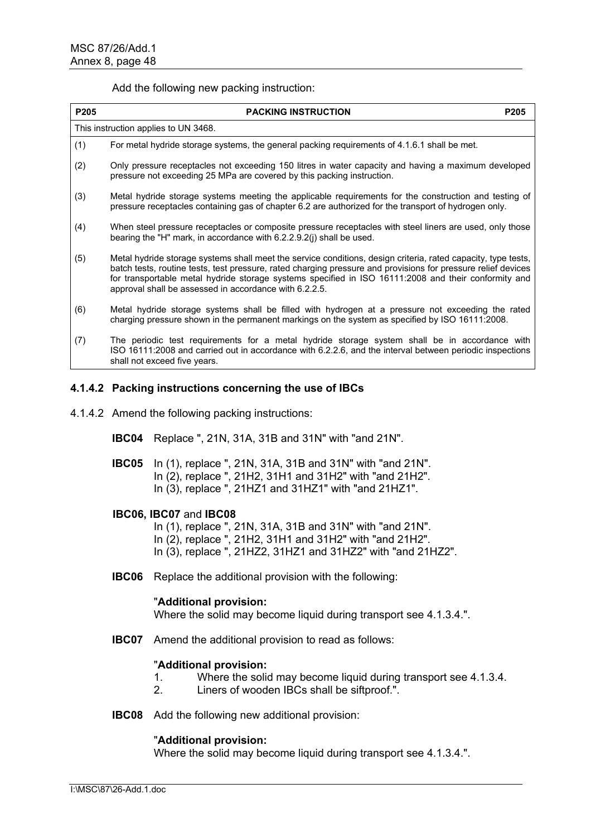Add the following new packing instruction:

| P205 | <b>PACKING INSTRUCTION</b>                                                                                                                                                                                                                                                                                                                                                                       | P <sub>205</sub> |
|------|--------------------------------------------------------------------------------------------------------------------------------------------------------------------------------------------------------------------------------------------------------------------------------------------------------------------------------------------------------------------------------------------------|------------------|
|      | This instruction applies to UN 3468.                                                                                                                                                                                                                                                                                                                                                             |                  |
| (1)  | For metal hydride storage systems, the general packing requirements of 4.1.6.1 shall be met.                                                                                                                                                                                                                                                                                                     |                  |
| (2)  | Only pressure receptacles not exceeding 150 litres in water capacity and having a maximum developed<br>pressure not exceeding 25 MPa are covered by this packing instruction.                                                                                                                                                                                                                    |                  |
| (3)  | Metal hydride storage systems meeting the applicable requirements for the construction and testing of<br>pressure receptacles containing gas of chapter 6.2 are authorized for the transport of hydrogen only.                                                                                                                                                                                   |                  |
| (4)  | When steel pressure receptacles or composite pressure receptacles with steel liners are used, only those<br>bearing the "H" mark, in accordance with $6.2.2.9.2(i)$ shall be used.                                                                                                                                                                                                               |                  |
| (5)  | Metal hydride storage systems shall meet the service conditions, design criteria, rated capacity, type tests,<br>batch tests, routine tests, test pressure, rated charging pressure and provisions for pressure relief devices<br>for transportable metal hydride storage systems specified in ISO 16111:2008 and their conformity and<br>approval shall be assessed in accordance with 6.2.2.5. |                  |
| (6)  | Metal hydride storage systems shall be filled with hydrogen at a pressure not exceeding the rated<br>charging pressure shown in the permanent markings on the system as specified by ISO 16111:2008.                                                                                                                                                                                             |                  |
| (7)  | The periodic test requirements for a metal hydride storage system shall be in accordance with<br>ISO 16111:2008 and carried out in accordance with 6.2.2.6, and the interval between periodic inspections<br>shall not exceed five years.                                                                                                                                                        |                  |

# **4.1.4.2 Packing instructions concerning the use of IBCs**

- 4.1.4.2 Amend the following packing instructions:
	- **IBC04** Replace ", 21N, 31A, 31B and 31N" with "and 21N".
	- **IBC05** In (1), replace ", 21N, 31A, 31B and 31N" with "and 21N". In (2), replace ", 21H2, 31H1 and 31H2" with "and 21H2". In (3), replace ", 21HZ1 and 31HZ1" with "and 21HZ1".

#### **IBC06, IBC07** and **IBC08**

- In (1), replace ", 21N, 31A, 31B and 31N" with "and 21N".
- In (2), replace ", 21H2, 31H1 and 31H2" with "and 21H2".
- In (3), replace ", 21HZ2, 31HZ1 and 31HZ2" with "and 21HZ2".
- **IBC06** Replace the additional provision with the following:

#### "**Additional provision:**

Where the solid may become liquid during transport see 4.1.3.4.".

**IBC07** Amend the additional provision to read as follows:

#### "**Additional provision:**

- 1. Where the solid may become liquid during transport see 4.1.3.4.
- 2. Liners of wooden IBCs shall be siftproof.".
- **IBC08** Add the following new additional provision:

#### "**Additional provision:**

Where the solid may become liquid during transport see 4.1.3.4.".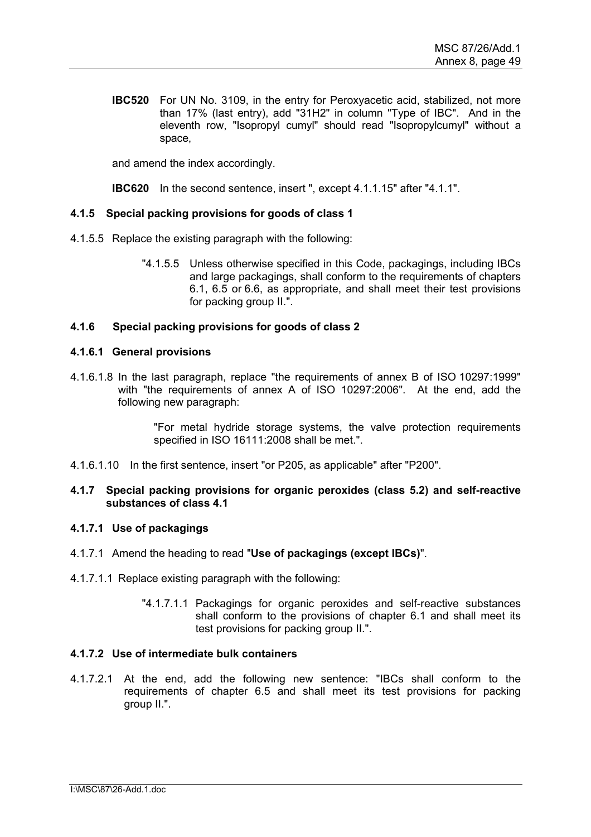**IBC520** For UN No. 3109, in the entry for Peroxyacetic acid, stabilized, not more than 17% (last entry), add "31H2" in column "Type of IBC". And in the eleventh row, "Isopropyl cumyl" should read "Isopropylcumyl" without a space,

and amend the index accordingly.

**IBC620** In the second sentence, insert ", except 4.1.1.15" after "4.1.1".

# **4.1.5 Special packing provisions for goods of class 1**

- 4.1.5.5 Replace the existing paragraph with the following:
	- "4.1.5.5 Unless otherwise specified in this Code, packagings, including IBCs and large packagings, shall conform to the requirements of chapters 6.1, 6.5 or 6.6, as appropriate, and shall meet their test provisions for packing group II.".

# **4.1.6 Special packing provisions for goods of class 2**

#### **4.1.6.1 General provisions**

4.1.6.1.8 In the last paragraph, replace "the requirements of annex B of ISO 10297:1999" with "the requirements of annex A of ISO 10297:2006". At the end, add the following new paragraph:

> "For metal hydride storage systems, the valve protection requirements specified in ISO 16111:2008 shall be met.".

4.1.6.1.10 In the first sentence, insert "or P205, as applicable" after "P200".

#### **4.1.7 Special packing provisions for organic peroxides (class 5.2) and self-reactive substances of class 4.1**

### **4.1.7.1 Use of packagings**

- 4.1.7.1 Amend the heading to read "**Use of packagings (except IBCs)**".
- 4.1.7.1.1 Replace existing paragraph with the following:
	- "4.1.7.1.1 Packagings for organic peroxides and self-reactive substances shall conform to the provisions of chapter 6.1 and shall meet its test provisions for packing group II.".

#### **4.1.7.2 Use of intermediate bulk containers**

4.1.7.2.1 At the end, add the following new sentence: "IBCs shall conform to the requirements of chapter 6.5 and shall meet its test provisions for packing group II.".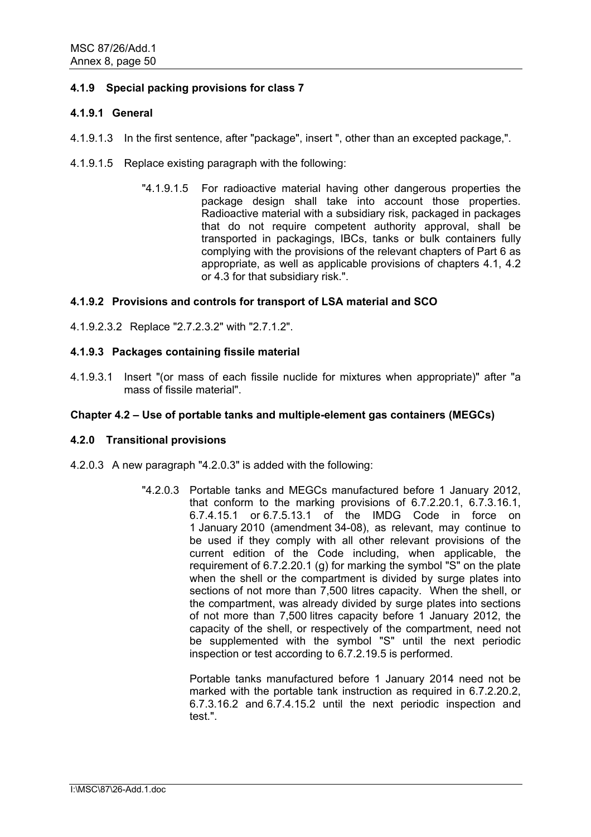# **4.1.9 Special packing provisions for class 7**

# **4.1.9.1 General**

- 4.1.9.1.3 In the first sentence, after "package", insert ", other than an excepted package,".
- 4.1.9.1.5 Replace existing paragraph with the following:
	- "4.1.9.1.5 For radioactive material having other dangerous properties the package design shall take into account those properties. Radioactive material with a subsidiary risk, packaged in packages that do not require competent authority approval, shall be transported in packagings, IBCs, tanks or bulk containers fully complying with the provisions of the relevant chapters of Part 6 as appropriate, as well as applicable provisions of chapters 4.1, 4.2 or 4.3 for that subsidiary risk.".

# **4.1.9.2 Provisions and controls for transport of LSA material and SCO**

4.1.9.2.3.2 Replace "2.7.2.3.2" with "2.7.1.2".

# **4.1.9.3 Packages containing fissile material**

4.1.9.3.1 Insert "(or mass of each fissile nuclide for mixtures when appropriate)" after "a mass of fissile material".

### **Chapter 4.2 – Use of portable tanks and multiple-element gas containers (MEGCs)**

#### **4.2.0 Transitional provisions**

- 4.2.0.3 A new paragraph "4.2.0.3" is added with the following:
	- "4.2.0.3 Portable tanks and MEGCs manufactured before 1 January 2012, that conform to the marking provisions of 6.7.2.20.1, 6.7.3.16.1, 6.7.4.15.1 or 6.7.5.13.1 of the IMDG Code in force on 1 January 2010 (amendment 34-08), as relevant, may continue to be used if they comply with all other relevant provisions of the current edition of the Code including, when applicable, the requirement of 6.7.2.20.1 (g) for marking the symbol "S" on the plate when the shell or the compartment is divided by surge plates into sections of not more than 7,500 litres capacity. When the shell, or the compartment, was already divided by surge plates into sections of not more than 7,500 litres capacity before 1 January 2012, the capacity of the shell, or respectively of the compartment, need not be supplemented with the symbol "S" until the next periodic inspection or test according to 6.7.2.19.5 is performed.

 Portable tanks manufactured before 1 January 2014 need not be marked with the portable tank instruction as required in 6.7.2.20.2. 6.7.3.16.2 and 6.7.4.15.2 until the next periodic inspection and test.".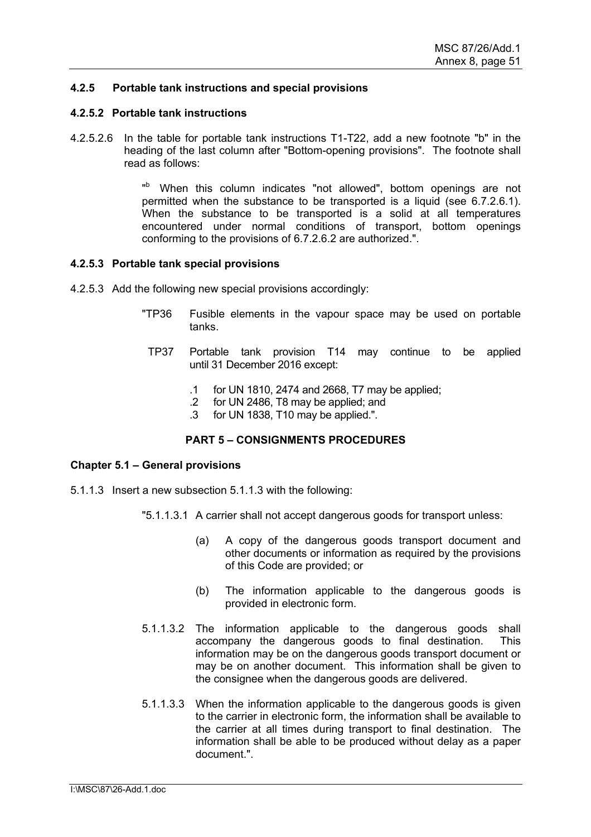# **4.2.5 Portable tank instructions and special provisions**

#### **4.2.5.2 Portable tank instructions**

4.2.5.2.6 In the table for portable tank instructions T1-T22, add a new footnote "b" in the heading of the last column after "Bottom-opening provisions". The footnote shall read as follows:

> "<sup>b</sup> When this column indicates "not allowed", bottom openings are not permitted when the substance to be transported is a liquid (see 6.7.2.6.1). When the substance to be transported is a solid at all temperatures encountered under normal conditions of transport, bottom openings conforming to the provisions of 6.7.2.6.2 are authorized.".

#### **4.2.5.3 Portable tank special provisions**

- 4.2.5.3 Add the following new special provisions accordingly:
	- "TP36 Fusible elements in the vapour space may be used on portable tanks.
	- TP37 Portable tank provision T14 may continue to be applied until 31 December 2016 except:
		- .1 for UN 1810, 2474 and 2668, T7 may be applied;
		- .2 for UN 2486, T8 may be applied; and
		- .3 for UN 1838, T10 may be applied.".

#### **PART 5 – CONSIGNMENTS PROCEDURES**

#### **Chapter 5.1 – General provisions**

- 5.1.1.3 Insert a new subsection 5.1.1.3 with the following:
	- "5.1.1.3.1 A carrier shall not accept dangerous goods for transport unless:
		- (a) A copy of the dangerous goods transport document and other documents or information as required by the provisions of this Code are provided; or
		- (b) The information applicable to the dangerous goods is provided in electronic form.
	- 5.1.1.3.2 The information applicable to the dangerous goods shall accompany the dangerous goods to final destination. This information may be on the dangerous goods transport document or may be on another document. This information shall be given to the consignee when the dangerous goods are delivered.
	- 5.1.1.3.3 When the information applicable to the dangerous goods is given to the carrier in electronic form, the information shall be available to the carrier at all times during transport to final destination. The information shall be able to be produced without delay as a paper document.".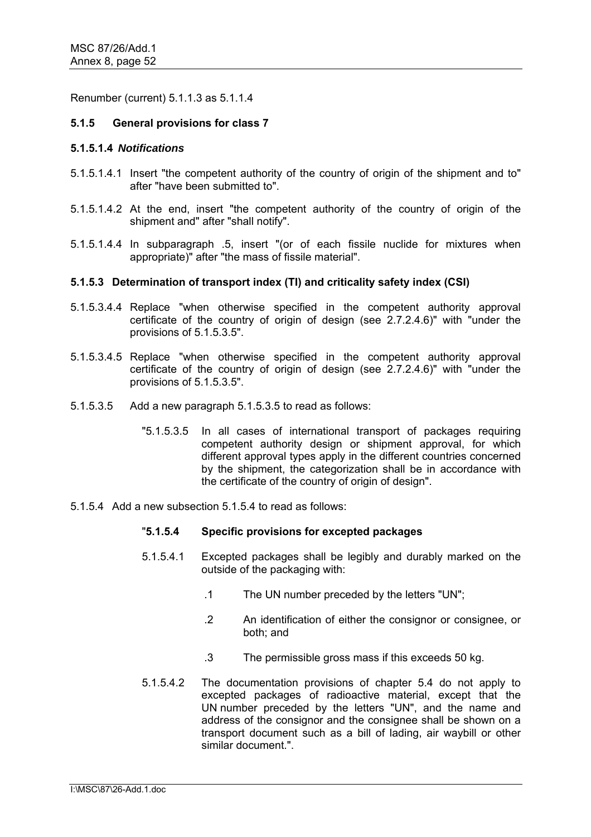Renumber (current) 5.1.1.3 as 5.1.1.4

# **5.1.5 General provisions for class 7**

#### **5.1.5.1.4** *Notifications*

- 5.1.5.1.4.1 Insert "the competent authority of the country of origin of the shipment and to" after "have been submitted to".
- 5.1.5.1.4.2 At the end, insert "the competent authority of the country of origin of the shipment and" after "shall notify".
- 5.1.5.1.4.4 In subparagraph .5, insert "(or of each fissile nuclide for mixtures when appropriate)" after "the mass of fissile material".

# **5.1.5.3 Determination of transport index (TI) and criticality safety index (CSI)**

- 5.1.5.3.4.4 Replace "when otherwise specified in the competent authority approval certificate of the country of origin of design (see 2.7.2.4.6)" with "under the provisions of 5.1.5.3.5".
- 5.1.5.3.4.5 Replace "when otherwise specified in the competent authority approval certificate of the country of origin of design (see 2.7.2.4.6)" with "under the provisions of 5.1.5.3.5".
- 5.1.5.3.5 Add a new paragraph 5.1.5.3.5 to read as follows:
	- "5.1.5.3.5 In all cases of international transport of packages requiring competent authority design or shipment approval, for which different approval types apply in the different countries concerned by the shipment, the categorization shall be in accordance with the certificate of the country of origin of design".
- 5.1.5.4 Add a new subsection 5.1.5.4 to read as follows:

# "**5.1.5.4 Specific provisions for excepted packages**

- 5.1.5.4.1 Excepted packages shall be legibly and durably marked on the outside of the packaging with:
	- .1 The UN number preceded by the letters "UN";
	- .2 An identification of either the consignor or consignee, or both; and
	- .3 The permissible gross mass if this exceeds 50 kg.
- 5.1.5.4.2 The documentation provisions of chapter 5.4 do not apply to excepted packages of radioactive material, except that the UN number preceded by the letters "UN", and the name and address of the consignor and the consignee shall be shown on a transport document such as a bill of lading, air waybill or other similar document.".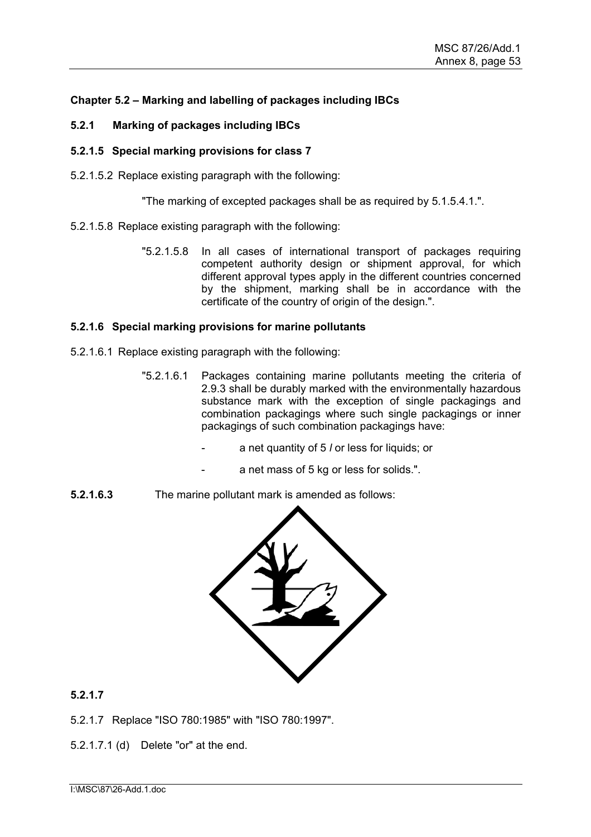# **Chapter 5.2 – Marking and labelling of packages including IBCs**

- **5.2.1 Marking of packages including IBCs**
- **5.2.1.5 Special marking provisions for class 7**
- 5.2.1.5.2 Replace existing paragraph with the following:

"The marking of excepted packages shall be as required by 5.1.5.4.1.".

- 5.2.1.5.8 Replace existing paragraph with the following:
	- "5.2.1.5.8 In all cases of international transport of packages requiring competent authority design or shipment approval, for which different approval types apply in the different countries concerned by the shipment, marking shall be in accordance with the certificate of the country of origin of the design.".

# **5.2.1.6 Special marking provisions for marine pollutants**

- 5.2.1.6.1 Replace existing paragraph with the following:
	- "5.2.1.6.1 Packages containing marine pollutants meeting the criteria of 2.9.3 shall be durably marked with the environmentally hazardous substance mark with the exception of single packagings and combination packagings where such single packagings or inner packagings of such combination packagings have:
		- a net quantity of 5 *l* or less for liquids; or
			- a net mass of 5 kg or less for solids.".
- **5.2.1.6.3** The marine pollutant mark is amended as follows:



**5.2.1.7** 

5.2.1.7 Replace "ISO 780:1985" with "ISO 780:1997".

5.2.1.7.1 (d) Delete "or" at the end.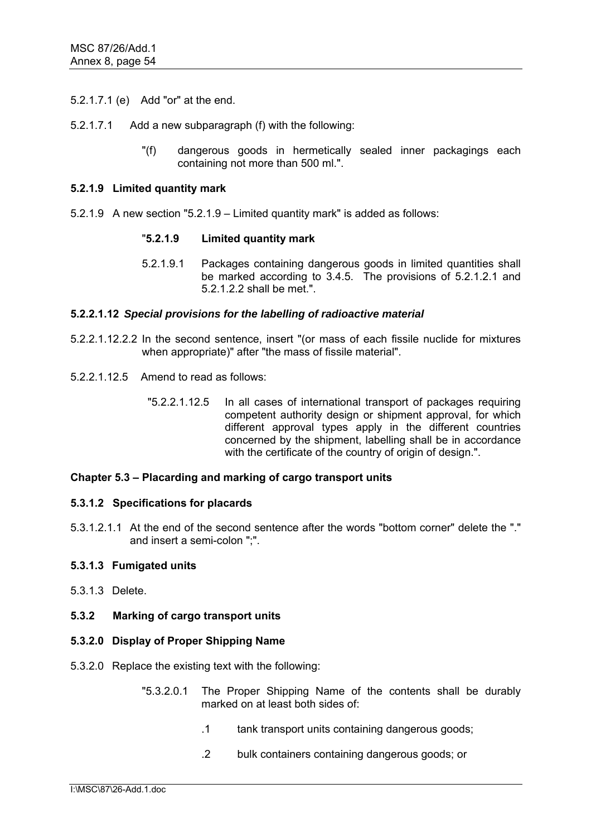- 5.2.1.7.1 (e) Add "or" at the end.
- 5.2.1.7.1 Add a new subparagraph (f) with the following:
	- "(f) dangerous goods in hermetically sealed inner packagings each containing not more than 500 ml.".

### **5.2.1.9 Limited quantity mark**

5.2.1.9 A new section "5.2.1.9 – Limited quantity mark" is added as follows:

# "**5.2.1.9 Limited quantity mark**

5.2.1.9.1 Packages containing dangerous goods in limited quantities shall be marked according to 3.4.5. The provisions of 5.2.1.2.1 and 5.2.1.2.2 shall be met.".

# **5.2.2.1.12** *Special provisions for the labelling of radioactive material*

- 5.2.2.1.12.2.2 In the second sentence, insert "(or mass of each fissile nuclide for mixtures when appropriate)" after "the mass of fissile material".
- 5.2.2.1.12.5 Amend to read as follows:
	- "5.2.2.1.12.5 In all cases of international transport of packages requiring competent authority design or shipment approval, for which different approval types apply in the different countries concerned by the shipment, labelling shall be in accordance with the certificate of the country of origin of design.".

#### **Chapter 5.3 – Placarding and marking of cargo transport units**

#### **5.3.1.2 Specifications for placards**

5.3.1.2.1.1 At the end of the second sentence after the words "bottom corner" delete the "." and insert a semi-colon ":"

#### **5.3.1.3 Fumigated units**

5.3.1.3 Delete.

### **5.3.2 Marking of cargo transport units**

#### **5.3.2.0 Display of Proper Shipping Name**

- 5.3.2.0 Replace the existing text with the following:
	- "5.3.2.0.1 The Proper Shipping Name of the contents shall be durably marked on at least both sides of:
		- .1 tank transport units containing dangerous goods;
		- .2 bulk containers containing dangerous goods; or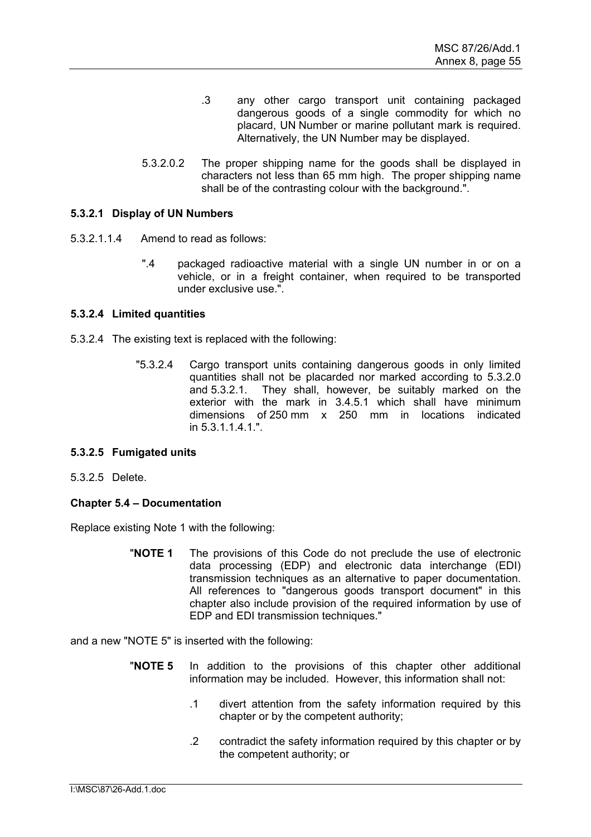- .3 any other cargo transport unit containing packaged dangerous goods of a single commodity for which no placard, UN Number or marine pollutant mark is required. Alternatively, the UN Number may be displayed.
- 5.3.2.0.2 The proper shipping name for the goods shall be displayed in characters not less than 65 mm high. The proper shipping name shall be of the contrasting colour with the background.".

# **5.3.2.1 Display of UN Numbers**

- 5.3.2.1.1.4 Amend to read as follows:
	- ".4 packaged radioactive material with a single UN number in or on a vehicle, or in a freight container, when required to be transported under exclusive use.".

#### **5.3.2.4 Limited quantities**

- 5.3.2.4 The existing text is replaced with the following:
	- "5.3.2.4 Cargo transport units containing dangerous goods in only limited quantities shall not be placarded nor marked according to 5.3.2.0 and 5.3.2.1. They shall, however, be suitably marked on the exterior with the mark in 3.4.5.1 which shall have minimum dimensions of 250 mm x 250 mm in locations indicated in 5.3.1.1.4.1"

#### **5.3.2.5 Fumigated units**

5.3.2.5 Delete.

# **Chapter 5.4 – Documentation**

Replace existing Note 1 with the following:

"**NOTE 1** The provisions of this Code do not preclude the use of electronic data processing (EDP) and electronic data interchange (EDI) transmission techniques as an alternative to paper documentation. All references to "dangerous goods transport document" in this chapter also include provision of the required information by use of EDP and EDI transmission techniques."

and a new "NOTE 5" is inserted with the following:

- "**NOTE 5** In addition to the provisions of this chapter other additional information may be included. However, this information shall not:
	- .1 divert attention from the safety information required by this chapter or by the competent authority;
	- .2 contradict the safety information required by this chapter or by the competent authority; or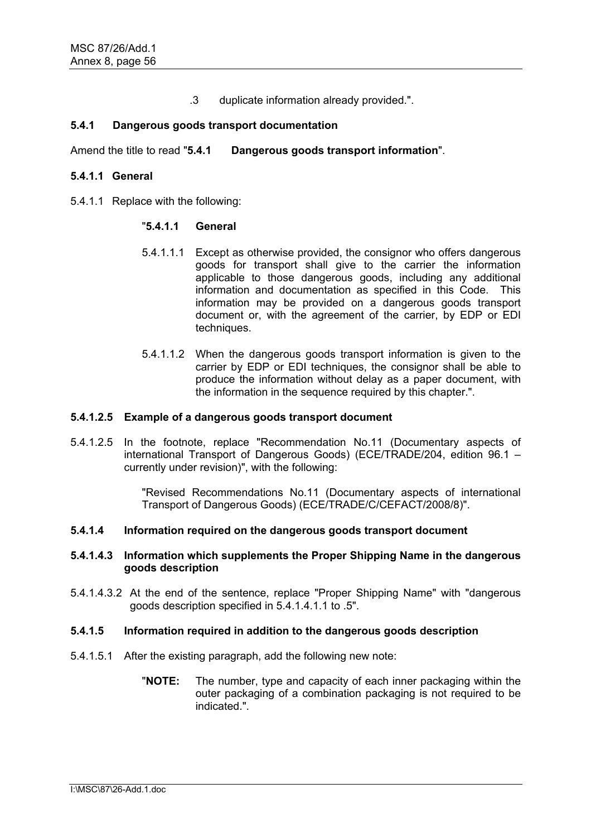.3 duplicate information already provided.".

# **5.4.1 Dangerous goods transport documentation**

Amend the title to read "**5.4.1 Dangerous goods transport information**".

### **5.4.1.1 General**

5.4.1.1 Replace with the following:

# "**5.4.1.1 General**

- 5.4.1.1.1 Except as otherwise provided, the consignor who offers dangerous goods for transport shall give to the carrier the information applicable to those dangerous goods, including any additional information and documentation as specified in this Code. This information may be provided on a dangerous goods transport document or, with the agreement of the carrier, by EDP or EDI techniques.
- 5.4.1.1.2 When the dangerous goods transport information is given to the carrier by EDP or EDI techniques, the consignor shall be able to produce the information without delay as a paper document, with the information in the sequence required by this chapter.".

### **5.4.1.2.5 Example of a dangerous goods transport document**

5.4.1.2.5 In the footnote, replace "Recommendation No.11 (Documentary aspects of international Transport of Dangerous Goods) (ECE/TRADE/204, edition 96.1 – currently under revision)", with the following:

> "Revised Recommendations No.11 (Documentary aspects of international Transport of Dangerous Goods) (ECE/TRADE/C/CEFACT/2008/8)".

#### **5.4.1.4 Information required on the dangerous goods transport document**

### **5.4.1.4.3 Information which supplements the Proper Shipping Name in the dangerous goods description**

5.4.1.4.3.2 At the end of the sentence, replace "Proper Shipping Name" with "dangerous goods description specified in 5.4.1.4.1.1 to .5".

#### **5.4.1.5 Information required in addition to the dangerous goods description**

- 5.4.1.5.1 After the existing paragraph, add the following new note:
	- "**NOTE:** The number, type and capacity of each inner packaging within the outer packaging of a combination packaging is not required to be indicated.".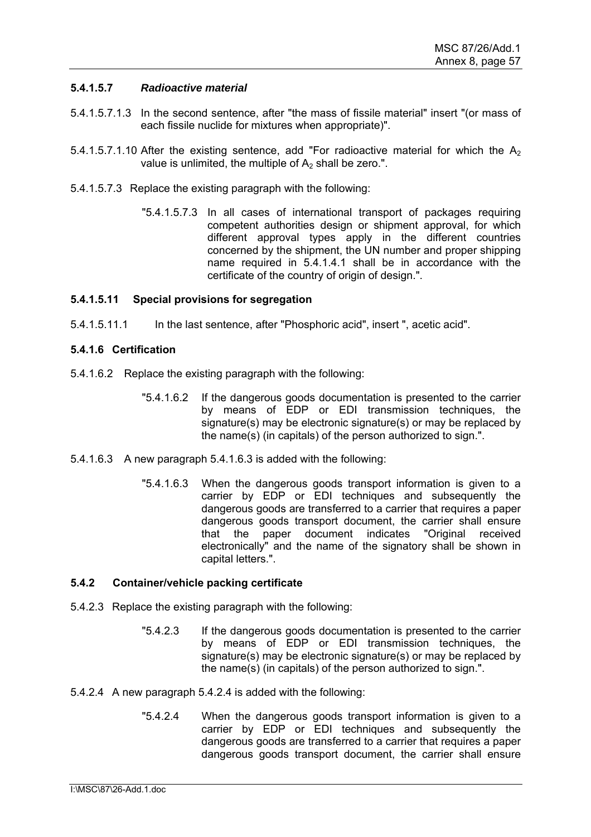# **5.4.1.5.7** *Radioactive material*

- 5.4.1.5.7.1.3 In the second sentence, after "the mass of fissile material" insert "(or mass of each fissile nuclide for mixtures when appropriate)".
- 5.4.1.5.7.1.10 After the existing sentence, add "For radioactive material for which the  $A<sub>2</sub>$ value is unlimited, the multiple of  $A<sub>2</sub>$  shall be zero.".
- 5.4.1.5.7.3 Replace the existing paragraph with the following:
	- "5.4.1.5.7.3 In all cases of international transport of packages requiring competent authorities design or shipment approval, for which different approval types apply in the different countries concerned by the shipment, the UN number and proper shipping name required in 5.4.1.4.1 shall be in accordance with the certificate of the country of origin of design.".

# **5.4.1.5.11 Special provisions for segregation**

5.4.1.5.11.1 In the last sentence, after "Phosphoric acid", insert ", acetic acid".

# **5.4.1.6 Certification**

- 5.4.1.6.2 Replace the existing paragraph with the following:
	- "5.4.1.6.2 If the dangerous goods documentation is presented to the carrier by means of EDP or EDI transmission techniques, the signature(s) may be electronic signature(s) or may be replaced by the name(s) (in capitals) of the person authorized to sign.".
- 5.4.1.6.3 A new paragraph 5.4.1.6.3 is added with the following:
	- "5.4.1.6.3 When the dangerous goods transport information is given to a carrier by EDP or EDI techniques and subsequently the dangerous goods are transferred to a carrier that requires a paper dangerous goods transport document, the carrier shall ensure that the paper document indicates "Original received electronically" and the name of the signatory shall be shown in capital letters.".

#### **5.4.2 Container/vehicle packing certificate**

- 5.4.2.3 Replace the existing paragraph with the following:
	- "5.4.2.3 If the dangerous goods documentation is presented to the carrier by means of EDP or EDI transmission techniques, the signature(s) may be electronic signature(s) or may be replaced by the name(s) (in capitals) of the person authorized to sign.".
- 5.4.2.4 A new paragraph 5.4.2.4 is added with the following:
	- "5.4.2.4 When the dangerous goods transport information is given to a carrier by EDP or EDI techniques and subsequently the dangerous goods are transferred to a carrier that requires a paper dangerous goods transport document, the carrier shall ensure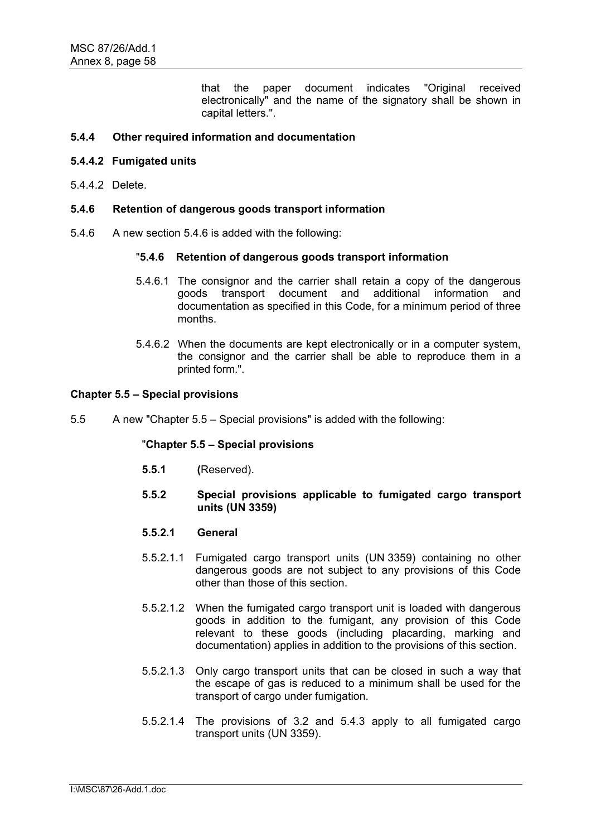that the paper document indicates "Original received electronically" and the name of the signatory shall be shown in capital letters.".

# **5.4.4 Other required information and documentation**

### **5.4.4.2 Fumigated units**

5.4.4.2 Delete.

#### **5.4.6 Retention of dangerous goods transport information**

5.4.6 A new section 5.4.6 is added with the following:

# "**5.4.6 Retention of dangerous goods transport information**

- 5.4.6.1 The consignor and the carrier shall retain a copy of the dangerous goods transport document and additional information and documentation as specified in this Code, for a minimum period of three months.
- 5.4.6.2 When the documents are kept electronically or in a computer system, the consignor and the carrier shall be able to reproduce them in a printed form.".

#### **Chapter 5.5 – Special provisions**

5.5 A new "Chapter 5.5 – Special provisions" is added with the following:

#### "**Chapter 5.5 – Special provisions**

- **5.5.1 (**Reserved).
- **5.5.2 Special provisions applicable to fumigated cargo transport units (UN 3359)**

#### **5.5.2.1 General**

- 5.5.2.1.1 Fumigated cargo transport units (UN 3359) containing no other dangerous goods are not subject to any provisions of this Code other than those of this section.
- 5.5.2.1.2 When the fumigated cargo transport unit is loaded with dangerous goods in addition to the fumigant, any provision of this Code relevant to these goods (including placarding, marking and documentation) applies in addition to the provisions of this section.
- 5.5.2.1.3 Only cargo transport units that can be closed in such a way that the escape of gas is reduced to a minimum shall be used for the transport of cargo under fumigation.
- 5.5.2.1.4 The provisions of 3.2 and 5.4.3 apply to all fumigated cargo transport units (UN 3359).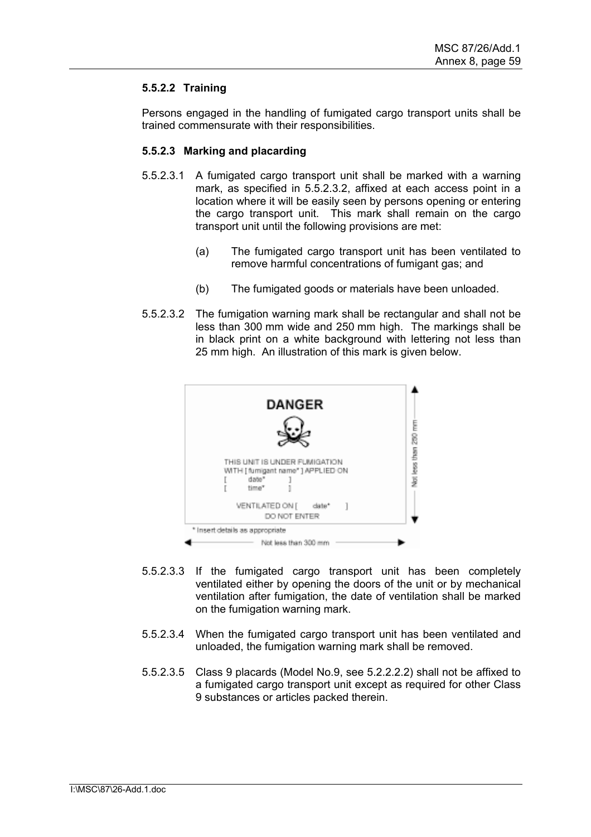# **5.5.2.2 Training**

Persons engaged in the handling of fumigated cargo transport units shall be trained commensurate with their responsibilities.

# **5.5.2.3 Marking and placarding**

- 5.5.2.3.1 A fumigated cargo transport unit shall be marked with a warning mark, as specified in 5.5.2.3.2, affixed at each access point in a location where it will be easily seen by persons opening or entering the cargo transport unit. This mark shall remain on the cargo transport unit until the following provisions are met:
	- (a) The fumigated cargo transport unit has been ventilated to remove harmful concentrations of fumigant gas; and
	- (b) The fumigated goods or materials have been unloaded.
- 5.5.2.3.2 The fumigation warning mark shall be rectangular and shall not be less than 300 mm wide and 250 mm high. The markings shall be in black print on a white background with lettering not less than 25 mm high. An illustration of this mark is given below.



- 5.5.2.3.3 If the fumigated cargo transport unit has been completely ventilated either by opening the doors of the unit or by mechanical ventilation after fumigation, the date of ventilation shall be marked on the fumigation warning mark.
- 5.5.2.3.4 When the fumigated cargo transport unit has been ventilated and unloaded, the fumigation warning mark shall be removed.
- 5.5.2.3.5 Class 9 placards (Model No.9, see 5.2.2.2.2) shall not be affixed to a fumigated cargo transport unit except as required for other Class 9 substances or articles packed therein.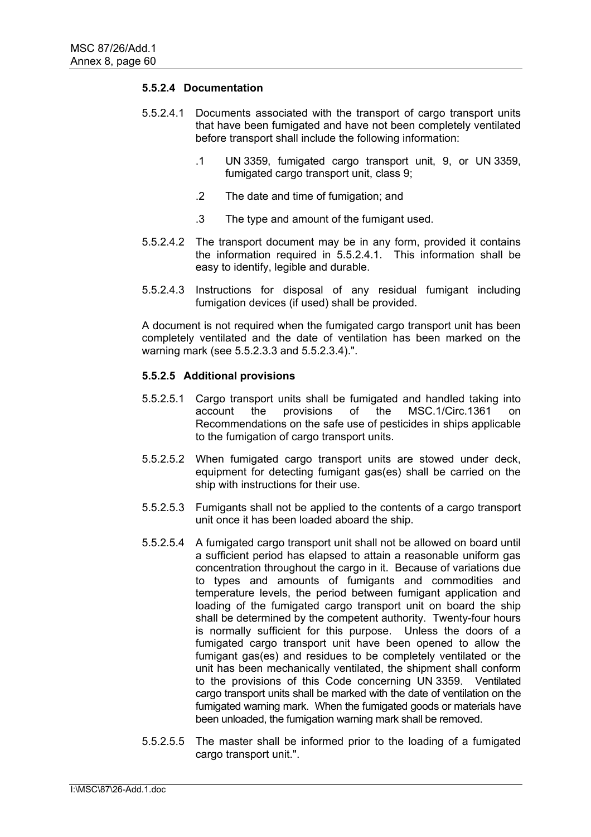# **5.5.2.4 Documentation**

- 5.5.2.4.1 Documents associated with the transport of cargo transport units that have been fumigated and have not been completely ventilated before transport shall include the following information:
	- .1 UN 3359, fumigated cargo transport unit, 9, or UN 3359, fumigated cargo transport unit, class 9;
	- .2 The date and time of fumigation; and
	- .3 The type and amount of the fumigant used.
- 5.5.2.4.2 The transport document may be in any form, provided it contains the information required in 5.5.2.4.1. This information shall be easy to identify, legible and durable.
- 5.5.2.4.3 Instructions for disposal of any residual fumigant including fumigation devices (if used) shall be provided.

A document is not required when the fumigated cargo transport unit has been completely ventilated and the date of ventilation has been marked on the warning mark (see 5.5.2.3.3 and 5.5.2.3.4).".

# **5.5.2.5 Additional provisions**

- 5.5.2.5.1 Cargo transport units shall be fumigated and handled taking into account the provisions of the MSC.1/Circ.1361 on Recommendations on the safe use of pesticides in ships applicable to the fumigation of cargo transport units.
- 5.5.2.5.2 When fumigated cargo transport units are stowed under deck, equipment for detecting fumigant gas(es) shall be carried on the ship with instructions for their use.
- 5.5.2.5.3 Fumigants shall not be applied to the contents of a cargo transport unit once it has been loaded aboard the ship.
- 5.5.2.5.4 A fumigated cargo transport unit shall not be allowed on board until a sufficient period has elapsed to attain a reasonable uniform gas concentration throughout the cargo in it. Because of variations due to types and amounts of fumigants and commodities and temperature levels, the period between fumigant application and loading of the fumigated cargo transport unit on board the ship shall be determined by the competent authority. Twenty-four hours is normally sufficient for this purpose. Unless the doors of a fumigated cargo transport unit have been opened to allow the fumigant gas(es) and residues to be completely ventilated or the unit has been mechanically ventilated, the shipment shall conform to the provisions of this Code concerning UN 3359. Ventilated cargo transport units shall be marked with the date of ventilation on the fumigated warning mark. When the fumigated goods or materials have been unloaded, the fumigation warning mark shall be removed.
- 5.5.2.5.5 The master shall be informed prior to the loading of a fumigated cargo transport unit.".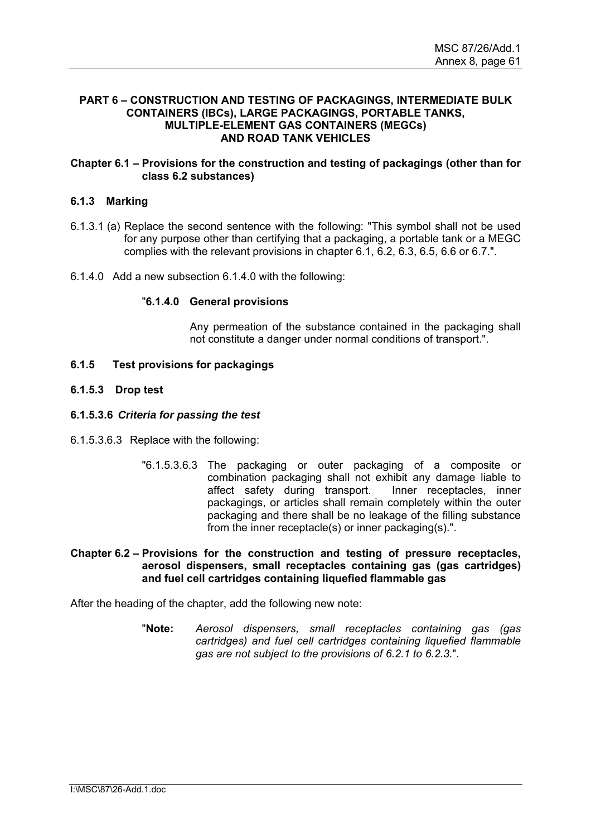### **PART 6 – CONSTRUCTION AND TESTING OF PACKAGINGS, INTERMEDIATE BULK CONTAINERS (IBCs), LARGE PACKAGINGS, PORTABLE TANKS, MULTIPLE-ELEMENT GAS CONTAINERS (MEGCs) AND ROAD TANK VEHICLES**

# **Chapter 6.1 – Provisions for the construction and testing of packagings (other than for class 6.2 substances)**

# **6.1.3 Marking**

- 6.1.3.1 (a) Replace the second sentence with the following: "This symbol shall not be used for any purpose other than certifying that a packaging, a portable tank or a MEGC complies with the relevant provisions in chapter 6.1, 6.2, 6.3, 6.5, 6.6 or 6.7.".
- 6.1.4.0 Add a new subsection 6.1.4.0 with the following:

#### "**6.1.4.0 General provisions**

Any permeation of the substance contained in the packaging shall not constitute a danger under normal conditions of transport.".

# **6.1.5 Test provisions for packagings**

#### **6.1.5.3 Drop test**

#### **6.1.5.3.6** *Criteria for passing the test*

- 6.1.5.3.6.3 Replace with the following:
	- "6.1.5.3.6.3 The packaging or outer packaging of a composite or combination packaging shall not exhibit any damage liable to affect safety during transport. Inner receptacles, inner packagings, or articles shall remain completely within the outer packaging and there shall be no leakage of the filling substance from the inner receptacle(s) or inner packaging(s).".

### **Chapter 6.2 – Provisions for the construction and testing of pressure receptacles, aerosol dispensers, small receptacles containing gas (gas cartridges) and fuel cell cartridges containing liquefied flammable gas**

After the heading of the chapter, add the following new note:

"**Note:** *Aerosol dispensers, small receptacles containing gas (gas cartridges) and fuel cell cartridges containing liquefied flammable gas are not subject to the provisions of 6.2.1 to 6.2.3.*".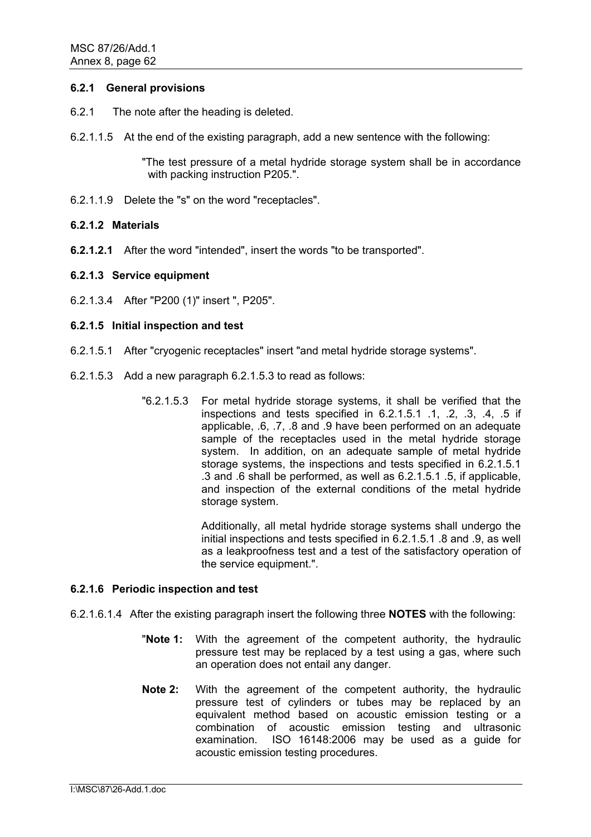### **6.2.1 General provisions**

- 6.2.1 The note after the heading is deleted.
- 6.2.1.1.5 At the end of the existing paragraph, add a new sentence with the following:

"The test pressure of a metal hydride storage system shall be in accordance with packing instruction P205.".

6.2.1.1.9 Delete the "s" on the word "receptacles".

# **6.2.1.2 Materials**

**6.2.1.2.1** After the word "intended", insert the words "to be transported".

# **6.2.1.3 Service equipment**

6.2.1.3.4 After "P200 (1)" insert ", P205".

# **6.2.1.5 Initial inspection and test**

- 6.2.1.5.1 After "cryogenic receptacles" insert "and metal hydride storage systems".
- 6.2.1.5.3 Add a new paragraph 6.2.1.5.3 to read as follows:
	- "6.2.1.5.3 For metal hydride storage systems, it shall be verified that the inspections and tests specified in 6.2.1.5.1 .1, .2, .3, .4, .5 if applicable, .6, .7, .8 and .9 have been performed on an adequate sample of the receptacles used in the metal hydride storage system. In addition, on an adequate sample of metal hydride storage systems, the inspections and tests specified in 6.2.1.5.1 .3 and .6 shall be performed, as well as 6.2.1.5.1 .5, if applicable, and inspection of the external conditions of the metal hydride storage system.

Additionally, all metal hydride storage systems shall undergo the initial inspections and tests specified in 6.2.1.5.1 .8 and .9, as well as a leakproofness test and a test of the satisfactory operation of the service equipment.".

#### **6.2.1.6 Periodic inspection and test**

- 6.2.1.6.1.4 After the existing paragraph insert the following three **NOTES** with the following:
	- "**Note 1:** With the agreement of the competent authority, the hydraulic pressure test may be replaced by a test using a gas, where such an operation does not entail any danger.
	- **Note 2:** With the agreement of the competent authority, the hydraulic pressure test of cylinders or tubes may be replaced by an equivalent method based on acoustic emission testing or a combination of acoustic emission testing and ultrasonic examination. ISO 16148:2006 may be used as a guide for acoustic emission testing procedures.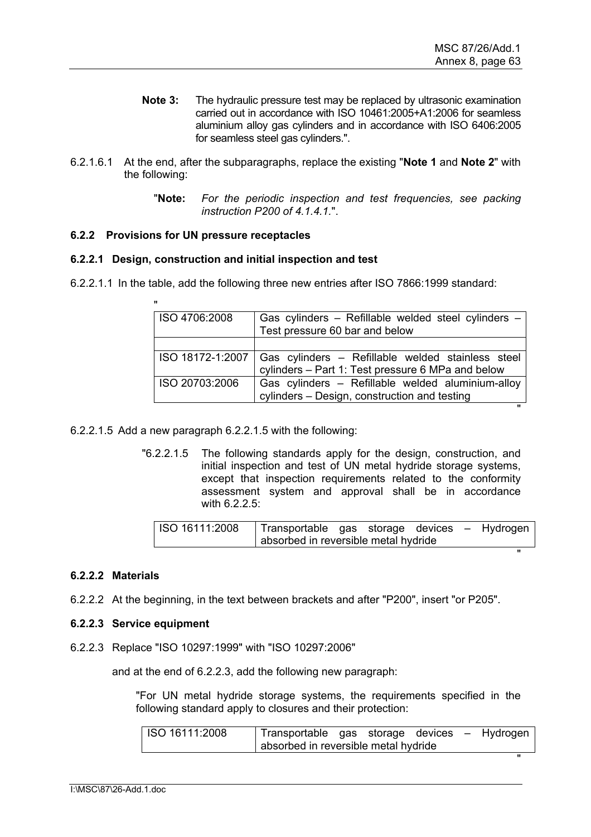- **Note 3:** The hydraulic pressure test may be replaced by ultrasonic examination carried out in accordance with ISO 10461:2005+A1:2006 for seamless aluminium alloy gas cylinders and in accordance with ISO 6406:2005 for seamless steel gas cylinders.".
- 6.2.1.6.1 At the end, after the subparagraphs, replace the existing "**Note 1** and **Note 2**" with the following:
	- "**Note:** *For the periodic inspection and test frequencies, see packing instruction P200 of 4.1.4.1.*".

# **6.2.2 Provisions for UN pressure receptacles**

# **6.2.2.1 Design, construction and initial inspection and test**

6.2.2.1.1 In the table, add the following three new entries after ISO 7866:1999 standard:

| $\mathbf{u}$     |                                                                                                        |
|------------------|--------------------------------------------------------------------------------------------------------|
| ISO 4706:2008    | Gas cylinders - Refillable welded steel cylinders -                                                    |
|                  | Test pressure 60 bar and below                                                                         |
|                  |                                                                                                        |
| ISO 18172-1:2007 | Gas cylinders - Refillable welded stainless steel<br>cylinders - Part 1: Test pressure 6 MPa and below |
| ISO 20703:2006   | Gas cylinders - Refillable welded aluminium-alloy<br>cylinders - Design, construction and testing      |
|                  |                                                                                                        |

6.2.2.1.5 Add a new paragraph 6.2.2.1.5 with the following:

"6.2.2.1.5 The following standards apply for the design, construction, and initial inspection and test of UN metal hydride storage systems, except that inspection requirements related to the conformity assessment system and approval shall be in accordance with 6.2.2.5:

| ISO 16111:2008 | Transportable gas storage devices – Hydrogen |  |  |  |
|----------------|----------------------------------------------|--|--|--|
|                | absorbed in reversible metal hydride         |  |  |  |
|                |                                              |  |  |  |
|                |                                              |  |  |  |

#### **6.2.2.2 Materials**

6.2.2.2 At the beginning, in the text between brackets and after "P200", insert "or P205".

#### **6.2.2.3 Service equipment**

6.2.2.3 Replace "ISO 10297:1999" with "ISO 10297:2006"

and at the end of 6.2.2.3, add the following new paragraph:

"For UN metal hydride storage systems, the requirements specified in the following standard apply to closures and their protection:

| ISO 16111:2008 | Transportable gas storage devices – Hydrogen |  |  |  |
|----------------|----------------------------------------------|--|--|--|
|                | absorbed in reversible metal hydride         |  |  |  |
|                |                                              |  |  |  |
|                |                                              |  |  |  |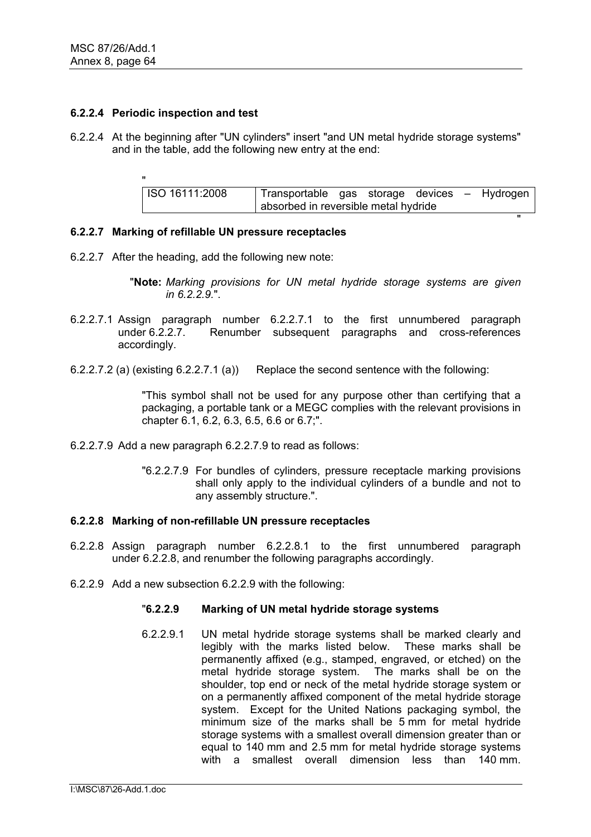### **6.2.2.4 Periodic inspection and test**

"

6.2.2.4 At the beginning after "UN cylinders" insert "and UN metal hydride storage systems" and in the table, add the following new entry at the end:

| <b>ISO 16111:2008</b> | Transportable gas storage devices - Hydrogen |  |  |  |
|-----------------------|----------------------------------------------|--|--|--|
|                       | absorbed in reversible metal hydride         |  |  |  |
|                       |                                              |  |  |  |

# **6.2.2.7 Marking of refillable UN pressure receptacles**

6.2.2.7 After the heading, add the following new note:

"**Note:** *Marking provisions for UN metal hydride storage systems are given in 6.2.2.9.*".

- 6.2.2.7.1 Assign paragraph number 6.2.2.7.1 to the first unnumbered paragraph under 6.2.2.7. Renumber subsequent paragraphs and cross-references accordingly.
- 6.2.2.7.2 (a) (existing 6.2.2.7.1 (a)) Replace the second sentence with the following:

"This symbol shall not be used for any purpose other than certifying that a packaging, a portable tank or a MEGC complies with the relevant provisions in chapter 6.1, 6.2, 6.3, 6.5, 6.6 or 6.7;".

- 6.2.2.7.9 Add a new paragraph 6.2.2.7.9 to read as follows:
	- "6.2.2.7.9 For bundles of cylinders, pressure receptacle marking provisions shall only apply to the individual cylinders of a bundle and not to any assembly structure.".

#### **6.2.2.8 Marking of non-refillable UN pressure receptacles**

- 6.2.2.8 Assign paragraph number 6.2.2.8.1 to the first unnumbered paragraph under 6.2.2.8, and renumber the following paragraphs accordingly.
- 6.2.2.9 Add a new subsection 6.2.2.9 with the following:

#### "**6.2.2.9 Marking of UN metal hydride storage systems**

6.2.2.9.1 UN metal hydride storage systems shall be marked clearly and legibly with the marks listed below. These marks shall be permanently affixed (e.g., stamped, engraved, or etched) on the metal hydride storage system. The marks shall be on the shoulder, top end or neck of the metal hydride storage system or on a permanently affixed component of the metal hydride storage system. Except for the United Nations packaging symbol, the minimum size of the marks shall be 5 mm for metal hydride storage systems with a smallest overall dimension greater than or equal to 140 mm and 2.5 mm for metal hydride storage systems with a smallest overall dimension less than 140 mm.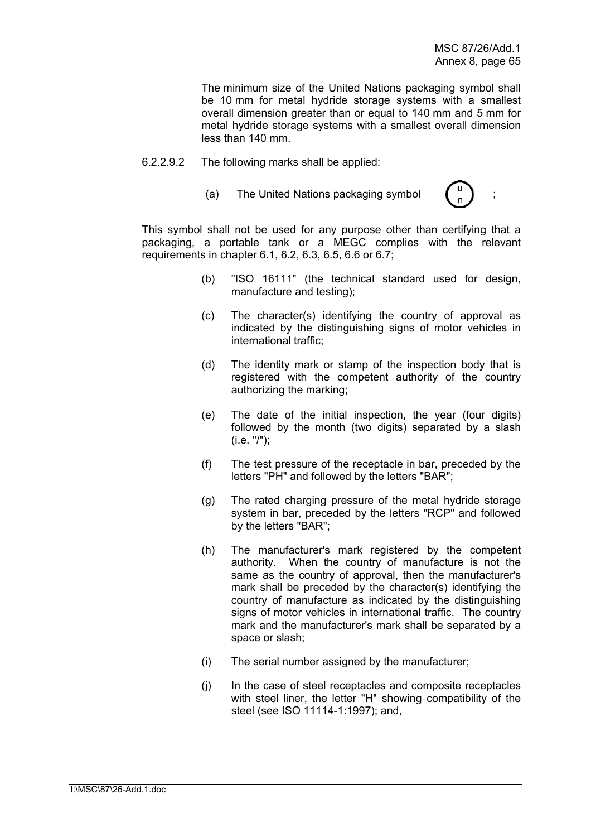The minimum size of the United Nations packaging symbol shall be 10 mm for metal hydride storage systems with a smallest overall dimension greater than or equal to 140 mm and 5 mm for metal hydride storage systems with a smallest overall dimension less than 140 mm.

- 6.2.2.9.2 The following marks shall be applied:
	- (a) The United Nations packaging symbol



This symbol shall not be used for any purpose other than certifying that a packaging, a portable tank or a MEGC complies with the relevant requirements in chapter 6.1, 6.2, 6.3, 6.5, 6.6 or 6.7;

- (b) "ISO 16111" (the technical standard used for design, manufacture and testing);
- (c) The character(s) identifying the country of approval as indicated by the distinguishing signs of motor vehicles in international traffic;
- (d) The identity mark or stamp of the inspection body that is registered with the competent authority of the country authorizing the marking;
- (e) The date of the initial inspection, the year (four digits) followed by the month (two digits) separated by a slash (i.e. "/");
- (f) The test pressure of the receptacle in bar, preceded by the letters "PH" and followed by the letters "BAR";
- (g) The rated charging pressure of the metal hydride storage system in bar, preceded by the letters "RCP" and followed by the letters "BAR";
- (h) The manufacturer's mark registered by the competent authority. When the country of manufacture is not the same as the country of approval, then the manufacturer's mark shall be preceded by the character(s) identifying the country of manufacture as indicated by the distinguishing signs of motor vehicles in international traffic. The country mark and the manufacturer's mark shall be separated by a space or slash;
- (i) The serial number assigned by the manufacturer;
- (j) In the case of steel receptacles and composite receptacles with steel liner, the letter "H" showing compatibility of the steel (see ISO 11114-1:1997); and,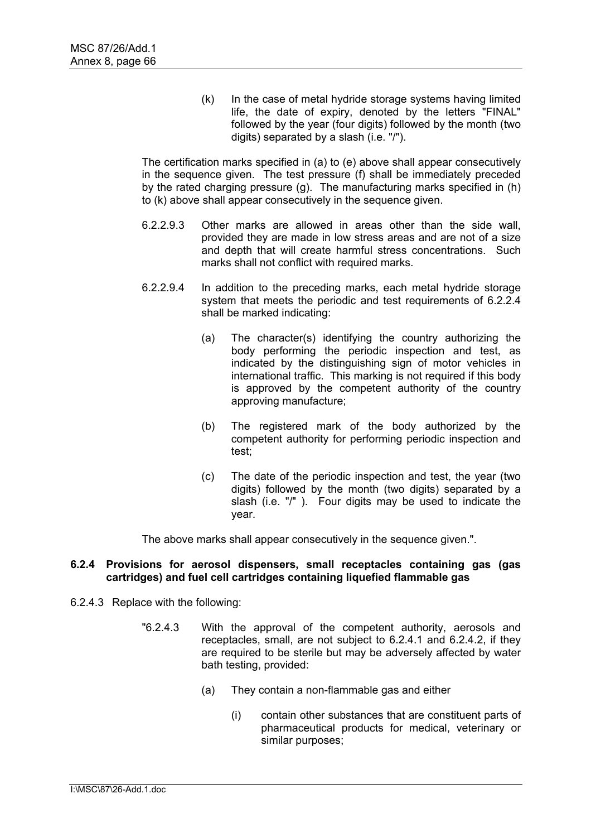(k) In the case of metal hydride storage systems having limited life, the date of expiry, denoted by the letters "FINAL" followed by the year (four digits) followed by the month (two digits) separated by a slash (i.e. "/").

The certification marks specified in (a) to (e) above shall appear consecutively in the sequence given. The test pressure (f) shall be immediately preceded by the rated charging pressure (g). The manufacturing marks specified in (h) to (k) above shall appear consecutively in the sequence given.

- 6.2.2.9.3 Other marks are allowed in areas other than the side wall, provided they are made in low stress areas and are not of a size and depth that will create harmful stress concentrations. Such marks shall not conflict with required marks.
- 6.2.2.9.4 In addition to the preceding marks, each metal hydride storage system that meets the periodic and test requirements of 6.2.2.4 shall be marked indicating:
	- (a) The character(s) identifying the country authorizing the body performing the periodic inspection and test, as indicated by the distinguishing sign of motor vehicles in international traffic. This marking is not required if this body is approved by the competent authority of the country approving manufacture;
	- (b) The registered mark of the body authorized by the competent authority for performing periodic inspection and test;
	- (c) The date of the periodic inspection and test, the year (two digits) followed by the month (two digits) separated by a slash (i.e. "/" ). Four digits may be used to indicate the year.

The above marks shall appear consecutively in the sequence given.".

#### **6.2.4 Provisions for aerosol dispensers, small receptacles containing gas (gas cartridges) and fuel cell cartridges containing liquefied flammable gas**

- 6.2.4.3 Replace with the following:
	- "6.2.4.3 With the approval of the competent authority, aerosols and receptacles, small, are not subject to 6.2.4.1 and 6.2.4.2, if they are required to be sterile but may be adversely affected by water bath testing, provided:
		- (a) They contain a non-flammable gas and either
			- (i) contain other substances that are constituent parts of pharmaceutical products for medical, veterinary or similar purposes;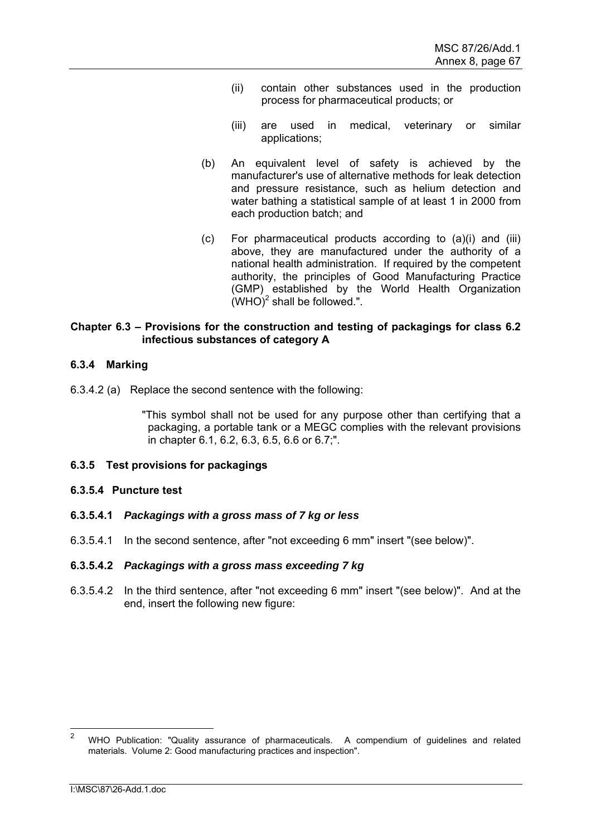- (ii) contain other substances used in the production process for pharmaceutical products; or
- (iii) are used in medical, veterinary or similar applications;
- (b) An equivalent level of safety is achieved by the manufacturer's use of alternative methods for leak detection and pressure resistance, such as helium detection and water bathing a statistical sample of at least 1 in 2000 from each production batch; and
- (c) For pharmaceutical products according to (a)(i) and (iii) above, they are manufactured under the authority of a national health administration. If required by the competent authority, the principles of Good Manufacturing Practice (GMP) established by the World Health Organization  $(WHO)^2$  shall be followed.".

# **Chapter 6.3 – Provisions for the construction and testing of packagings for class 6.2 infectious substances of category A**

# **6.3.4 Marking**

6.3.4.2 (a) Replace the second sentence with the following:

"This symbol shall not be used for any purpose other than certifying that a packaging, a portable tank or a MEGC complies with the relevant provisions in chapter 6.1, 6.2, 6.3, 6.5, 6.6 or 6.7;".

# **6.3.5 Test provisions for packagings**

# **6.3.5.4 Puncture test**

- **6.3.5.4.1** *Packagings with a gross mass of 7 kg or less*
- 6.3.5.4.1 In the second sentence, after "not exceeding 6 mm" insert "(see below)".

# **6.3.5.4.2** *Packagings with a gross mass exceeding 7 kg*

6.3.5.4.2 In the third sentence, after "not exceeding 6 mm" insert "(see below)". And at the end, insert the following new figure:

 $\frac{1}{2}$  WHO Publication: "Quality assurance of pharmaceuticals. A compendium of guidelines and related materials. Volume 2: Good manufacturing practices and inspection".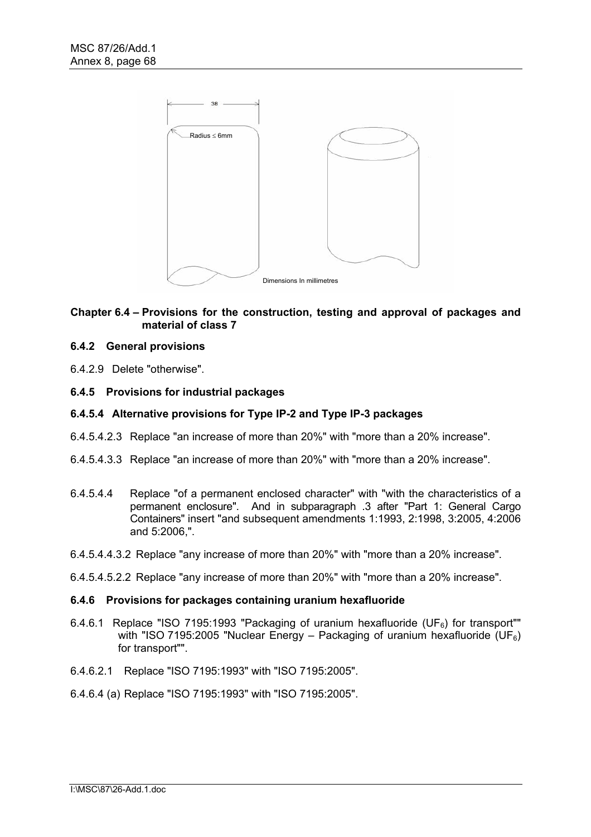

# **Chapter 6.4 – Provisions for the construction, testing and approval of packages and material of class 7**

# **6.4.2 General provisions**

6.4.2.9 Delete "otherwise".

# **6.4.5 Provisions for industrial packages**

# **6.4.5.4 Alternative provisions for Type IP-2 and Type IP-3 packages**

- 6.4.5.4.2.3 Replace "an increase of more than 20%" with "more than a 20% increase".
- 6.4.5.4.3.3 Replace "an increase of more than 20%" with "more than a 20% increase".
- 6.4.5.4.4 Replace "of a permanent enclosed character" with "with the characteristics of a permanent enclosure". And in subparagraph .3 after "Part 1: General Cargo Containers" insert "and subsequent amendments 1:1993, 2:1998, 3:2005, 4:2006 and 5:2006,".
- 6.4.5.4.4.3.2 Replace "any increase of more than 20%" with "more than a 20% increase".
- 6.4.5.4.5.2.2 Replace "any increase of more than 20%" with "more than a 20% increase".

#### **6.4.6 Provisions for packages containing uranium hexafluoride**

- 6.4.6.1 Replace "ISO 7195:1993 "Packaging of uranium hexafluoride (UF<sub>6</sub>) for transport"" with "ISO 7195:2005 "Nuclear Energy – Packaging of uranium hexafluoride (UF $_6$ ) for transport"".
- 6.4.6.2.1 Replace "ISO 7195:1993" with "ISO 7195:2005".
- 6.4.6.4 (a) Replace "ISO 7195:1993" with "ISO 7195:2005".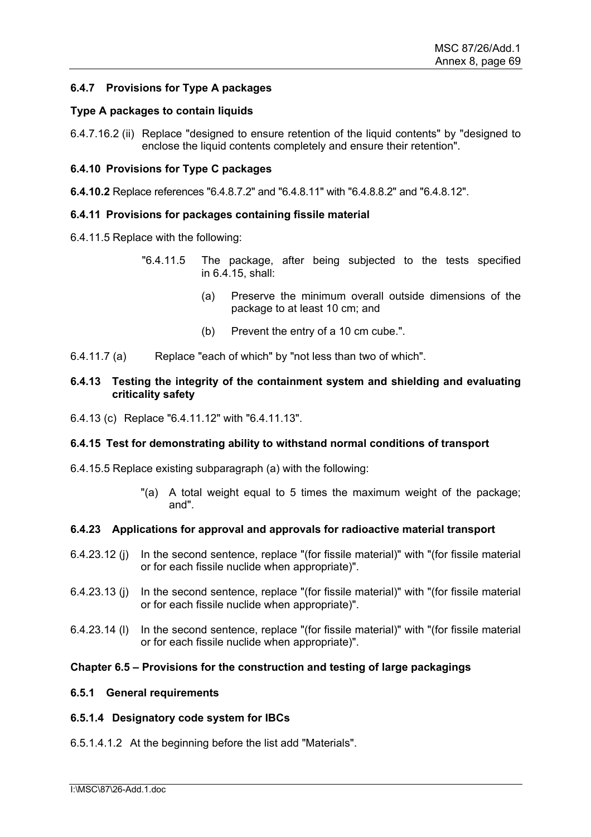# **6.4.7 Provisions for Type A packages**

#### **Type A packages to contain liquids**

6.4.7.16.2 (ii) Replace "designed to ensure retention of the liquid contents" by "designed to enclose the liquid contents completely and ensure their retention".

### **6.4.10 Provisions for Type C packages**

**6.4.10.2** Replace references "6.4.8.7.2" and "6.4.8.11" with "6.4.8.8.2" and "6.4.8.12".

#### **6.4.11 Provisions for packages containing fissile material**

- 6.4.11.5 Replace with the following:
	- "6.4.11.5 The package, after being subjected to the tests specified in 6.4.15, shall:
		- (a) Preserve the minimum overall outside dimensions of the package to at least 10 cm; and
		- (b) Prevent the entry of a 10 cm cube.".
- 6.4.11.7 (a) Replace "each of which" by "not less than two of which".

### **6.4.13 Testing the integrity of the containment system and shielding and evaluating criticality safety**

6.4.13 (c) Replace "6.4.11.12" with "6.4.11.13".

#### **6.4.15 Test for demonstrating ability to withstand normal conditions of transport**

- 6.4.15.5 Replace existing subparagraph (a) with the following:
	- "(a) A total weight equal to 5 times the maximum weight of the package; and".

#### **6.4.23 Applications for approval and approvals for radioactive material transport**

- 6.4.23.12 (j) In the second sentence, replace "(for fissile material)" with "(for fissile material or for each fissile nuclide when appropriate)".
- 6.4.23.13 (j) In the second sentence, replace "(for fissile material)" with "(for fissile material or for each fissile nuclide when appropriate)".
- 6.4.23.14 (l) In the second sentence, replace "(for fissile material)" with "(for fissile material or for each fissile nuclide when appropriate)".

#### **Chapter 6.5 – Provisions for the construction and testing of large packagings**

#### **6.5.1 General requirements**

### **6.5.1.4 Designatory code system for IBCs**

6.5.1.4.1.2 At the beginning before the list add "Materials".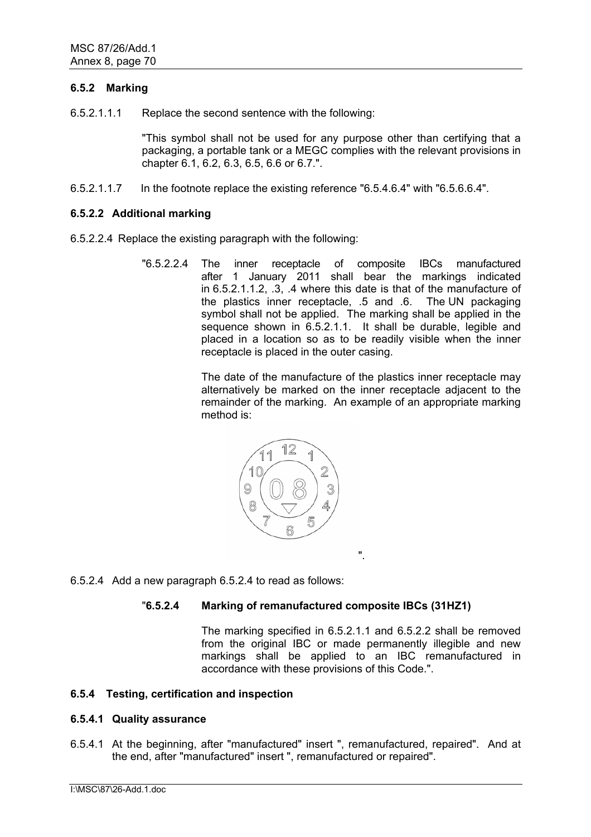# **6.5.2 Marking**

6.5.2.1.1.1 Replace the second sentence with the following:

"This symbol shall not be used for any purpose other than certifying that a packaging, a portable tank or a MEGC complies with the relevant provisions in chapter 6.1, 6.2, 6.3, 6.5, 6.6 or 6.7.".

6.5.2.1.1.7 In the footnote replace the existing reference "6.5.4.6.4" with "6.5.6.6.4".

# **6.5.2.2 Additional marking**

- 6.5.2.2.4 Replace the existing paragraph with the following:
	- "6.5.2.2.4 The inner receptacle of composite IBCs manufactured after 1 January 2011 shall bear the markings indicated in 6.5.2.1.1.2, .3, .4 where this date is that of the manufacture of the plastics inner receptacle, .5 and .6. The UN packaging symbol shall not be applied. The marking shall be applied in the sequence shown in 6.5.2.1.1. It shall be durable, legible and placed in a location so as to be readily visible when the inner receptacle is placed in the outer casing.

The date of the manufacture of the plastics inner receptacle may alternatively be marked on the inner receptacle adjacent to the remainder of the marking. An example of an appropriate marking method is:



6.5.2.4 Add a new paragraph 6.5.2.4 to read as follows:

# "**6.5.2.4 Marking of remanufactured composite IBCs (31HZ1)**

 The marking specified in 6.5.2.1.1 and 6.5.2.2 shall be removed from the original IBC or made permanently illegible and new markings shall be applied to an IBC remanufactured in accordance with these provisions of this Code.".

".

# **6.5.4 Testing, certification and inspection**

#### **6.5.4.1 Quality assurance**

6.5.4.1 At the beginning, after "manufactured" insert ", remanufactured, repaired". And at the end, after "manufactured" insert ", remanufactured or repaired".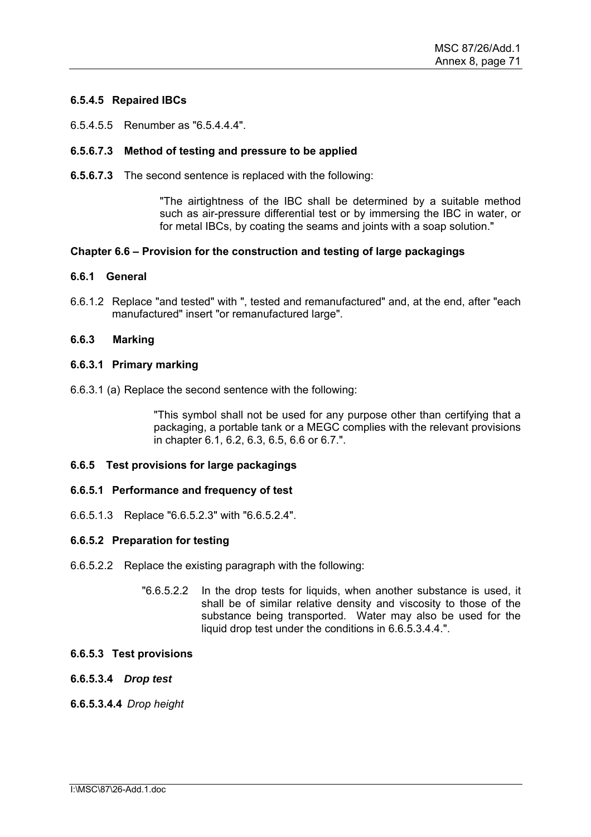# **6.5.4.5 Repaired IBCs**

6.5.4.5.5 Renumber as "6.5.4.4.4".

# **6.5.6.7.3 Method of testing and pressure to be applied**

**6.5.6.7.3** The second sentence is replaced with the following:

"The airtightness of the IBC shall be determined by a suitable method such as air-pressure differential test or by immersing the IBC in water, or for metal IBCs, by coating the seams and joints with a soap solution."

# **Chapter 6.6 – Provision for the construction and testing of large packagings**

#### **6.6.1 General**

6.6.1.2 Replace "and tested" with ", tested and remanufactured" and, at the end, after "each manufactured" insert "or remanufactured large".

# **6.6.3 Marking**

# **6.6.3.1 Primary marking**

6.6.3.1 (a) Replace the second sentence with the following:

"This symbol shall not be used for any purpose other than certifying that a packaging, a portable tank or a MEGC complies with the relevant provisions in chapter 6.1, 6.2, 6.3, 6.5, 6.6 or 6.7.".

#### **6.6.5 Test provisions for large packagings**

#### **6.6.5.1 Performance and frequency of test**

6.6.5.1.3 Replace "6.6.5.2.3" with "6.6.5.2.4".

#### **6.6.5.2 Preparation for testing**

- 6.6.5.2.2 Replace the existing paragraph with the following:
	- "6.6.5.2.2 In the drop tests for liquids, when another substance is used, it shall be of similar relative density and viscosity to those of the substance being transported. Water may also be used for the liquid drop test under the conditions in 6.6.5.3.4.4.".

#### **6.6.5.3 Test provisions**

### **6.6.5.3.4** *Drop test*

### **6.6.5.3.4.4** *Drop height*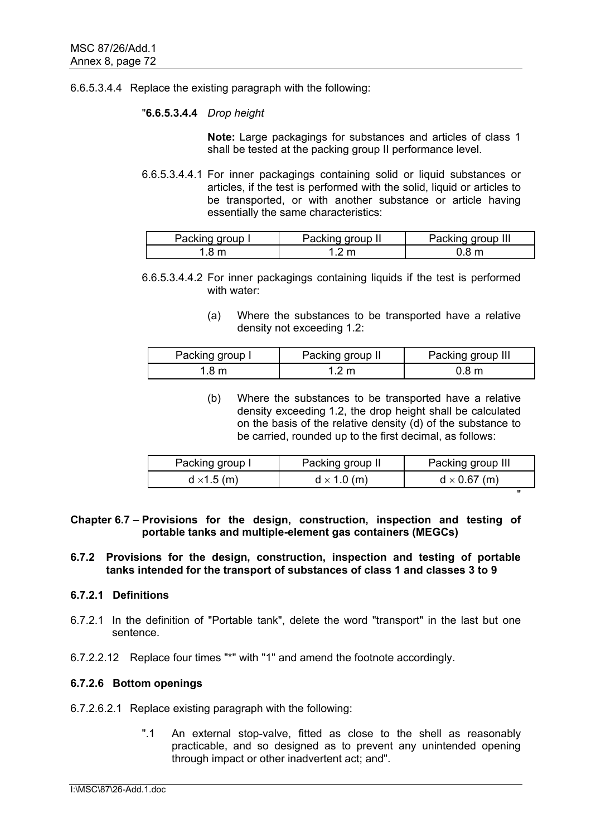### 6.6.5.3.4.4 Replace the existing paragraph with the following:

### "**6.6.5.3.4.4** *Drop height*

**Note:** Large packagings for substances and articles of class 1 shall be tested at the packing group II performance level.

6.6.5.3.4.4.1 For inner packagings containing solid or liquid substances or articles, if the test is performed with the solid, liquid or articles to be transported, or with another substance or article having essentially the same characteristics:

| Packing group I | Packing group II | Packing group III |
|-----------------|------------------|-------------------|
| 8 m             |                  | .8 m              |

6.6.5.3.4.4.2 For inner packagings containing liquids if the test is performed with water:

> (a) Where the substances to be transported have a relative density not exceeding 1.2:

| Packing group I | Packing group II | Packing group III |  |  |
|-----------------|------------------|-------------------|--|--|
| .8 m            | 1.2 m            | 0.8 <sub>m</sub>  |  |  |

(b) Where the substances to be transported have a relative density exceeding 1.2, the drop height shall be calculated on the basis of the relative density (d) of the substance to be carried, rounded up to the first decimal, as follows:

| Packing group I    | Packing group II   | Packing group III   |  |  |  |
|--------------------|--------------------|---------------------|--|--|--|
| $d \times 1.5$ (m) | $d \times 1.0$ (m) | $d \times 0.67$ (m) |  |  |  |
|                    |                    | "                   |  |  |  |

**Chapter 6.7 – Provisions for the design, construction, inspection and testing of portable tanks and multiple-element gas containers (MEGCs)** 

# **6.7.2 Provisions for the design, construction, inspection and testing of portable tanks intended for the transport of substances of class 1 and classes 3 to 9**

# **6.7.2.1 Definitions**

- 6.7.2.1 In the definition of "Portable tank", delete the word "transport" in the last but one sentence.
- 6.7.2.2.12 Replace four times "\*" with "1" and amend the footnote accordingly.

# **6.7.2.6 Bottom openings**

- 6.7.2.6.2.1 Replace existing paragraph with the following:
	- ".1 An external stop-valve, fitted as close to the shell as reasonably practicable, and so designed as to prevent any unintended opening through impact or other inadvertent act; and".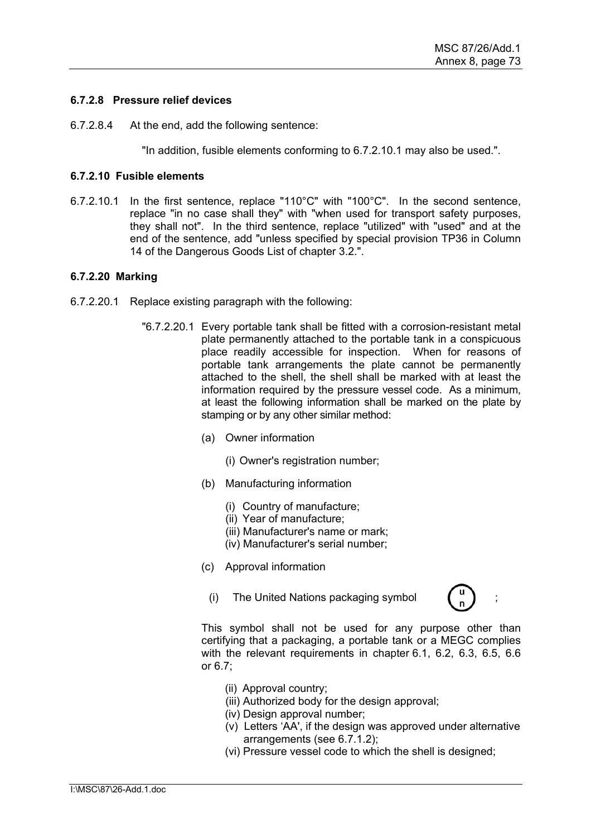# **6.7.2.8 Pressure relief devices**

6.7.2.8.4 At the end, add the following sentence:

"In addition, fusible elements conforming to 6.7.2.10.1 may also be used.".

# **6.7.2.10 Fusible elements**

6.7.2.10.1 In the first sentence, replace "110°C" with "100°C". In the second sentence, replace "in no case shall they" with "when used for transport safety purposes, they shall not". In the third sentence, replace "utilized" with "used" and at the end of the sentence, add "unless specified by special provision TP36 in Column 14 of the Dangerous Goods List of chapter 3.2.".

# **6.7.2.20 Marking**

- 6.7.2.20.1 Replace existing paragraph with the following:
	- "6.7.2.20.1 Every portable tank shall be fitted with a corrosion-resistant metal plate permanently attached to the portable tank in a conspicuous place readily accessible for inspection. When for reasons of portable tank arrangements the plate cannot be permanently attached to the shell, the shell shall be marked with at least the information required by the pressure vessel code. As a minimum, at least the following information shall be marked on the plate by stamping or by any other similar method:
		- (a) Owner information
			- (i) Owner's registration number;
		- (b) Manufacturing information
			- (i) Country of manufacture;
			- (ii) Year of manufacture;
			- (iii) Manufacturer's name or mark;
			- (iv) Manufacturer's serial number;
		- (c) Approval information
			- (i) The United Nations packaging symbol ;



- (ii) Approval country;
- (iii) Authorized body for the design approval;
- (iv) Design approval number;
- (v) Letters 'AA', if the design was approved under alternative arrangements (see 6.7.1.2);
- (vi) Pressure vessel code to which the shell is designed;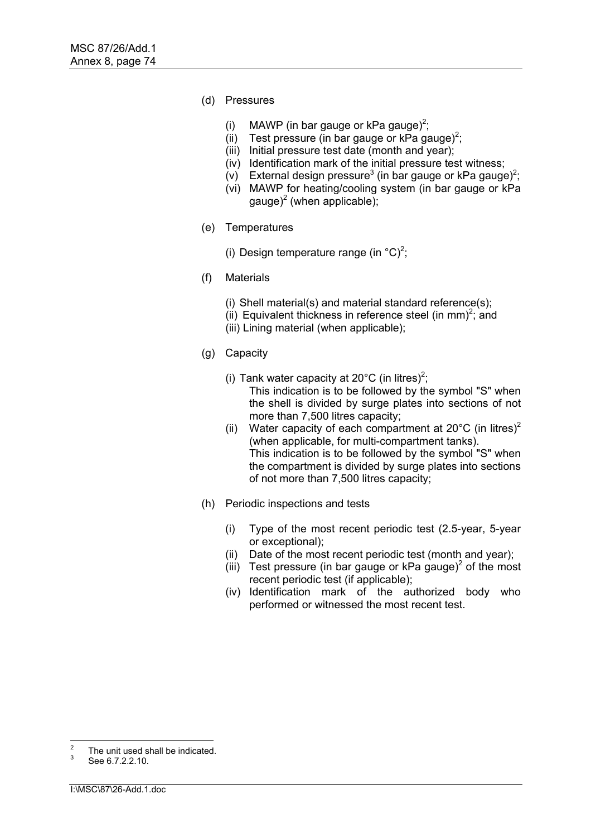- (d) Pressures
	- (i) MAWP (in bar gauge or kPa gauge)<sup>2</sup>;
	- (ii) Test pressure (in bar gauge or kPa gauge)<sup>2</sup>;
	- (iii) Initial pressure test date (month and year);
	- (iv) Identification mark of the initial pressure test witness;
	- (v) External design pressure<sup>3</sup> (in bar gauge or kPa gauge)<sup>2</sup>;
	- (vi) MAWP for heating/cooling system (in bar gauge or kPa gauge)<sup>2</sup> (when applicable);
- (e) Temperatures
	- (i) Design temperature range (in  $^{\circ}$ C)<sup>2</sup>;
- (f) Materials
	- (i) Shell material(s) and material standard reference(s);
	- (ii) Equivalent thickness in reference steel (in mm)<sup>2</sup>; and
	- (iii) Lining material (when applicable);
- (g) Capacity
	- (i) Tank water capacity at 20 $^{\circ}$ C (in litres)<sup>2</sup>;

This indication is to be followed by the symbol "S" when the shell is divided by surge plates into sections of not more than 7,500 litres capacity;

- (ii) Water capacity of each compartment at  $20^{\circ}$ C (in litres)<sup>2</sup> (when applicable, for multi-compartment tanks). This indication is to be followed by the symbol "S" when the compartment is divided by surge plates into sections of not more than 7,500 litres capacity;
- (h) Periodic inspections and tests
	- (i) Type of the most recent periodic test (2.5-year, 5-year or exceptional);
	- (ii) Date of the most recent periodic test (month and year);
	- (iii) Test pressure (in bar gauge or kPa gauge)<sup>2</sup> of the most recent periodic test (if applicable);
	- (iv) Identification mark of the authorized body who performed or witnessed the most recent test.

 $\overline{2}$  $\frac{2}{3}$  The unit used shall be indicated.<br> $\frac{3}{3}$  See 6.7.2.2.10.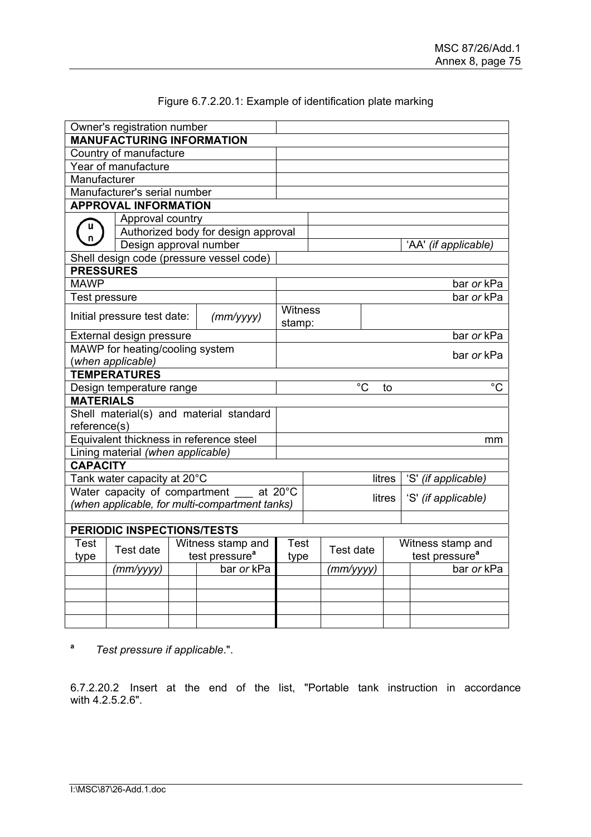| Owner's registration number<br><b>MANUFACTURING INFORMATION</b> |                                                |                   |                                          |            |           |                     |                      |                   |                            |  |
|-----------------------------------------------------------------|------------------------------------------------|-------------------|------------------------------------------|------------|-----------|---------------------|----------------------|-------------------|----------------------------|--|
|                                                                 |                                                |                   |                                          |            |           |                     |                      |                   |                            |  |
|                                                                 | Country of manufacture                         |                   |                                          |            |           |                     |                      |                   |                            |  |
|                                                                 | Year of manufacture                            |                   |                                          |            |           |                     |                      |                   |                            |  |
| Manufacturer                                                    |                                                |                   |                                          |            |           |                     |                      |                   |                            |  |
|                                                                 | Manufacturer's serial number                   |                   |                                          |            |           |                     |                      |                   |                            |  |
|                                                                 | <b>APPROVAL INFORMATION</b>                    |                   |                                          |            |           |                     |                      |                   |                            |  |
| u                                                               | Approval country                               |                   |                                          |            |           |                     |                      |                   |                            |  |
|                                                                 | Authorized body for design approval            |                   |                                          |            |           |                     |                      |                   |                            |  |
|                                                                 | Design approval number                         |                   |                                          |            |           |                     | 'AA' (if applicable) |                   |                            |  |
|                                                                 |                                                |                   | Shell design code (pressure vessel code) |            |           |                     |                      |                   |                            |  |
| <b>PRESSURES</b>                                                |                                                |                   |                                          |            |           |                     |                      |                   |                            |  |
| <b>MAWP</b>                                                     |                                                |                   |                                          |            |           |                     |                      |                   | bar or kPa                 |  |
| <b>Test pressure</b>                                            |                                                |                   |                                          |            |           |                     |                      |                   | bar or kPa                 |  |
|                                                                 | Initial pressure test date:                    |                   |                                          | Witness    |           |                     |                      |                   |                            |  |
|                                                                 |                                                |                   | (mm/yyyy)                                | stamp:     |           |                     |                      |                   |                            |  |
|                                                                 | External design pressure                       |                   |                                          |            |           |                     |                      |                   | bar or kPa                 |  |
|                                                                 | MAWP for heating/cooling system                |                   |                                          |            |           |                     |                      |                   |                            |  |
|                                                                 | (when applicable)                              |                   |                                          | bar or kPa |           |                     |                      |                   |                            |  |
|                                                                 | <b>TEMPERATURES</b>                            |                   |                                          |            |           |                     |                      |                   |                            |  |
|                                                                 | Design temperature range                       |                   |                                          |            |           |                     | $\overline{C}$       | to                | $\overline{C}$             |  |
| <b>MATERIALS</b>                                                |                                                |                   |                                          |            |           |                     |                      |                   |                            |  |
|                                                                 |                                                |                   | Shell material(s) and material standard  |            |           |                     |                      |                   |                            |  |
| reference(s)                                                    |                                                |                   |                                          |            |           |                     |                      |                   |                            |  |
|                                                                 | Equivalent thickness in reference steel        |                   |                                          |            |           |                     |                      |                   | mm                         |  |
|                                                                 | Lining material (when applicable)              |                   |                                          |            |           |                     |                      |                   |                            |  |
| <b>CAPACITY</b>                                                 |                                                |                   |                                          |            |           |                     |                      |                   |                            |  |
|                                                                 | Tank water capacity at 20°C                    |                   | litres                                   |            |           |                     | 'S' (if applicable)  |                   |                            |  |
| Water capacity of compartment __ at 20°C                        |                                                |                   |                                          |            |           |                     |                      |                   |                            |  |
|                                                                 | (when applicable, for multi-compartment tanks) |                   | litres                                   |            |           | 'S' (if applicable) |                      |                   |                            |  |
|                                                                 |                                                |                   |                                          |            |           |                     |                      |                   |                            |  |
| PERIODIC INSPECTIONS/TESTS                                      |                                                |                   |                                          |            |           |                     |                      |                   |                            |  |
| Test                                                            |                                                | Witness stamp and | <b>Test</b>                              |            | Test date |                     |                      | Witness stamp and |                            |  |
| type                                                            | Test date                                      |                   | test pressure <sup>a</sup>               | type       |           |                     |                      |                   | test pressure <sup>a</sup> |  |
|                                                                 | (тт/уууу)                                      |                   | bar or kPa                               |            |           | (mm/yyyy)           |                      |                   | bar or kPa                 |  |
|                                                                 |                                                |                   |                                          |            |           |                     |                      |                   |                            |  |
|                                                                 |                                                |                   |                                          |            |           |                     |                      |                   |                            |  |
|                                                                 |                                                |                   |                                          |            |           |                     |                      |                   |                            |  |
|                                                                 |                                                |                   |                                          |            |           |                     |                      |                   |                            |  |

# Figure 6.7.2.20.1: Example of identification plate marking

**a** *Test pressure if applicable*.".

6.7.2.20.2 Insert at the end of the list, "Portable tank instruction in accordance with 4.2.5.2.6".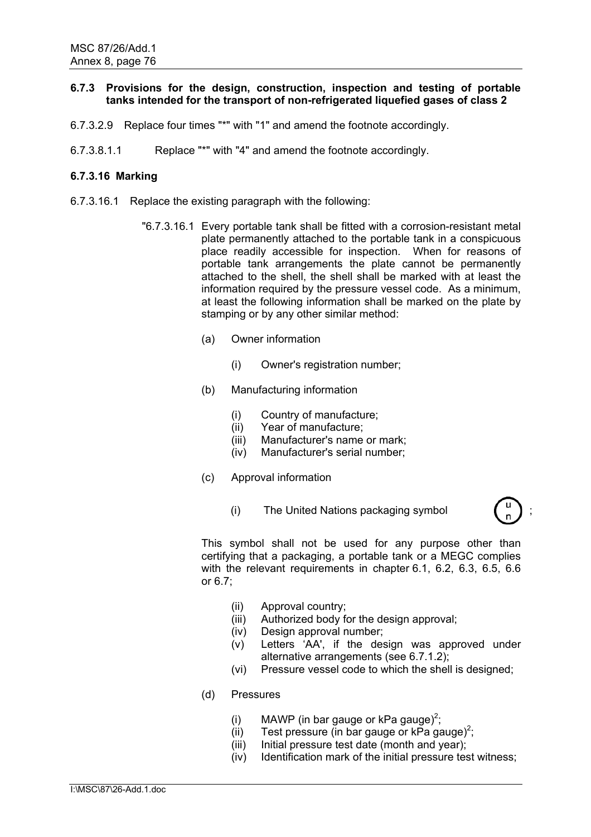# **6.7.3 Provisions for the design, construction, inspection and testing of portable tanks intended for the transport of non-refrigerated liquefied gases of class 2**

- 6.7.3.2.9 Replace four times "\*" with "1" and amend the footnote accordingly.
- 6.7.3.8.1.1 Replace "\*" with "4" and amend the footnote accordingly.

# **6.7.3.16 Marking**

- 6.7.3.16.1 Replace the existing paragraph with the following:
	- "6.7.3.16.1 Every portable tank shall be fitted with a corrosion-resistant metal plate permanently attached to the portable tank in a conspicuous place readily accessible for inspection. When for reasons of portable tank arrangements the plate cannot be permanently attached to the shell, the shell shall be marked with at least the information required by the pressure vessel code. As a minimum, at least the following information shall be marked on the plate by stamping or by any other similar method:
		- (a) Owner information
			- (i) Owner's registration number;
		- (b) Manufacturing information
			- (i) Country of manufacture;
			- (ii) Year of manufacture;
			- (iii) Manufacturer's name or mark;
			- (iv) Manufacturer's serial number;
		- (c) Approval information
			- (i) The United Nations packaging symbol ;



- (ii) Approval country;
- (iii) Authorized body for the design approval;
- (iv) Design approval number;
- (v) Letters 'AA', if the design was approved under alternative arrangements (see 6.7.1.2);
- (vi) Pressure vessel code to which the shell is designed;
- (d) Pressures
	- (i) MAWP (in bar gauge or kPa gauge)<sup>2</sup>;
	- (ii) Test pressure (in bar gauge or  $kPa$  gauge)<sup>2</sup>;
	- (iii) Initial pressure test date (month and year);
	- (iv) Identification mark of the initial pressure test witness;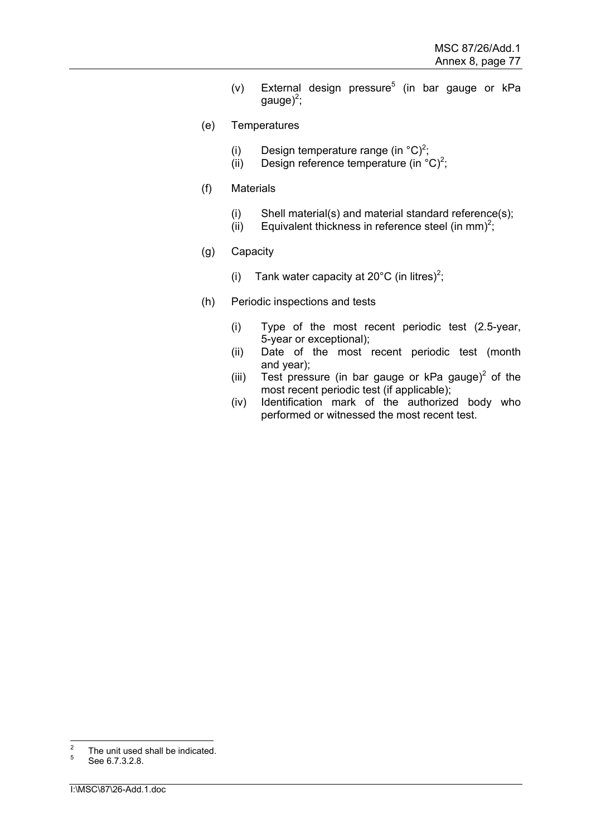- (v) External design pressure<sup>5</sup> (in bar gauge or kPa gauge)<sup>2</sup>;
- (e) Temperatures
	- (i) Design temperature range (in  $^{\circ}$ C)<sup>2</sup>;
	- (ii) Design reference temperature (in  $^{\circ}$ C)<sup>2</sup>;
- (f) Materials
	- (i) Shell material(s) and material standard reference(s);
	- (ii) Equivalent thickness in reference steel (in mm)<sup>2</sup>;
- (g) Capacity
	- (i) Tank water capacity at 20 $^{\circ}$ C (in litres)<sup>2</sup>;
- (h) Periodic inspections and tests
	- (i) Type of the most recent periodic test (2.5-year, 5-year or exceptional);
	- (ii) Date of the most recent periodic test (month and year);
	- (iii) Test pressure (in bar gauge or kPa gauge)<sup>2</sup> of the most recent periodic test (if applicable);
	- (iv) Identification mark of the authorized body who performed or witnessed the most recent test.

 $\overline{2}$  $^{2}$  The unit used shall be indicated.

See 6.7.3.2.8.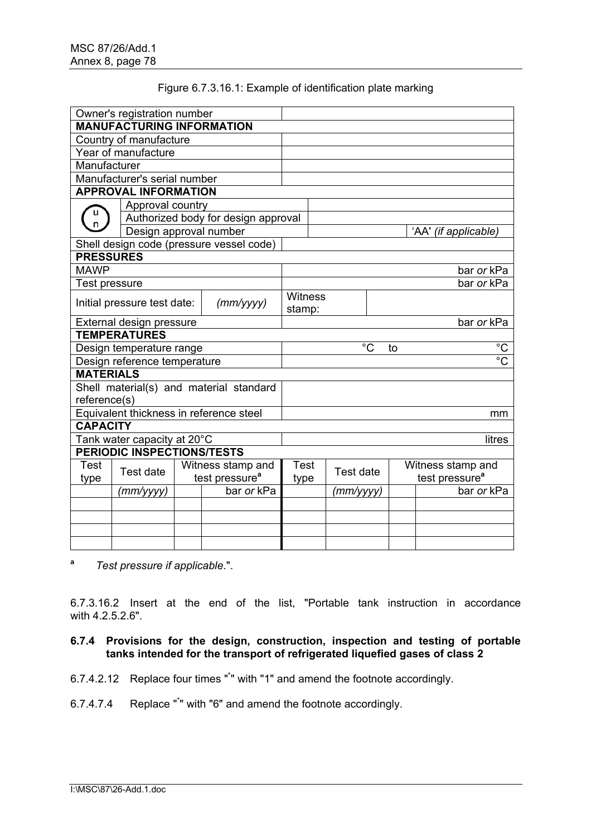| Owner's registration number  |                                         |                                     |                                          |         |        |           |             |    |                   |                            |                      |
|------------------------------|-----------------------------------------|-------------------------------------|------------------------------------------|---------|--------|-----------|-------------|----|-------------------|----------------------------|----------------------|
|                              | <b>MANUFACTURING INFORMATION</b>        |                                     |                                          |         |        |           |             |    |                   |                            |                      |
|                              | Country of manufacture                  |                                     |                                          |         |        |           |             |    |                   |                            |                      |
| Year of manufacture          |                                         |                                     |                                          |         |        |           |             |    |                   |                            |                      |
| Manufacturer                 |                                         |                                     |                                          |         |        |           |             |    |                   |                            |                      |
| Manufacturer's serial number |                                         |                                     |                                          |         |        |           |             |    |                   |                            |                      |
|                              | <b>APPROVAL INFORMATION</b>             |                                     |                                          |         |        |           |             |    |                   |                            |                      |
|                              | Approval country                        |                                     |                                          |         |        |           |             |    |                   |                            |                      |
|                              |                                         | Authorized body for design approval |                                          |         |        |           |             |    |                   |                            |                      |
|                              | Design approval number                  |                                     |                                          |         |        |           |             |    |                   |                            | 'AA' (if applicable) |
|                              |                                         |                                     | Shell design code (pressure vessel code) |         |        |           |             |    |                   |                            |                      |
| <b>PRESSURES</b>             |                                         |                                     |                                          |         |        |           |             |    |                   |                            |                      |
| <b>MAWP</b>                  |                                         |                                     |                                          |         |        |           |             |    |                   |                            | bar or kPa           |
| <b>Test pressure</b>         |                                         |                                     |                                          |         |        |           |             |    |                   |                            | bar or kPa           |
|                              |                                         |                                     |                                          | Witness |        |           |             |    |                   |                            |                      |
|                              | Initial pressure test date:             |                                     | (mm/yyyy)                                |         | stamp: |           |             |    |                   |                            |                      |
|                              | External design pressure                |                                     |                                          |         |        |           |             |    |                   |                            | bar or kPa           |
|                              | <b>TEMPERATURES</b>                     |                                     |                                          |         |        |           |             |    |                   |                            |                      |
|                              | Design temperature range                |                                     |                                          |         |        |           | $^{\circ}C$ | to |                   |                            | $\overline{c}$       |
|                              | Design reference temperature            |                                     |                                          |         |        |           |             |    |                   |                            | $\overline{c}$       |
| <b>MATERIALS</b>             |                                         |                                     |                                          |         |        |           |             |    |                   |                            |                      |
|                              | Shell material(s) and material standard |                                     |                                          |         |        |           |             |    |                   |                            |                      |
| reference(s)                 |                                         |                                     |                                          |         |        |           |             |    |                   |                            |                      |
|                              | Equivalent thickness in reference steel |                                     |                                          |         |        |           |             |    |                   |                            | mm                   |
| <b>CAPACITY</b>              |                                         |                                     |                                          |         |        |           |             |    |                   |                            |                      |
|                              | Tank water capacity at 20°C             |                                     |                                          |         |        |           |             |    |                   |                            | litres               |
|                              | <b>PERIODIC INSPECTIONS/TESTS</b>       |                                     |                                          |         |        |           |             |    |                   |                            |                      |
| <b>Test</b>                  | Test date                               |                                     | Witness stamp and                        | Test    |        | Test date |             |    | Witness stamp and |                            |                      |
| type                         |                                         |                                     | test pressure <sup>a</sup>               | type    |        |           |             |    |                   | test pressure <sup>a</sup> |                      |
|                              | (mm/yyyy)                               |                                     | bar or kPa                               |         |        | (mm/yyyy) |             |    |                   |                            | bar or kPa           |
|                              |                                         |                                     |                                          |         |        |           |             |    |                   |                            |                      |
|                              |                                         |                                     |                                          |         |        |           |             |    |                   |                            |                      |
|                              |                                         |                                     |                                          |         |        |           |             |    |                   |                            |                      |
|                              |                                         |                                     |                                          |         |        |           |             |    |                   |                            |                      |

**a** *Test pressure if applicable*.".

6.7.3.16.2 Insert at the end of the list, "Portable tank instruction in accordance with 4.2.5.2.6".

# **6.7.4 Provisions for the design, construction, inspection and testing of portable tanks intended for the transport of refrigerated liquefied gases of class 2**

- 6.7.4.2.12 Replace four times "\* " with "1" and amend the footnote accordingly.
- 6.7.4.7.4 Replace "\* " with "6" and amend the footnote accordingly.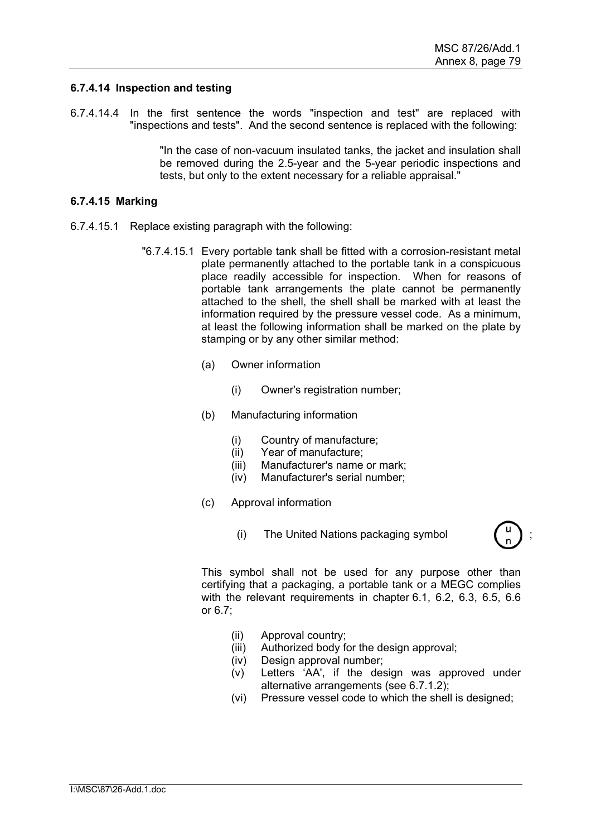### **6.7.4.14 Inspection and testing**

6.7.4.14.4 In the first sentence the words "inspection and test" are replaced with "inspections and tests". And the second sentence is replaced with the following:

> "In the case of non-vacuum insulated tanks, the jacket and insulation shall be removed during the 2.5-year and the 5-year periodic inspections and tests, but only to the extent necessary for a reliable appraisal."

### **6.7.4.15 Marking**

- 6.7.4.15.1 Replace existing paragraph with the following:
	- "6.7.4.15.1 Every portable tank shall be fitted with a corrosion-resistant metal plate permanently attached to the portable tank in a conspicuous place readily accessible for inspection. When for reasons of portable tank arrangements the plate cannot be permanently attached to the shell, the shell shall be marked with at least the information required by the pressure vessel code. As a minimum, at least the following information shall be marked on the plate by stamping or by any other similar method:
		- (a) Owner information
			- (i) Owner's registration number;
		- (b) Manufacturing information
			- (i) Country of manufacture;
			- (ii) Year of manufacture;
			- (iii) Manufacturer's name or mark;
			- (iv) Manufacturer's serial number;
		- (c) Approval information
			- (i) The United Nations packaging symbol ;



- (ii) Approval country;
- (iii) Authorized body for the design approval;
- (iv) Design approval number;
- (v) Letters 'AA', if the design was approved under alternative arrangements (see 6.7.1.2);
- (vi) Pressure vessel code to which the shell is designed;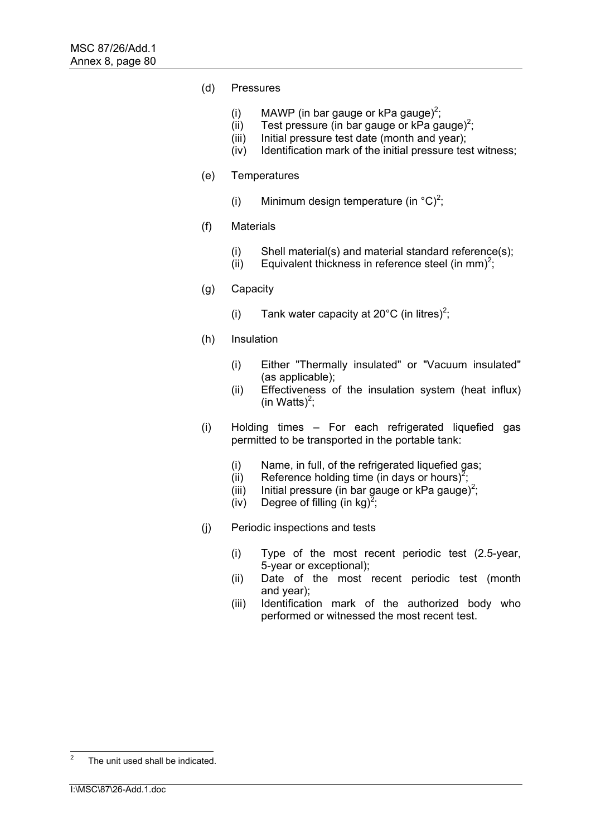- (d) Pressures
	- (i) MAWP (in bar gauge or kPa gauge)<sup>2</sup>;
	- (ii) Test pressure (in bar gauge or  $kPa$  gauge)<sup>2</sup>;
	- (iii) Initial pressure test date (month and year);
	- (iv) Identification mark of the initial pressure test witness;
- (e) Temperatures
	- (i) Minimum design temperature (in  $^{\circ}$ C)<sup>2</sup>;
- (f) Materials
	- (i) Shell material(s) and material standard reference(s);
	- $(iii)$  Equivalent thickness in reference steel (in mm)<sup>2</sup>;
- (g) Capacity
	- (i) Tank water capacity at 20 $^{\circ}$ C (in litres)<sup>2</sup>;
- (h) Insulation
	- (i) Either "Thermally insulated" or "Vacuum insulated" (as applicable);
	- (ii) Effectiveness of the insulation system (heat influx) (in Watts) $2$ ;
- (i) Holding times For each refrigerated liquefied gas permitted to be transported in the portable tank:
	- (i) Name, in full, of the refrigerated liquefied gas;
	- (ii) Reference holding time (in days or hours)<sup>2</sup>;
	- (iii) Initial pressure (in bar gauge or kPa gauge)<sup>2</sup>;
	- (iv) Degree of filling (in kg)<sup>2</sup>;
- (j) Periodic inspections and tests
	- (i) Type of the most recent periodic test (2.5-year, 5-year or exceptional);
	- (ii) Date of the most recent periodic test (month and year);
	- (iii) Identification mark of the authorized body who performed or witnessed the most recent test.

 $\frac{1}{2}$ The unit used shall be indicated.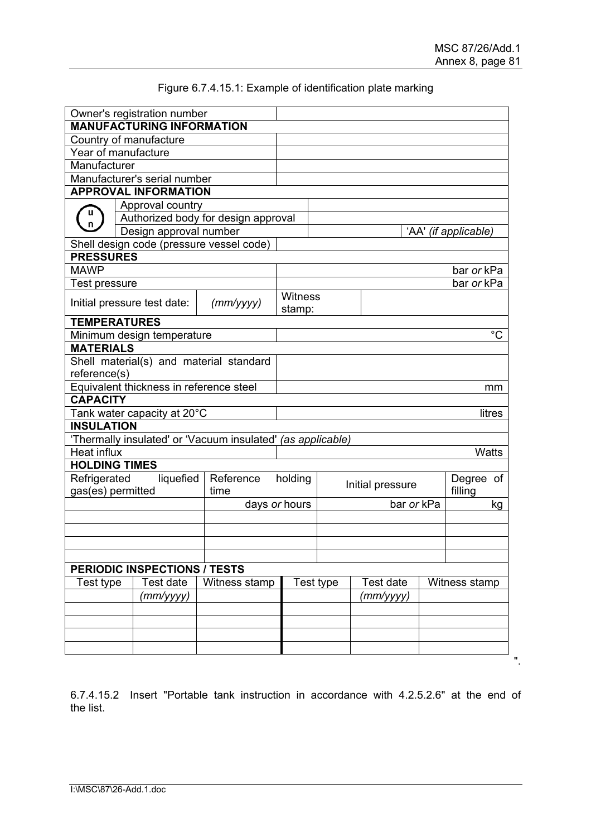".

|                                   | Owner's registration number                                 |                                     |                                          |                                         |           |                  |             |  |  |  |  |
|-----------------------------------|-------------------------------------------------------------|-------------------------------------|------------------------------------------|-----------------------------------------|-----------|------------------|-------------|--|--|--|--|
|                                   | <b>MANUFACTURING INFORMATION</b>                            |                                     |                                          |                                         |           |                  |             |  |  |  |  |
|                                   | Country of manufacture                                      |                                     |                                          |                                         |           |                  |             |  |  |  |  |
|                                   | Year of manufacture                                         |                                     |                                          |                                         |           |                  |             |  |  |  |  |
| Manufacturer                      |                                                             |                                     |                                          |                                         |           |                  |             |  |  |  |  |
|                                   | Manufacturer's serial number                                |                                     |                                          |                                         |           |                  |             |  |  |  |  |
|                                   | <b>APPROVAL INFORMATION</b>                                 |                                     |                                          |                                         |           |                  |             |  |  |  |  |
|                                   | Approval country                                            |                                     |                                          |                                         |           |                  |             |  |  |  |  |
|                                   |                                                             | Authorized body for design approval |                                          |                                         |           |                  |             |  |  |  |  |
|                                   | Design approval number                                      |                                     | 'AA' (if applicable)                     |                                         |           |                  |             |  |  |  |  |
|                                   | Shell design code (pressure vessel code)                    |                                     |                                          |                                         |           |                  |             |  |  |  |  |
| <b>PRESSURES</b>                  |                                                             |                                     |                                          |                                         |           |                  |             |  |  |  |  |
| <b>MAWP</b>                       |                                                             |                                     | bar or kPa                               |                                         |           |                  |             |  |  |  |  |
| Test pressure                     |                                                             |                                     |                                          |                                         |           |                  | bar or kPa  |  |  |  |  |
|                                   | Initial pressure test date:                                 | (mm/yyyy)                           | Witness<br>stamp:                        |                                         |           |                  |             |  |  |  |  |
|                                   | <b>TEMPERATURES</b>                                         |                                     |                                          |                                         |           |                  |             |  |  |  |  |
|                                   | Minimum design temperature                                  |                                     |                                          |                                         |           |                  | $^{\circ}C$ |  |  |  |  |
| <b>MATERIALS</b>                  |                                                             |                                     |                                          |                                         |           |                  |             |  |  |  |  |
|                                   | Shell material(s) and material standard                     |                                     |                                          |                                         |           |                  |             |  |  |  |  |
| reference(s)                      |                                                             |                                     |                                          |                                         |           |                  |             |  |  |  |  |
|                                   | Equivalent thickness in reference steel                     |                                     |                                          |                                         |           |                  | mm          |  |  |  |  |
| <b>CAPACITY</b>                   |                                                             |                                     |                                          |                                         |           |                  |             |  |  |  |  |
|                                   | Tank water capacity at 20°C                                 |                                     |                                          |                                         |           |                  | litres      |  |  |  |  |
| <b>INSULATION</b>                 |                                                             |                                     |                                          |                                         |           |                  |             |  |  |  |  |
|                                   | 'Thermally insulated' or 'Vacuum insulated' (as applicable) |                                     |                                          |                                         |           |                  |             |  |  |  |  |
| Heat influx                       |                                                             |                                     | <b>Watts</b>                             |                                         |           |                  |             |  |  |  |  |
| <b>HOLDING TIMES</b>              |                                                             |                                     |                                          |                                         |           |                  |             |  |  |  |  |
| Refrigerated<br>gas(es) permitted | liquefied                                                   | holding                             | Degree of<br>Initial pressure<br>filling |                                         |           |                  |             |  |  |  |  |
|                                   |                                                             |                                     | days or hours                            |                                         |           | bar or kPa<br>kg |             |  |  |  |  |
|                                   |                                                             |                                     |                                          |                                         |           |                  |             |  |  |  |  |
|                                   |                                                             |                                     |                                          |                                         |           |                  |             |  |  |  |  |
|                                   |                                                             |                                     |                                          |                                         |           |                  |             |  |  |  |  |
|                                   |                                                             |                                     |                                          |                                         |           |                  |             |  |  |  |  |
|                                   | <b>PERIODIC INSPECTIONS / TESTS</b>                         |                                     |                                          |                                         |           |                  |             |  |  |  |  |
|                                   | Test date<br>Witness stamp<br>Test type                     |                                     |                                          | Test date<br>Test type<br>Witness stamp |           |                  |             |  |  |  |  |
|                                   | (mm/yyyy)                                                   |                                     |                                          |                                         | (mm/yyyy) |                  |             |  |  |  |  |
|                                   |                                                             |                                     |                                          |                                         |           |                  |             |  |  |  |  |
|                                   |                                                             |                                     |                                          |                                         |           |                  |             |  |  |  |  |
|                                   |                                                             |                                     |                                          |                                         |           |                  |             |  |  |  |  |
|                                   |                                                             |                                     |                                          |                                         |           |                  |             |  |  |  |  |
|                                   |                                                             |                                     |                                          |                                         |           |                  |             |  |  |  |  |

# Figure 6.7.4.15.1: Example of identification plate marking

6.7.4.15.2 Insert "Portable tank instruction in accordance with 4.2.5.2.6" at the end of the list.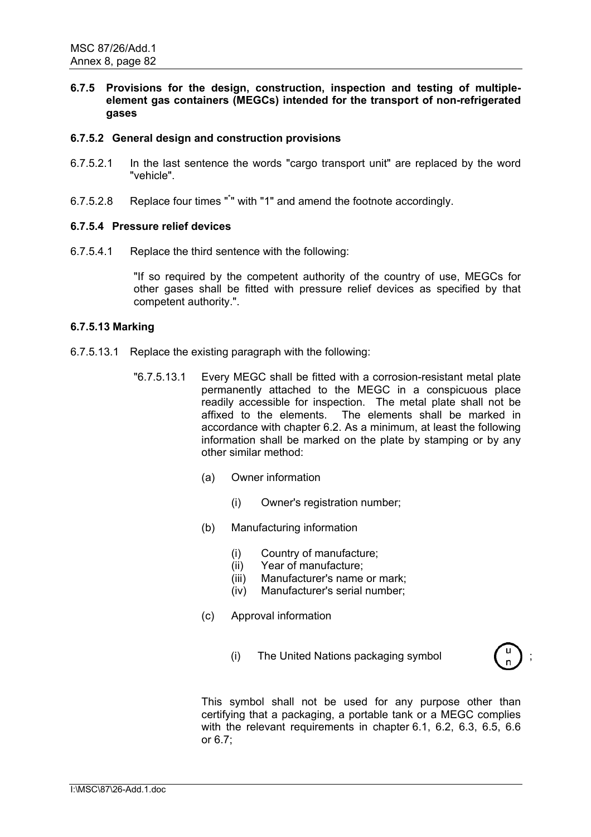# **6.7.5 Provisions for the design, construction, inspection and testing of multipleelement gas containers (MEGCs) intended for the transport of non-refrigerated gases**

# **6.7.5.2 General design and construction provisions**

- 6.7.5.2.1 In the last sentence the words "cargo transport unit" are replaced by the word "vehicle".
- 6.7.5.2.8 Replace four times "\* " with "1" and amend the footnote accordingly.

### **6.7.5.4 Pressure relief devices**

6.7.5.4.1 Replace the third sentence with the following:

"If so required by the competent authority of the country of use, MEGCs for other gases shall be fitted with pressure relief devices as specified by that competent authority.".

### **6.7.5.13 Marking**

- 6.7.5.13.1 Replace the existing paragraph with the following:
	- "6.7.5.13.1 Every MEGC shall be fitted with a corrosion-resistant metal plate permanently attached to the MEGC in a conspicuous place readily accessible for inspection. The metal plate shall not be affixed to the elements. The elements shall be marked in accordance with chapter 6.2. As a minimum, at least the following information shall be marked on the plate by stamping or by any other similar method:
		- (a) Owner information
			- (i) Owner's registration number;
		- (b) Manufacturing information
			- (i) Country of manufacture;
			- (ii) Year of manufacture;
			- (iii) Manufacturer's name or mark;
			- (iv) Manufacturer's serial number;
		- (c) Approval information
			- (i) The United Nations packaging symbol ;

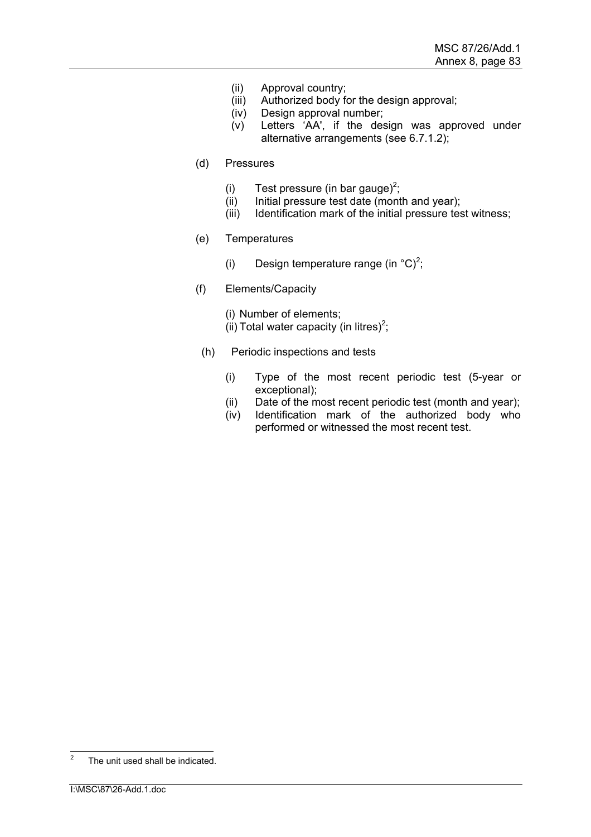- (ii) Approval country;
- (iii) Authorized body for the design approval;
- (iv) Design approval number;
- (v) Letters 'AA', if the design was approved under alternative arrangements (see 6.7.1.2);
- (d) Pressures
	- (i) Test pressure (in bar gauge)<sup>2</sup>;
	- (ii) Initial pressure test date (month and year);
	- (iii) Identification mark of the initial pressure test witness;
- (e) Temperatures
	- (i) Design temperature range (in  $^{\circ}$ C)<sup>2</sup>;
- (f) Elements/Capacity

(i) Number of elements; (ii) Total water capacity (in litres)<sup>2</sup>;

- (h) Periodic inspections and tests
	- (i) Type of the most recent periodic test (5-year or exceptional);
	- (ii) Date of the most recent periodic test (month and year);
	- (iv) Identification mark of the authorized body who performed or witnessed the most recent test.

 $\frac{1}{2}$ The unit used shall be indicated.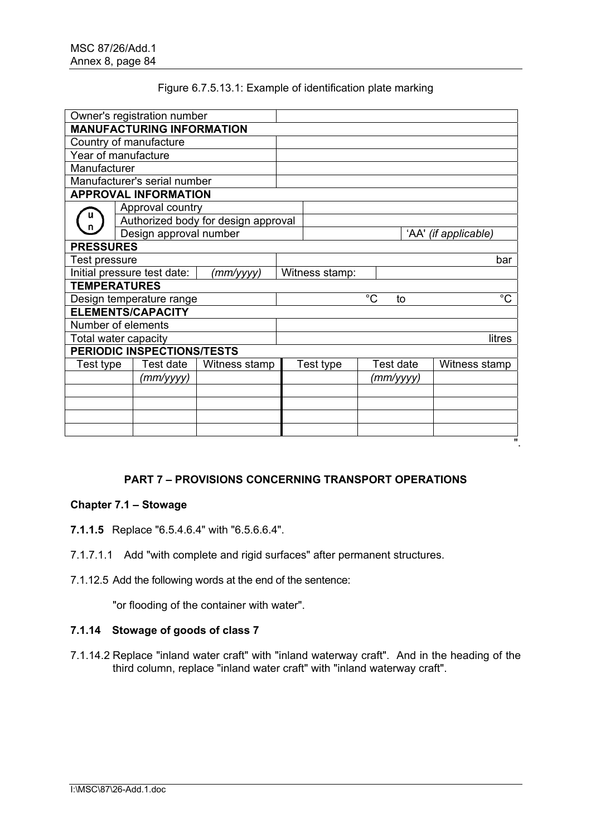# Figure 6.7.5.13.1: Example of identification plate marking

|                     | Owner's registration number      |                                     |                |           |  |           |                      |  |
|---------------------|----------------------------------|-------------------------------------|----------------|-----------|--|-----------|----------------------|--|
|                     | <b>MANUFACTURING INFORMATION</b> |                                     |                |           |  |           |                      |  |
|                     | Country of manufacture           |                                     |                |           |  |           |                      |  |
|                     | Year of manufacture              |                                     |                |           |  |           |                      |  |
| Manufacturer        |                                  |                                     |                |           |  |           |                      |  |
|                     | Manufacturer's serial number     |                                     |                |           |  |           |                      |  |
|                     | <b>APPROVAL INFORMATION</b>      |                                     |                |           |  |           |                      |  |
|                     | Approval country                 |                                     |                |           |  |           |                      |  |
|                     |                                  | Authorized body for design approval |                |           |  |           |                      |  |
|                     | Design approval number           |                                     |                |           |  |           | 'AA' (if applicable) |  |
| <b>PRESSURES</b>    |                                  |                                     |                |           |  |           |                      |  |
| Test pressure       |                                  |                                     | bar            |           |  |           |                      |  |
|                     | Initial pressure test date:      | (mm/yyyy)                           | Witness stamp: |           |  |           |                      |  |
| <b>TEMPERATURES</b> |                                  |                                     |                |           |  |           |                      |  |
|                     | Design temperature range         | $^{\circ}C$<br>$^{\circ}C$<br>to    |                |           |  |           |                      |  |
|                     | <b>ELEMENTS/CAPACITY</b>         |                                     |                |           |  |           |                      |  |
|                     | Number of elements               |                                     |                |           |  |           |                      |  |
|                     | Total water capacity             |                                     |                |           |  |           | litres               |  |
|                     | PERIODIC INSPECTIONS/TESTS       |                                     |                |           |  |           |                      |  |
| Test type           | Test date                        | Witness stamp                       |                | Test type |  | Test date | Witness stamp        |  |
| (mm/yyyy)           |                                  |                                     |                |           |  | (mm/yyyy) |                      |  |
|                     |                                  |                                     |                |           |  |           |                      |  |
|                     |                                  |                                     |                |           |  |           |                      |  |
|                     |                                  |                                     |                |           |  |           |                      |  |
|                     |                                  |                                     |                |           |  |           |                      |  |
|                     |                                  |                                     |                |           |  |           | $\mathbf{u}$         |  |

# **PART 7 – PROVISIONS CONCERNING TRANSPORT OPERATIONS**

# **Chapter 7.1 – Stowage**

- **7.1.1.5** Replace "6.5.4.6.4" with "6.5.6.6.4".
- 7.1.7.1.1 Add "with complete and rigid surfaces" after permanent structures.
- 7.1.12.5 Add the following words at the end of the sentence:

"or flooding of the container with water".

# **7.1.14 Stowage of goods of class 7**

7.1.14.2 Replace "inland water craft" with "inland waterway craft". And in the heading of the third column, replace "inland water craft" with "inland waterway craft".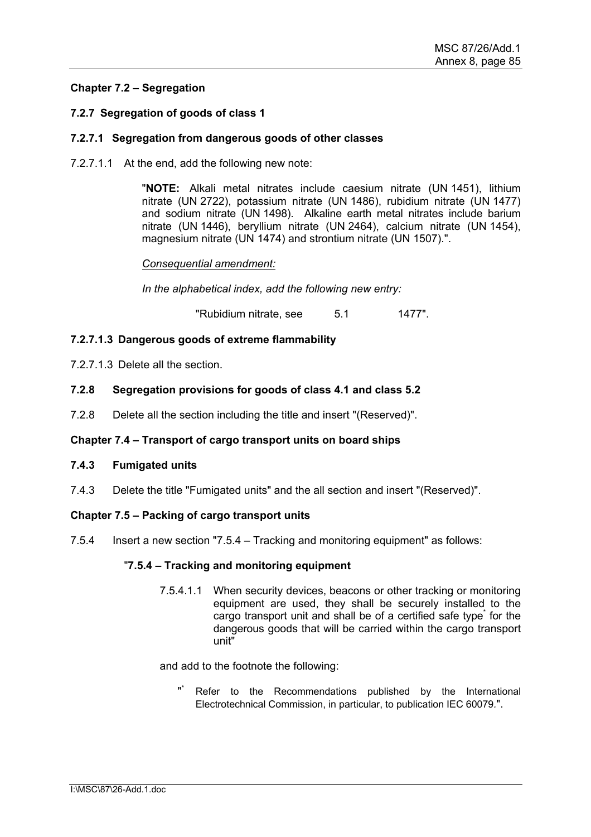# **Chapter 7.2 – Segregation**

# **7.2.7 Segregation of goods of class 1**

# **7.2.7.1 Segregation from dangerous goods of other classes**

7.2.7.1.1 At the end, add the following new note:

"**NOTE:** Alkali metal nitrates include caesium nitrate (UN 1451), lithium nitrate (UN 2722), potassium nitrate (UN 1486), rubidium nitrate (UN 1477) and sodium nitrate (UN 1498). Alkaline earth metal nitrates include barium nitrate (UN 1446), beryllium nitrate (UN 2464), calcium nitrate (UN 1454), magnesium nitrate (UN 1474) and strontium nitrate (UN 1507).".

### *Consequential amendment:*

*In the alphabetical index, add the following new entry:* 

"Rubidium nitrate, see 5.1 1477".

# **7.2.7.1.3 Dangerous goods of extreme flammability**

- 7.2.7.1.3 Delete all the section.
- **7.2.8 Segregation provisions for goods of class 4.1 and class 5.2**
- 7.2.8 Delete all the section including the title and insert "(Reserved)".

# **Chapter 7.4 – Transport of cargo transport units on board ships**

### **7.4.3 Fumigated units**

7.4.3 Delete the title "Fumigated units" and the all section and insert "(Reserved)".

### **Chapter 7.5 – Packing of cargo transport units**

7.5.4 Insert a new section "7.5.4 – Tracking and monitoring equipment" as follows:

### "**7.5.4 – Tracking and monitoring equipment**

7.5.4.1.1 When security devices, beacons or other tracking or monitoring equipment are used, they shall be securely installed to the cargo transport unit and shall be of a certified safe type<sup>\*</sup> for the dangerous goods that will be carried within the cargo transport unit"

and add to the footnote the following:

" Refer to the Recommendations published by the International Electrotechnical Commission, in particular, to publication IEC 60079*.*".